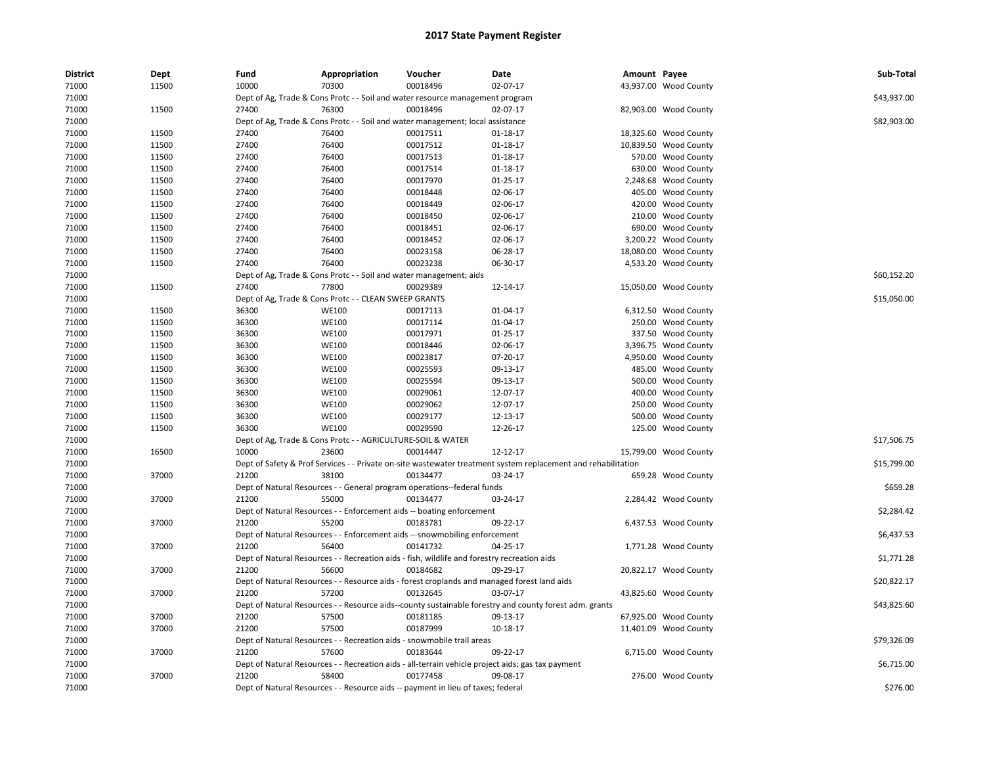| <b>District</b> | Dept  | Fund  | Appropriation                                                                               | Voucher  | Date                                                                                                          | Amount Payee |                       | Sub-Total   |
|-----------------|-------|-------|---------------------------------------------------------------------------------------------|----------|---------------------------------------------------------------------------------------------------------------|--------------|-----------------------|-------------|
| 71000           | 11500 | 10000 | 70300                                                                                       | 00018496 | 02-07-17                                                                                                      |              | 43,937.00 Wood County |             |
| 71000           |       |       | Dept of Ag, Trade & Cons Protc - - Soil and water resource management program               |          |                                                                                                               |              |                       | \$43,937.00 |
| 71000           | 11500 | 27400 | 76300                                                                                       | 00018496 | 02-07-17                                                                                                      |              | 82,903.00 Wood County |             |
| 71000           |       |       | Dept of Ag, Trade & Cons Protc - - Soil and water management; local assistance              |          |                                                                                                               |              |                       | \$82,903.00 |
| 71000           | 11500 | 27400 | 76400                                                                                       | 00017511 | 01-18-17                                                                                                      |              | 18,325.60 Wood County |             |
| 71000           | 11500 | 27400 | 76400                                                                                       | 00017512 | $01 - 18 - 17$                                                                                                |              | 10,839.50 Wood County |             |
| 71000           | 11500 | 27400 | 76400                                                                                       | 00017513 | 01-18-17                                                                                                      |              | 570.00 Wood County    |             |
| 71000           | 11500 | 27400 | 76400                                                                                       | 00017514 | 01-18-17                                                                                                      |              | 630.00 Wood County    |             |
| 71000           | 11500 | 27400 | 76400                                                                                       | 00017970 | $01 - 25 - 17$                                                                                                |              | 2,248.68 Wood County  |             |
| 71000           | 11500 | 27400 | 76400                                                                                       | 00018448 | 02-06-17                                                                                                      |              | 405.00 Wood County    |             |
| 71000           | 11500 | 27400 | 76400                                                                                       | 00018449 | 02-06-17                                                                                                      |              | 420.00 Wood County    |             |
| 71000           | 11500 | 27400 | 76400                                                                                       | 00018450 | 02-06-17                                                                                                      |              | 210.00 Wood County    |             |
| 71000           | 11500 | 27400 | 76400                                                                                       | 00018451 | 02-06-17                                                                                                      |              | 690.00 Wood County    |             |
| 71000           | 11500 | 27400 | 76400                                                                                       | 00018452 | 02-06-17                                                                                                      |              | 3,200.22 Wood County  |             |
| 71000           | 11500 | 27400 | 76400                                                                                       | 00023158 | 06-28-17                                                                                                      |              | 18,080.00 Wood County |             |
| 71000           | 11500 | 27400 | 76400                                                                                       | 00023238 | 06-30-17                                                                                                      |              | 4,533.20 Wood County  |             |
| 71000           |       |       | Dept of Ag, Trade & Cons Protc - - Soil and water management; aids                          |          |                                                                                                               |              |                       | \$60,152.20 |
| 71000           | 11500 | 27400 | 77800                                                                                       | 00029389 | 12-14-17                                                                                                      |              | 15,050.00 Wood County |             |
| 71000           |       |       | Dept of Ag, Trade & Cons Protc - - CLEAN SWEEP GRANTS                                       |          |                                                                                                               |              |                       | \$15,050.00 |
| 71000           | 11500 | 36300 | <b>WE100</b>                                                                                | 00017113 | 01-04-17                                                                                                      |              | 6,312.50 Wood County  |             |
| 71000           | 11500 | 36300 | <b>WE100</b>                                                                                | 00017114 | 01-04-17                                                                                                      |              | 250.00 Wood County    |             |
| 71000           | 11500 | 36300 | <b>WE100</b>                                                                                | 00017971 | $01 - 25 - 17$                                                                                                |              | 337.50 Wood County    |             |
| 71000           | 11500 | 36300 | <b>WE100</b>                                                                                | 00018446 | 02-06-17                                                                                                      |              | 3,396.75 Wood County  |             |
| 71000           | 11500 | 36300 | <b>WE100</b>                                                                                | 00023817 | 07-20-17                                                                                                      |              | 4,950.00 Wood County  |             |
| 71000           | 11500 | 36300 | <b>WE100</b>                                                                                | 00025593 | 09-13-17                                                                                                      |              | 485.00 Wood County    |             |
| 71000           | 11500 | 36300 | <b>WE100</b>                                                                                | 00025594 | 09-13-17                                                                                                      |              | 500.00 Wood County    |             |
| 71000           | 11500 | 36300 | <b>WE100</b>                                                                                | 00029061 | 12-07-17                                                                                                      |              | 400.00 Wood County    |             |
| 71000           | 11500 | 36300 | <b>WE100</b>                                                                                | 00029062 | 12-07-17                                                                                                      |              | 250.00 Wood County    |             |
| 71000           | 11500 | 36300 | <b>WE100</b>                                                                                | 00029177 | 12-13-17                                                                                                      |              | 500.00 Wood County    |             |
| 71000           | 11500 | 36300 | <b>WE100</b>                                                                                | 00029590 | 12-26-17                                                                                                      |              | 125.00 Wood County    |             |
| 71000           |       |       | Dept of Ag, Trade & Cons Protc - - AGRICULTURE-SOIL & WATER                                 |          |                                                                                                               |              |                       | \$17,506.75 |
| 71000           | 16500 | 10000 | 23600                                                                                       | 00014447 | 12-12-17                                                                                                      |              | 15,799.00 Wood County |             |
| 71000           |       |       |                                                                                             |          | Dept of Safety & Prof Services - - Private on-site wastewater treatment system replacement and rehabilitation |              |                       | \$15,799.00 |
| 71000           | 37000 | 21200 | 38100                                                                                       | 00134477 | 03-24-17                                                                                                      |              | 659.28 Wood County    |             |
| 71000           |       |       | Dept of Natural Resources - - General program operations--federal funds                     |          |                                                                                                               |              |                       | \$659.28    |
| 71000           | 37000 | 21200 | 55000                                                                                       | 00134477 | 03-24-17                                                                                                      |              | 2,284.42 Wood County  |             |
| 71000           |       |       | Dept of Natural Resources - - Enforcement aids -- boating enforcement                       |          |                                                                                                               |              |                       | \$2,284.42  |
| 71000           | 37000 | 21200 | 55200                                                                                       | 00183781 | 09-22-17                                                                                                      |              | 6,437.53 Wood County  |             |
| 71000           |       |       | Dept of Natural Resources - - Enforcement aids -- snowmobiling enforcement                  |          |                                                                                                               |              |                       | \$6,437.53  |
| 71000           | 37000 | 21200 | 56400                                                                                       | 00141732 | 04-25-17                                                                                                      |              | 1,771.28 Wood County  |             |
| 71000           |       |       | Dept of Natural Resources - - Recreation aids - fish, wildlife and forestry recreation aids |          |                                                                                                               |              |                       | \$1,771.28  |
| 71000           | 37000 | 21200 | 56600                                                                                       | 00184682 | 09-29-17                                                                                                      |              | 20,822.17 Wood County |             |
| 71000           |       |       |                                                                                             |          | Dept of Natural Resources - - Resource aids - forest croplands and managed forest land aids                   |              |                       | \$20,822.17 |
| 71000           | 37000 | 21200 | 57200                                                                                       | 00132645 | 03-07-17                                                                                                      |              | 43,825.60 Wood County |             |
| 71000           |       |       |                                                                                             |          | Dept of Natural Resources - - Resource aids--county sustainable forestry and county forest adm. grants        |              |                       | \$43,825.60 |
| 71000           | 37000 | 21200 | 57500                                                                                       | 00181185 | 09-13-17                                                                                                      |              | 67,925.00 Wood County |             |
| 71000           | 37000 | 21200 | 57500                                                                                       | 00187999 | 10-18-17                                                                                                      |              | 11,401.09 Wood County |             |
| 71000           |       |       | Dept of Natural Resources - - Recreation aids - snowmobile trail areas                      |          |                                                                                                               |              |                       | \$79,326.09 |
| 71000           | 37000 | 21200 | 57600                                                                                       | 00183644 | 09-22-17                                                                                                      |              | 6,715.00 Wood County  |             |
| 71000           |       |       |                                                                                             |          | Dept of Natural Resources - - Recreation aids - all-terrain vehicle project aids; gas tax payment             |              |                       | \$6,715.00  |
| 71000           | 37000 | 21200 | 58400                                                                                       | 00177458 | 09-08-17                                                                                                      |              | 276.00 Wood County    |             |
| 71000           |       |       | Dept of Natural Resources - - Resource aids -- payment in lieu of taxes; federal            |          |                                                                                                               |              |                       | \$276.00    |
|                 |       |       |                                                                                             |          |                                                                                                               |              |                       |             |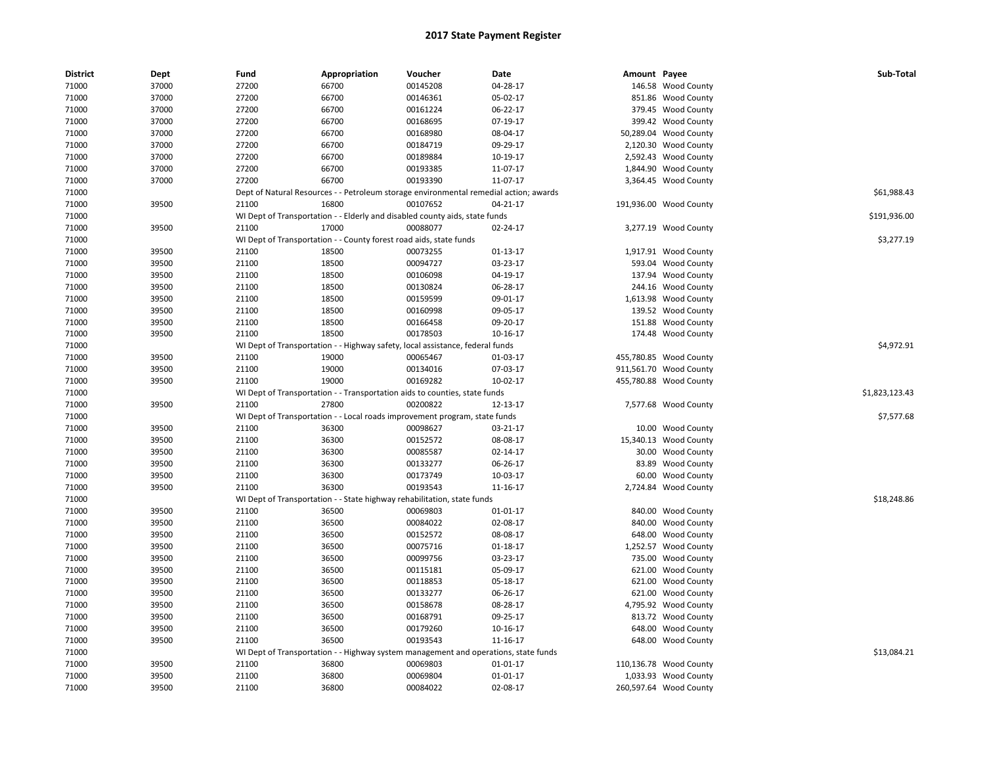| <b>District</b> | Dept  | Fund  | Appropriation                                                      | Voucher                                                                               | Date     | Amount Payee |                        | Sub-Total      |
|-----------------|-------|-------|--------------------------------------------------------------------|---------------------------------------------------------------------------------------|----------|--------------|------------------------|----------------|
| 71000           | 37000 | 27200 | 66700                                                              | 00145208                                                                              | 04-28-17 |              | 146.58 Wood County     |                |
| 71000           | 37000 | 27200 | 66700                                                              | 00146361                                                                              | 05-02-17 |              | 851.86 Wood County     |                |
| 71000           | 37000 | 27200 | 66700                                                              | 00161224                                                                              | 06-22-17 |              | 379.45 Wood County     |                |
| 71000           | 37000 | 27200 | 66700                                                              | 00168695                                                                              | 07-19-17 |              | 399.42 Wood County     |                |
| 71000           | 37000 | 27200 | 66700                                                              | 00168980                                                                              | 08-04-17 |              | 50,289.04 Wood County  |                |
| 71000           | 37000 | 27200 | 66700                                                              | 00184719                                                                              | 09-29-17 |              | 2,120.30 Wood County   |                |
| 71000           | 37000 | 27200 | 66700                                                              | 00189884                                                                              | 10-19-17 |              | 2,592.43 Wood County   |                |
| 71000           | 37000 | 27200 | 66700                                                              | 00193385                                                                              | 11-07-17 |              | 1,844.90 Wood County   |                |
| 71000           | 37000 | 27200 | 66700                                                              | 00193390                                                                              | 11-07-17 |              | 3,364.45 Wood County   |                |
| 71000           |       |       |                                                                    | Dept of Natural Resources - - Petroleum storage environmental remedial action; awards |          |              |                        | \$61,988.43    |
| 71000           | 39500 | 21100 | 16800                                                              | 00107652                                                                              | 04-21-17 |              | 191,936.00 Wood County |                |
| 71000           |       |       |                                                                    | WI Dept of Transportation - - Elderly and disabled county aids, state funds           |          |              |                        | \$191,936.00   |
| 71000           | 39500 | 21100 | 17000                                                              | 00088077                                                                              | 02-24-17 |              | 3,277.19 Wood County   |                |
| 71000           |       |       | WI Dept of Transportation - - County forest road aids, state funds |                                                                                       |          |              |                        | \$3,277.19     |
| 71000           | 39500 | 21100 | 18500                                                              | 00073255                                                                              | 01-13-17 |              | 1,917.91 Wood County   |                |
| 71000           | 39500 | 21100 | 18500                                                              | 00094727                                                                              | 03-23-17 |              | 593.04 Wood County     |                |
| 71000           | 39500 | 21100 | 18500                                                              | 00106098                                                                              | 04-19-17 |              | 137.94 Wood County     |                |
| 71000           | 39500 | 21100 | 18500                                                              | 00130824                                                                              | 06-28-17 |              | 244.16 Wood County     |                |
| 71000           | 39500 | 21100 | 18500                                                              | 00159599                                                                              | 09-01-17 |              | 1,613.98 Wood County   |                |
| 71000           | 39500 | 21100 | 18500                                                              | 00160998                                                                              | 09-05-17 |              | 139.52 Wood County     |                |
| 71000           | 39500 | 21100 | 18500                                                              | 00166458                                                                              | 09-20-17 |              | 151.88 Wood County     |                |
| 71000           | 39500 | 21100 | 18500                                                              | 00178503                                                                              | 10-16-17 |              | 174.48 Wood County     |                |
| 71000           |       |       |                                                                    | WI Dept of Transportation - - Highway safety, local assistance, federal funds         |          |              |                        | \$4,972.91     |
| 71000           | 39500 | 21100 | 19000                                                              | 00065467                                                                              | 01-03-17 |              | 455,780.85 Wood County |                |
| 71000           | 39500 | 21100 | 19000                                                              | 00134016                                                                              | 07-03-17 |              | 911,561.70 Wood County |                |
| 71000           | 39500 | 21100 | 19000                                                              | 00169282                                                                              | 10-02-17 |              | 455,780.88 Wood County |                |
| 71000           |       |       |                                                                    | WI Dept of Transportation - - Transportation aids to counties, state funds            |          |              |                        | \$1,823,123.43 |
| 71000           | 39500 | 21100 | 27800                                                              | 00200822                                                                              | 12-13-17 |              | 7,577.68 Wood County   |                |
| 71000           |       |       |                                                                    | WI Dept of Transportation - - Local roads improvement program, state funds            |          |              |                        | \$7,577.68     |
| 71000           | 39500 | 21100 | 36300                                                              | 00098627                                                                              | 03-21-17 |              | 10.00 Wood County      |                |
| 71000           | 39500 | 21100 | 36300                                                              | 00152572                                                                              | 08-08-17 |              | 15,340.13 Wood County  |                |
| 71000           | 39500 | 21100 | 36300                                                              | 00085587                                                                              | 02-14-17 |              | 30.00 Wood County      |                |
| 71000           | 39500 | 21100 | 36300                                                              | 00133277                                                                              | 06-26-17 |              | 83.89 Wood County      |                |
| 71000           | 39500 | 21100 | 36300                                                              | 00173749                                                                              | 10-03-17 |              | 60.00 Wood County      |                |
| 71000           | 39500 | 21100 | 36300                                                              | 00193543                                                                              | 11-16-17 |              | 2,724.84 Wood County   |                |
| 71000           |       |       |                                                                    | WI Dept of Transportation - - State highway rehabilitation, state funds               |          |              |                        | \$18,248.86    |
| 71000           | 39500 | 21100 | 36500                                                              | 00069803                                                                              | 01-01-17 |              | 840.00 Wood County     |                |
| 71000           | 39500 | 21100 | 36500                                                              | 00084022                                                                              | 02-08-17 |              | 840.00 Wood County     |                |
| 71000           | 39500 | 21100 | 36500                                                              | 00152572                                                                              | 08-08-17 |              | 648.00 Wood County     |                |
| 71000           | 39500 | 21100 | 36500                                                              | 00075716                                                                              | 01-18-17 |              | 1,252.57 Wood County   |                |
| 71000           | 39500 | 21100 | 36500                                                              | 00099756                                                                              | 03-23-17 |              | 735.00 Wood County     |                |
| 71000           | 39500 | 21100 | 36500                                                              | 00115181                                                                              | 05-09-17 | 621.00       | <b>Wood County</b>     |                |
| 71000           | 39500 | 21100 | 36500                                                              | 00118853                                                                              | 05-18-17 |              | 621.00 Wood County     |                |
|                 | 39500 |       | 36500                                                              | 00133277                                                                              |          |              | 621.00 Wood County     |                |
| 71000           |       | 21100 |                                                                    |                                                                                       | 06-26-17 |              |                        |                |
| 71000           | 39500 | 21100 | 36500                                                              | 00158678                                                                              | 08-28-17 |              | 4,795.92 Wood County   |                |
| 71000           | 39500 | 21100 | 36500                                                              | 00168791                                                                              | 09-25-17 |              | 813.72 Wood County     |                |
| 71000           | 39500 | 21100 | 36500                                                              | 00179260                                                                              | 10-16-17 |              | 648.00 Wood County     |                |
| 71000           | 39500 | 21100 | 36500                                                              | 00193543                                                                              | 11-16-17 |              | 648.00 Wood County     |                |
| 71000           |       |       |                                                                    | WI Dept of Transportation - - Highway system management and operations, state funds   |          |              |                        | \$13,084.21    |
| 71000           | 39500 | 21100 | 36800                                                              | 00069803                                                                              | 01-01-17 |              | 110,136.78 Wood County |                |
| 71000           | 39500 | 21100 | 36800                                                              | 00069804                                                                              | 01-01-17 |              | 1,033.93 Wood County   |                |
| 71000           | 39500 | 21100 | 36800                                                              | 00084022                                                                              | 02-08-17 |              | 260,597.64 Wood County |                |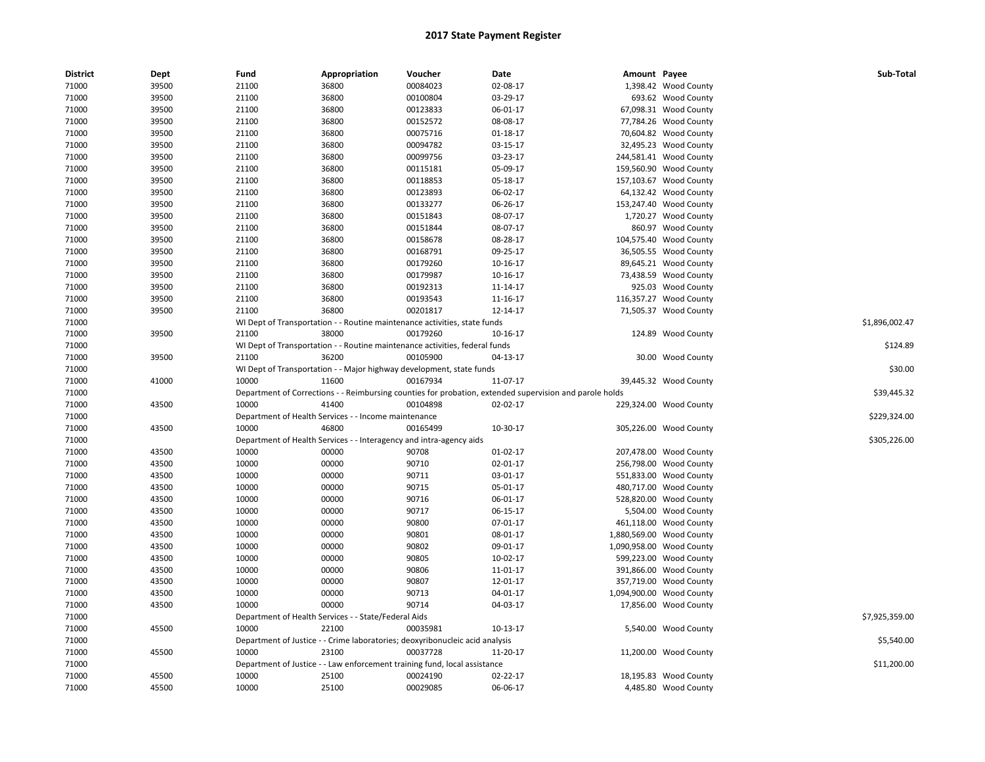| <b>District</b> | Dept  | Fund  | Appropriation                                                       | Voucher                                                                      | Date                                                                                                    | Amount Payee |                          | Sub-Total      |
|-----------------|-------|-------|---------------------------------------------------------------------|------------------------------------------------------------------------------|---------------------------------------------------------------------------------------------------------|--------------|--------------------------|----------------|
| 71000           | 39500 | 21100 | 36800                                                               | 00084023                                                                     | 02-08-17                                                                                                |              | 1,398.42 Wood County     |                |
| 71000           | 39500 | 21100 | 36800                                                               | 00100804                                                                     | 03-29-17                                                                                                |              | 693.62 Wood County       |                |
| 71000           | 39500 | 21100 | 36800                                                               | 00123833                                                                     | 06-01-17                                                                                                |              | 67,098.31 Wood County    |                |
| 71000           | 39500 | 21100 | 36800                                                               | 00152572                                                                     | 08-08-17                                                                                                |              | 77,784.26 Wood County    |                |
| 71000           | 39500 | 21100 | 36800                                                               | 00075716                                                                     | 01-18-17                                                                                                |              | 70,604.82 Wood County    |                |
| 71000           | 39500 | 21100 | 36800                                                               | 00094782                                                                     | 03-15-17                                                                                                |              | 32,495.23 Wood County    |                |
| 71000           | 39500 | 21100 | 36800                                                               | 00099756                                                                     | 03-23-17                                                                                                |              | 244,581.41 Wood County   |                |
| 71000           | 39500 | 21100 | 36800                                                               | 00115181                                                                     | 05-09-17                                                                                                |              | 159,560.90 Wood County   |                |
| 71000           | 39500 | 21100 | 36800                                                               | 00118853                                                                     | 05-18-17                                                                                                |              | 157,103.67 Wood County   |                |
| 71000           | 39500 | 21100 | 36800                                                               | 00123893                                                                     | 06-02-17                                                                                                |              | 64,132.42 Wood County    |                |
| 71000           | 39500 | 21100 | 36800                                                               | 00133277                                                                     | 06-26-17                                                                                                |              | 153,247.40 Wood County   |                |
| 71000           | 39500 | 21100 | 36800                                                               | 00151843                                                                     | 08-07-17                                                                                                |              | 1,720.27 Wood County     |                |
| 71000           | 39500 | 21100 | 36800                                                               | 00151844                                                                     | 08-07-17                                                                                                |              | 860.97 Wood County       |                |
| 71000           | 39500 | 21100 | 36800                                                               | 00158678                                                                     | 08-28-17                                                                                                |              | 104,575.40 Wood County   |                |
| 71000           | 39500 | 21100 | 36800                                                               | 00168791                                                                     | 09-25-17                                                                                                |              | 36,505.55 Wood County    |                |
| 71000           | 39500 | 21100 | 36800                                                               | 00179260                                                                     | 10-16-17                                                                                                |              | 89,645.21 Wood County    |                |
| 71000           | 39500 | 21100 | 36800                                                               | 00179987                                                                     | 10-16-17                                                                                                |              | 73,438.59 Wood County    |                |
| 71000           | 39500 | 21100 | 36800                                                               | 00192313                                                                     | 11-14-17                                                                                                |              | 925.03 Wood County       |                |
| 71000           | 39500 | 21100 | 36800                                                               | 00193543                                                                     | 11-16-17                                                                                                |              | 116,357.27 Wood County   |                |
| 71000           | 39500 | 21100 | 36800                                                               | 00201817                                                                     | 12-14-17                                                                                                |              | 71,505.37 Wood County    |                |
| 71000           |       |       |                                                                     | WI Dept of Transportation - - Routine maintenance activities, state funds    |                                                                                                         |              |                          | \$1,896,002.47 |
| 71000           | 39500 | 21100 | 38000                                                               | 00179260                                                                     | 10-16-17                                                                                                |              | 124.89 Wood County       |                |
| 71000           |       |       |                                                                     | WI Dept of Transportation - - Routine maintenance activities, federal funds  |                                                                                                         |              |                          | \$124.89       |
| 71000           | 39500 | 21100 | 36200                                                               | 00105900                                                                     | 04-13-17                                                                                                |              | 30.00 Wood County        |                |
| 71000           |       |       |                                                                     | WI Dept of Transportation - - Major highway development, state funds         |                                                                                                         |              |                          | \$30.00        |
| 71000           | 41000 | 10000 | 11600                                                               | 00167934                                                                     | 11-07-17                                                                                                |              | 39,445.32 Wood County    |                |
| 71000           |       |       |                                                                     |                                                                              | Department of Corrections - - Reimbursing counties for probation, extended supervision and parole holds |              |                          | \$39,445.32    |
| 71000           | 43500 | 10000 | 41400                                                               | 00104898                                                                     | 02-02-17                                                                                                |              | 229,324.00 Wood County   |                |
| 71000           |       |       | Department of Health Services - - Income maintenance                |                                                                              |                                                                                                         |              |                          | \$229,324.00   |
| 71000           | 43500 | 10000 | 46800                                                               | 00165499                                                                     | 10-30-17                                                                                                |              | 305,226.00 Wood County   |                |
| 71000           |       |       | Department of Health Services - - Interagency and intra-agency aids |                                                                              |                                                                                                         |              |                          | \$305,226.00   |
| 71000           | 43500 | 10000 | 00000                                                               | 90708                                                                        | $01-02-17$                                                                                              |              | 207,478.00 Wood County   |                |
| 71000           | 43500 | 10000 | 00000                                                               | 90710                                                                        | 02-01-17                                                                                                |              | 256,798.00 Wood County   |                |
| 71000           | 43500 | 10000 | 00000                                                               | 90711                                                                        | 03-01-17                                                                                                |              | 551,833.00 Wood County   |                |
| 71000           | 43500 | 10000 | 00000                                                               | 90715                                                                        | 05-01-17                                                                                                |              | 480,717.00 Wood County   |                |
| 71000           | 43500 | 10000 | 00000                                                               | 90716                                                                        | 06-01-17                                                                                                |              | 528,820.00 Wood County   |                |
| 71000           | 43500 | 10000 | 00000                                                               | 90717                                                                        | 06-15-17                                                                                                |              | 5,504.00 Wood County     |                |
| 71000           | 43500 | 10000 | 00000                                                               | 90800                                                                        | 07-01-17                                                                                                |              | 461,118.00 Wood County   |                |
| 71000           | 43500 | 10000 | 00000                                                               | 90801                                                                        | 08-01-17                                                                                                |              | 1,880,569.00 Wood County |                |
| 71000           | 43500 | 10000 | 00000                                                               | 90802                                                                        | 09-01-17                                                                                                |              | 1,090,958.00 Wood County |                |
| 71000           | 43500 | 10000 | 00000                                                               | 90805                                                                        | 10-02-17                                                                                                |              | 599,223.00 Wood County   |                |
| 71000           | 43500 | 10000 | 00000                                                               | 90806                                                                        | 11-01-17                                                                                                |              | 391,866.00 Wood County   |                |
| 71000           | 43500 | 10000 | 00000                                                               | 90807                                                                        | 12-01-17                                                                                                |              | 357,719.00 Wood County   |                |
| 71000           | 43500 | 10000 | 00000                                                               | 90713                                                                        | 04-01-17                                                                                                |              | 1,094,900.00 Wood County |                |
| 71000           | 43500 | 10000 | 00000                                                               | 90714                                                                        | 04-03-17                                                                                                |              | 17,856.00 Wood County    |                |
| 71000           |       |       | Department of Health Services - - State/Federal Aids                |                                                                              |                                                                                                         |              |                          | \$7,925,359.00 |
| 71000           | 45500 | 10000 | 22100                                                               | 00035981                                                                     | 10-13-17                                                                                                |              | 5,540.00 Wood County     |                |
| 71000           |       |       |                                                                     | Department of Justice - - Crime laboratories; deoxyribonucleic acid analysis |                                                                                                         |              |                          | \$5,540.00     |
| 71000           | 45500 | 10000 | 23100                                                               | 00037728                                                                     | 11-20-17                                                                                                |              | 11,200.00 Wood County    |                |
| 71000           |       |       |                                                                     | Department of Justice - - Law enforcement training fund, local assistance    |                                                                                                         |              |                          | \$11,200.00    |
| 71000           | 45500 | 10000 | 25100                                                               | 00024190                                                                     | 02-22-17                                                                                                |              | 18,195.83 Wood County    |                |
| 71000           | 45500 | 10000 | 25100                                                               | 00029085                                                                     | 06-06-17                                                                                                |              | 4,485.80 Wood County     |                |
|                 |       |       |                                                                     |                                                                              |                                                                                                         |              |                          |                |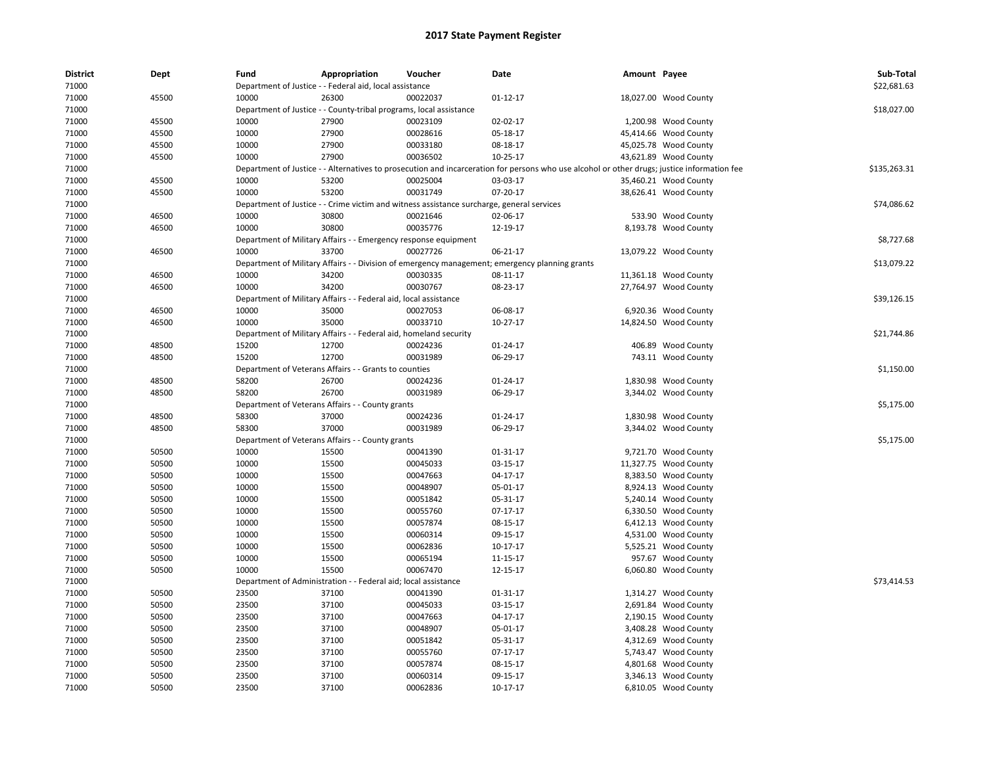| <b>District</b> | Dept  | Fund  | Appropriation                                                                             | Voucher  | Date                                                                                                                                        | Amount Payee |                       | Sub-Total    |
|-----------------|-------|-------|-------------------------------------------------------------------------------------------|----------|---------------------------------------------------------------------------------------------------------------------------------------------|--------------|-----------------------|--------------|
| 71000           |       |       | Department of Justice - - Federal aid, local assistance                                   |          |                                                                                                                                             |              |                       | \$22,681.63  |
| 71000           | 45500 | 10000 | 26300                                                                                     | 00022037 | 01-12-17                                                                                                                                    |              | 18,027.00 Wood County |              |
| 71000           |       |       | Department of Justice - - County-tribal programs, local assistance                        |          |                                                                                                                                             |              |                       | \$18,027.00  |
| 71000           | 45500 | 10000 | 27900                                                                                     | 00023109 | 02-02-17                                                                                                                                    |              | 1,200.98 Wood County  |              |
| 71000           | 45500 | 10000 | 27900                                                                                     | 00028616 | 05-18-17                                                                                                                                    |              | 45,414.66 Wood County |              |
| 71000           | 45500 | 10000 | 27900                                                                                     | 00033180 | 08-18-17                                                                                                                                    |              | 45,025.78 Wood County |              |
| 71000           | 45500 | 10000 | 27900                                                                                     | 00036502 | $10-25-17$                                                                                                                                  |              | 43,621.89 Wood County |              |
| 71000           |       |       |                                                                                           |          | Department of Justice - - Alternatives to prosecution and incarceration for persons who use alcohol or other drugs; justice information fee |              |                       | \$135,263.31 |
| 71000           | 45500 | 10000 | 53200                                                                                     | 00025004 | 03-03-17                                                                                                                                    |              | 35,460.21 Wood County |              |
| 71000           | 45500 | 10000 | 53200                                                                                     | 00031749 | 07-20-17                                                                                                                                    |              | 38,626.41 Wood County |              |
| 71000           |       |       | Department of Justice - - Crime victim and witness assistance surcharge, general services |          |                                                                                                                                             |              |                       | \$74,086.62  |
| 71000           | 46500 | 10000 | 30800                                                                                     | 00021646 | 02-06-17                                                                                                                                    |              | 533.90 Wood County    |              |
| 71000           | 46500 | 10000 | 30800                                                                                     | 00035776 | 12-19-17                                                                                                                                    |              | 8,193.78 Wood County  |              |
| 71000           |       |       | Department of Military Affairs - - Emergency response equipment                           |          |                                                                                                                                             |              |                       | \$8,727.68   |
| 71000           | 46500 | 10000 | 33700                                                                                     | 00027726 | 06-21-17                                                                                                                                    |              | 13,079.22 Wood County |              |
| 71000           |       |       |                                                                                           |          | Department of Military Affairs - - Division of emergency management; emergency planning grants                                              |              |                       | \$13,079.22  |
| 71000           | 46500 | 10000 | 34200                                                                                     | 00030335 | 08-11-17                                                                                                                                    |              | 11,361.18 Wood County |              |
| 71000           | 46500 | 10000 | 34200                                                                                     | 00030767 | 08-23-17                                                                                                                                    |              | 27,764.97 Wood County |              |
| 71000           |       |       | Department of Military Affairs - - Federal aid, local assistance                          |          |                                                                                                                                             |              |                       | \$39,126.15  |
| 71000           | 46500 | 10000 | 35000                                                                                     | 00027053 | 06-08-17                                                                                                                                    |              | 6,920.36 Wood County  |              |
| 71000           | 46500 | 10000 | 35000                                                                                     | 00033710 | $10-27-17$                                                                                                                                  |              | 14,824.50 Wood County |              |
| 71000           |       |       | Department of Military Affairs - - Federal aid, homeland security                         |          |                                                                                                                                             |              |                       | \$21,744.86  |
| 71000           | 48500 | 15200 | 12700                                                                                     | 00024236 | 01-24-17                                                                                                                                    |              | 406.89 Wood County    |              |
| 71000           | 48500 | 15200 | 12700                                                                                     | 00031989 | 06-29-17                                                                                                                                    |              | 743.11 Wood County    |              |
| 71000           |       |       | Department of Veterans Affairs - - Grants to counties                                     |          |                                                                                                                                             |              |                       | \$1,150.00   |
| 71000           | 48500 | 58200 | 26700                                                                                     | 00024236 | 01-24-17                                                                                                                                    |              | 1,830.98 Wood County  |              |
| 71000           | 48500 | 58200 | 26700                                                                                     | 00031989 | 06-29-17                                                                                                                                    |              | 3,344.02 Wood County  |              |
| 71000           |       |       | Department of Veterans Affairs - - County grants                                          |          |                                                                                                                                             |              |                       | \$5,175.00   |
| 71000           | 48500 | 58300 | 37000                                                                                     | 00024236 | 01-24-17                                                                                                                                    |              | 1,830.98 Wood County  |              |
| 71000           | 48500 | 58300 | 37000                                                                                     | 00031989 | 06-29-17                                                                                                                                    |              | 3,344.02 Wood County  |              |
| 71000           |       |       | Department of Veterans Affairs - - County grants                                          |          |                                                                                                                                             |              |                       | \$5,175.00   |
| 71000           | 50500 | 10000 | 15500                                                                                     | 00041390 | 01-31-17                                                                                                                                    |              | 9,721.70 Wood County  |              |
| 71000           | 50500 | 10000 | 15500                                                                                     | 00045033 | 03-15-17                                                                                                                                    |              | 11,327.75 Wood County |              |
| 71000           | 50500 | 10000 | 15500                                                                                     | 00047663 | 04-17-17                                                                                                                                    |              | 8,383.50 Wood County  |              |
| 71000           | 50500 | 10000 | 15500                                                                                     | 00048907 | 05-01-17                                                                                                                                    |              | 8,924.13 Wood County  |              |
| 71000           | 50500 | 10000 | 15500                                                                                     | 00051842 | 05-31-17                                                                                                                                    |              | 5,240.14 Wood County  |              |
| 71000           | 50500 | 10000 | 15500                                                                                     | 00055760 | $07-17-17$                                                                                                                                  |              | 6,330.50 Wood County  |              |
| 71000           | 50500 | 10000 | 15500                                                                                     | 00057874 | 08-15-17                                                                                                                                    |              | 6,412.13 Wood County  |              |
| 71000           | 50500 | 10000 | 15500                                                                                     | 00060314 | 09-15-17                                                                                                                                    |              | 4,531.00 Wood County  |              |
| 71000           | 50500 | 10000 | 15500                                                                                     | 00062836 | 10-17-17                                                                                                                                    |              | 5,525.21 Wood County  |              |
| 71000           | 50500 | 10000 | 15500                                                                                     | 00065194 | 11-15-17                                                                                                                                    |              | 957.67 Wood County    |              |
| 71000           | 50500 | 10000 | 15500                                                                                     | 00067470 | 12-15-17                                                                                                                                    |              | 6,060.80 Wood County  |              |
| 71000           |       |       | Department of Administration - - Federal aid; local assistance                            |          |                                                                                                                                             |              |                       | \$73,414.53  |
| 71000           | 50500 | 23500 | 37100                                                                                     | 00041390 | 01-31-17                                                                                                                                    |              | 1,314.27 Wood County  |              |
|                 | 50500 | 23500 | 37100                                                                                     | 00045033 | 03-15-17                                                                                                                                    |              | 2,691.84 Wood County  |              |
| 71000<br>71000  | 50500 | 23500 | 37100                                                                                     | 00047663 | 04-17-17                                                                                                                                    |              | 2,190.15 Wood County  |              |
|                 |       |       |                                                                                           |          |                                                                                                                                             |              |                       |              |
| 71000           | 50500 | 23500 | 37100                                                                                     | 00048907 | 05-01-17                                                                                                                                    |              | 3,408.28 Wood County  |              |
| 71000           | 50500 | 23500 | 37100                                                                                     | 00051842 | 05-31-17                                                                                                                                    |              | 4,312.69 Wood County  |              |
| 71000           | 50500 | 23500 | 37100                                                                                     | 00055760 | $07-17-17$                                                                                                                                  |              | 5,743.47 Wood County  |              |
| 71000           | 50500 | 23500 | 37100                                                                                     | 00057874 | 08-15-17                                                                                                                                    |              | 4,801.68 Wood County  |              |
| 71000           | 50500 | 23500 | 37100                                                                                     | 00060314 | 09-15-17                                                                                                                                    |              | 3,346.13 Wood County  |              |
| 71000           | 50500 | 23500 | 37100                                                                                     | 00062836 | 10-17-17                                                                                                                                    |              | 6,810.05 Wood County  |              |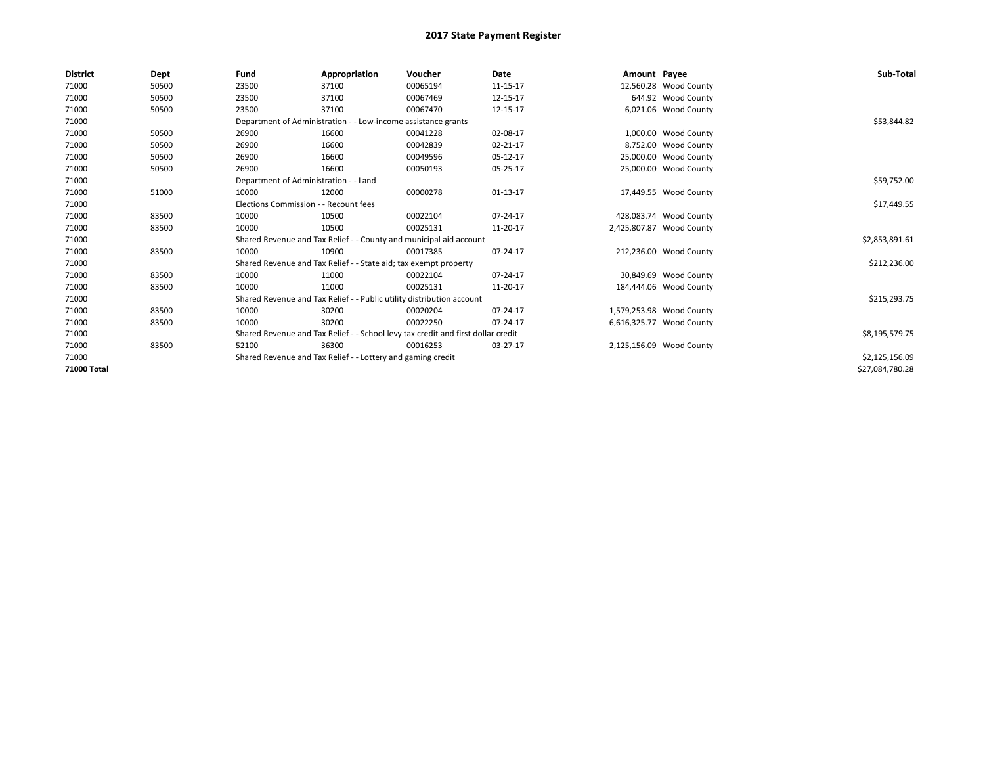| <b>District</b> | Dept  | Fund                                                                             | Appropriation                                                         | Voucher                                                            | <b>Date</b> | Amount Payee |                          | Sub-Total       |
|-----------------|-------|----------------------------------------------------------------------------------|-----------------------------------------------------------------------|--------------------------------------------------------------------|-------------|--------------|--------------------------|-----------------|
| 71000           | 50500 | 23500                                                                            | 37100                                                                 | 00065194                                                           | 11-15-17    |              | 12,560.28 Wood County    |                 |
| 71000           | 50500 | 23500                                                                            | 37100                                                                 | 00067469                                                           | 12-15-17    |              | 644.92 Wood County       |                 |
| 71000           | 50500 | 23500                                                                            | 37100                                                                 | 00067470                                                           | 12-15-17    |              | 6,021.06 Wood County     |                 |
| 71000           |       |                                                                                  | Department of Administration - - Low-income assistance grants         |                                                                    |             |              |                          | \$53,844.82     |
| 71000           | 50500 | 26900                                                                            | 16600                                                                 | 00041228                                                           | 02-08-17    |              | 1,000.00 Wood County     |                 |
| 71000           | 50500 | 26900                                                                            | 16600                                                                 | 00042839                                                           | 02-21-17    |              | 8,752.00 Wood County     |                 |
| 71000           | 50500 | 26900                                                                            | 16600                                                                 | 00049596                                                           | 05-12-17    |              | 25,000.00 Wood County    |                 |
| 71000           | 50500 | 26900                                                                            | 16600                                                                 | 00050193                                                           | 05-25-17    |              | 25,000.00 Wood County    |                 |
| 71000           |       | Department of Administration - - Land                                            |                                                                       |                                                                    |             |              |                          | \$59,752.00     |
| 71000           | 51000 | 10000                                                                            | 12000                                                                 | 00000278                                                           | 01-13-17    |              | 17,449.55 Wood County    |                 |
| 71000           |       | Elections Commission - - Recount fees                                            |                                                                       |                                                                    |             |              |                          | \$17,449.55     |
| 71000           | 83500 | 10000                                                                            | 10500                                                                 | 00022104                                                           | 07-24-17    |              | 428,083.74 Wood County   |                 |
| 71000           | 83500 | 10000                                                                            | 10500                                                                 | 00025131                                                           | 11-20-17    |              | 2,425,807.87 Wood County |                 |
| 71000           |       |                                                                                  |                                                                       | Shared Revenue and Tax Relief - - County and municipal aid account |             |              |                          | \$2,853,891.61  |
| 71000           | 83500 | 10000                                                                            | 10900                                                                 | 00017385                                                           | 07-24-17    |              | 212,236.00 Wood County   |                 |
| 71000           |       |                                                                                  | Shared Revenue and Tax Relief - - State aid; tax exempt property      |                                                                    |             |              |                          | \$212,236.00    |
| 71000           | 83500 | 10000                                                                            | 11000                                                                 | 00022104                                                           | 07-24-17    |              | 30,849.69 Wood County    |                 |
| 71000           | 83500 | 10000                                                                            | 11000                                                                 | 00025131                                                           | 11-20-17    |              | 184,444.06 Wood County   |                 |
| 71000           |       |                                                                                  | Shared Revenue and Tax Relief - - Public utility distribution account |                                                                    |             |              |                          | \$215,293.75    |
| 71000           | 83500 | 10000                                                                            | 30200                                                                 | 00020204                                                           | 07-24-17    |              | 1,579,253.98 Wood County |                 |
| 71000           | 83500 | 10000                                                                            | 30200                                                                 | 00022250                                                           | 07-24-17    |              | 6,616,325.77 Wood County |                 |
| 71000           |       | Shared Revenue and Tax Relief - - School levy tax credit and first dollar credit |                                                                       | \$8,195,579.75                                                     |             |              |                          |                 |
| 71000           | 83500 | 52100                                                                            | 36300                                                                 | 00016253                                                           | 03-27-17    |              | 2,125,156.09 Wood County |                 |
| 71000           |       | Shared Revenue and Tax Relief - - Lottery and gaming credit                      |                                                                       | \$2,125,156.09                                                     |             |              |                          |                 |
| 71000 Total     |       |                                                                                  |                                                                       |                                                                    |             |              |                          | \$27,084,780.28 |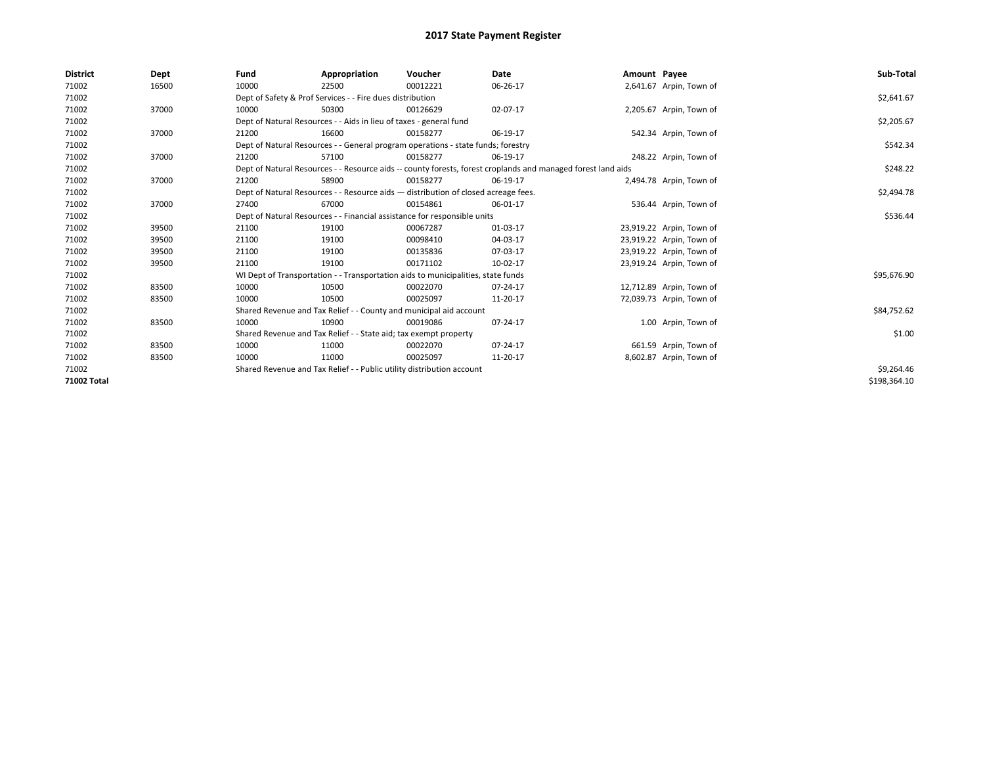| <b>District</b> | Dept  | Fund  | Appropriation                                                                                                | Voucher  | Date     | Amount Payee |                          | Sub-Total    |  |  |  |
|-----------------|-------|-------|--------------------------------------------------------------------------------------------------------------|----------|----------|--------------|--------------------------|--------------|--|--|--|
| 71002           | 16500 | 10000 | 22500                                                                                                        | 00012221 | 06-26-17 |              | 2,641.67 Arpin, Town of  |              |  |  |  |
| 71002           |       |       | Dept of Safety & Prof Services - - Fire dues distribution                                                    |          |          |              |                          | \$2,641.67   |  |  |  |
| 71002           | 37000 | 10000 | 50300                                                                                                        | 00126629 | 02-07-17 |              | 2,205.67 Arpin, Town of  |              |  |  |  |
| 71002           |       |       | Dept of Natural Resources - - Aids in lieu of taxes - general fund                                           |          |          |              |                          |              |  |  |  |
| 71002           | 37000 | 21200 | 16600                                                                                                        | 00158277 | 06-19-17 |              | 542.34 Arpin, Town of    |              |  |  |  |
| 71002           |       |       | Dept of Natural Resources - - General program operations - state funds; forestry                             |          |          |              |                          | \$542.34     |  |  |  |
| 71002           | 37000 | 21200 | 57100                                                                                                        | 00158277 | 06-19-17 |              | 248.22 Arpin, Town of    |              |  |  |  |
| 71002           |       |       | Dept of Natural Resources - - Resource aids -- county forests, forest croplands and managed forest land aids |          | \$248.22 |              |                          |              |  |  |  |
| 71002           | 37000 | 21200 | 58900                                                                                                        | 00158277 | 06-19-17 |              | 2,494.78 Arpin, Town of  |              |  |  |  |
| 71002           |       |       | Dept of Natural Resources - - Resource aids - distribution of closed acreage fees.                           |          |          |              |                          | \$2,494.78   |  |  |  |
| 71002           | 37000 | 27400 | 67000                                                                                                        | 00154861 | 06-01-17 |              | 536.44 Arpin, Town of    |              |  |  |  |
| 71002           |       |       | Dept of Natural Resources - - Financial assistance for responsible units                                     |          | \$536.44 |              |                          |              |  |  |  |
| 71002           | 39500 | 21100 | 19100                                                                                                        | 00067287 | 01-03-17 |              | 23,919.22 Arpin, Town of |              |  |  |  |
| 71002           | 39500 | 21100 | 19100                                                                                                        | 00098410 | 04-03-17 |              | 23,919.22 Arpin, Town of |              |  |  |  |
| 71002           | 39500 | 21100 | 19100                                                                                                        | 00135836 | 07-03-17 |              | 23,919.22 Arpin, Town of |              |  |  |  |
| 71002           | 39500 | 21100 | 19100                                                                                                        | 00171102 | 10-02-17 |              | 23,919.24 Arpin, Town of |              |  |  |  |
| 71002           |       |       | WI Dept of Transportation - - Transportation aids to municipalities, state funds                             |          |          |              |                          | \$95,676.90  |  |  |  |
| 71002           | 83500 | 10000 | 10500                                                                                                        | 00022070 | 07-24-17 |              | 12,712.89 Arpin, Town of |              |  |  |  |
| 71002           | 83500 | 10000 | 10500                                                                                                        | 00025097 | 11-20-17 |              | 72,039.73 Arpin, Town of |              |  |  |  |
| 71002           |       |       | Shared Revenue and Tax Relief - - County and municipal aid account                                           |          |          |              |                          | \$84,752.62  |  |  |  |
| 71002           | 83500 | 10000 | 10900                                                                                                        | 00019086 | 07-24-17 |              | 1.00 Arpin, Town of      |              |  |  |  |
| 71002           |       |       | Shared Revenue and Tax Relief - - State aid; tax exempt property                                             |          |          |              |                          | \$1.00       |  |  |  |
| 71002           | 83500 | 10000 | 11000                                                                                                        | 00022070 | 07-24-17 |              | 661.59 Arpin, Town of    |              |  |  |  |
| 71002           | 83500 | 10000 | 11000                                                                                                        | 00025097 | 11-20-17 |              | 8,602.87 Arpin, Town of  |              |  |  |  |
| 71002           |       |       | Shared Revenue and Tax Relief - - Public utility distribution account                                        |          |          |              |                          | \$9,264.46   |  |  |  |
| 71002 Total     |       |       |                                                                                                              |          |          |              |                          | \$198,364.10 |  |  |  |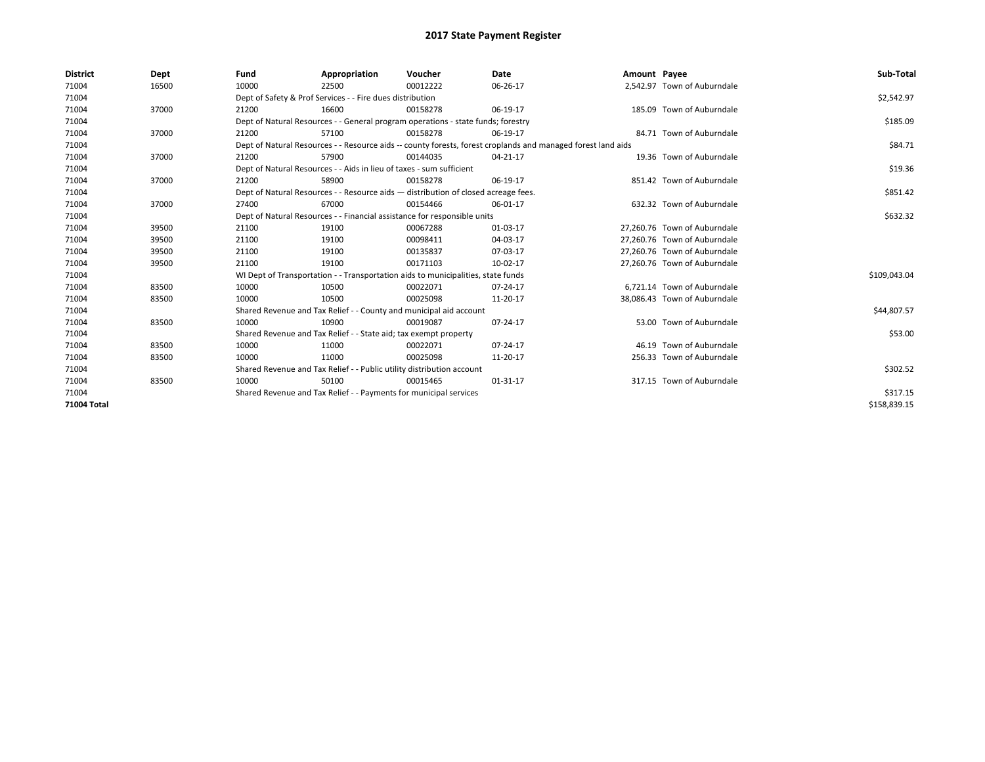| <b>District</b>    | Dept  | Fund  | Appropriation                                                                                                | Voucher  | Date     | Amount Payee |                              | Sub-Total    |  |  |
|--------------------|-------|-------|--------------------------------------------------------------------------------------------------------------|----------|----------|--------------|------------------------------|--------------|--|--|
| 71004              | 16500 | 10000 | 22500                                                                                                        | 00012222 | 06-26-17 |              | 2,542.97 Town of Auburndale  |              |  |  |
| 71004              |       |       | Dept of Safety & Prof Services - - Fire dues distribution                                                    |          |          |              |                              | \$2,542.97   |  |  |
| 71004              | 37000 | 21200 | 16600                                                                                                        | 00158278 | 06-19-17 |              | 185.09 Town of Auburndale    |              |  |  |
| 71004              |       |       | Dept of Natural Resources - - General program operations - state funds; forestry                             |          |          |              |                              | \$185.09     |  |  |
| 71004              | 37000 | 21200 | 57100                                                                                                        | 00158278 | 06-19-17 |              | 84.71 Town of Auburndale     |              |  |  |
| 71004              |       |       | Dept of Natural Resources - - Resource aids -- county forests, forest croplands and managed forest land aids |          |          |              |                              | \$84.71      |  |  |
| 71004              | 37000 | 21200 | 57900                                                                                                        | 00144035 | 04-21-17 |              | 19.36 Town of Auburndale     |              |  |  |
| 71004              |       |       | Dept of Natural Resources - - Aids in lieu of taxes - sum sufficient                                         |          |          |              |                              | \$19.36      |  |  |
| 71004              | 37000 | 21200 | 58900                                                                                                        | 00158278 | 06-19-17 |              | 851.42 Town of Auburndale    |              |  |  |
| 71004              |       |       | Dept of Natural Resources - - Resource aids - distribution of closed acreage fees.                           |          |          |              |                              | \$851.42     |  |  |
| 71004              | 37000 | 27400 | 67000                                                                                                        | 00154466 | 06-01-17 |              | 632.32 Town of Auburndale    |              |  |  |
| 71004              |       |       | Dept of Natural Resources - - Financial assistance for responsible units                                     |          |          |              |                              | \$632.32     |  |  |
| 71004              | 39500 | 21100 | 19100                                                                                                        | 00067288 | 01-03-17 |              | 27,260.76 Town of Auburndale |              |  |  |
| 71004              | 39500 | 21100 | 19100                                                                                                        | 00098411 | 04-03-17 |              | 27.260.76 Town of Auburndale |              |  |  |
| 71004              | 39500 | 21100 | 19100                                                                                                        | 00135837 | 07-03-17 |              | 27,260.76 Town of Auburndale |              |  |  |
| 71004              | 39500 | 21100 | 19100                                                                                                        | 00171103 | 10-02-17 |              | 27,260.76 Town of Auburndale |              |  |  |
| 71004              |       |       | WI Dept of Transportation - - Transportation aids to municipalities, state funds                             |          |          |              |                              | \$109,043.04 |  |  |
| 71004              | 83500 | 10000 | 10500                                                                                                        | 00022071 | 07-24-17 |              | 6.721.14 Town of Auburndale  |              |  |  |
| 71004              | 83500 | 10000 | 10500                                                                                                        | 00025098 | 11-20-17 |              | 38,086.43 Town of Auburndale |              |  |  |
| 71004              |       |       | Shared Revenue and Tax Relief - - County and municipal aid account                                           |          |          |              |                              | \$44,807.57  |  |  |
| 71004              | 83500 | 10000 | 10900                                                                                                        | 00019087 | 07-24-17 |              | 53.00 Town of Auburndale     |              |  |  |
| 71004              |       |       | Shared Revenue and Tax Relief - - State aid; tax exempt property                                             |          |          |              |                              | \$53.00      |  |  |
| 71004              | 83500 | 10000 | 11000                                                                                                        | 00022071 | 07-24-17 |              | 46.19 Town of Auburndale     |              |  |  |
| 71004              | 83500 | 10000 | 11000                                                                                                        | 00025098 | 11-20-17 |              | 256.33 Town of Auburndale    |              |  |  |
| 71004              |       |       | Shared Revenue and Tax Relief - - Public utility distribution account                                        |          |          |              |                              | \$302.52     |  |  |
| 71004              | 83500 | 10000 | 50100                                                                                                        | 00015465 | 01-31-17 |              | 317.15 Town of Auburndale    |              |  |  |
| 71004              |       |       | Shared Revenue and Tax Relief - - Payments for municipal services                                            |          |          |              |                              |              |  |  |
| <b>71004 Total</b> |       |       |                                                                                                              |          |          |              |                              | \$158,839.15 |  |  |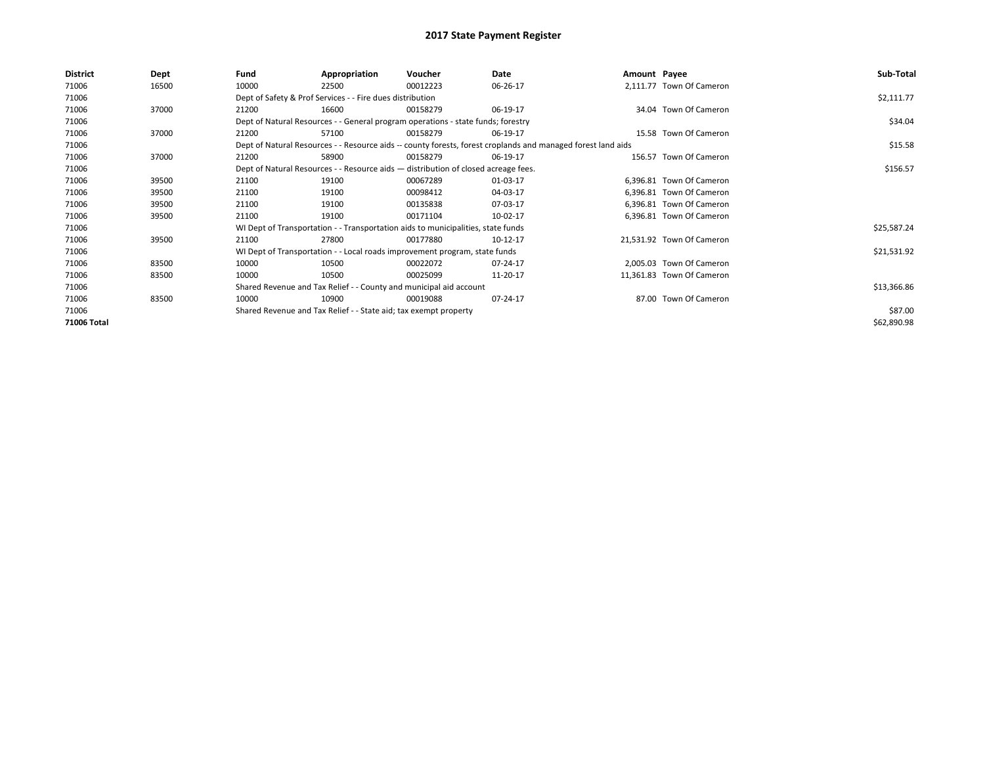| <b>District</b> | Dept  | Fund  | Appropriation                                                                      | Voucher  | Date                                                                                                         | Amount Payee |                           | Sub-Total   |
|-----------------|-------|-------|------------------------------------------------------------------------------------|----------|--------------------------------------------------------------------------------------------------------------|--------------|---------------------------|-------------|
| 71006           | 16500 | 10000 | 22500                                                                              | 00012223 | 06-26-17                                                                                                     |              | 2,111.77 Town Of Cameron  |             |
| 71006           |       |       | Dept of Safety & Prof Services - - Fire dues distribution                          |          |                                                                                                              |              |                           | \$2,111.77  |
| 71006           | 37000 | 21200 | 16600                                                                              | 00158279 | 06-19-17                                                                                                     |              | 34.04 Town Of Cameron     |             |
| 71006           |       |       | Dept of Natural Resources - - General program operations - state funds; forestry   |          |                                                                                                              |              |                           | \$34.04     |
| 71006           | 37000 | 21200 | 57100                                                                              | 00158279 | 06-19-17                                                                                                     |              | 15.58 Town Of Cameron     |             |
| 71006           |       |       |                                                                                    |          | Dept of Natural Resources - - Resource aids -- county forests, forest croplands and managed forest land aids |              |                           | \$15.58     |
| 71006           | 37000 | 21200 | 58900                                                                              | 00158279 | 06-19-17                                                                                                     |              | 156.57 Town Of Cameron    |             |
| 71006           |       |       | Dept of Natural Resources - - Resource aids - distribution of closed acreage fees. |          |                                                                                                              |              |                           | \$156.57    |
| 71006           | 39500 | 21100 | 19100                                                                              | 00067289 | 01-03-17                                                                                                     |              | 6,396.81 Town Of Cameron  |             |
| 71006           | 39500 | 21100 | 19100                                                                              | 00098412 | 04-03-17                                                                                                     |              | 6,396.81 Town Of Cameron  |             |
| 71006           | 39500 | 21100 | 19100                                                                              | 00135838 | 07-03-17                                                                                                     |              | 6,396.81 Town Of Cameron  |             |
| 71006           | 39500 | 21100 | 19100                                                                              | 00171104 | 10-02-17                                                                                                     |              | 6,396.81 Town Of Cameron  |             |
| 71006           |       |       | WI Dept of Transportation - - Transportation aids to municipalities, state funds   |          |                                                                                                              |              |                           | \$25,587.24 |
| 71006           | 39500 | 21100 | 27800                                                                              | 00177880 | 10-12-17                                                                                                     |              | 21,531.92 Town Of Cameron |             |
| 71006           |       |       | WI Dept of Transportation - - Local roads improvement program, state funds         |          |                                                                                                              |              |                           | \$21,531.92 |
| 71006           | 83500 | 10000 | 10500                                                                              | 00022072 | 07-24-17                                                                                                     |              | 2,005.03 Town Of Cameron  |             |
| 71006           | 83500 | 10000 | 10500                                                                              | 00025099 | 11-20-17                                                                                                     |              | 11,361.83 Town Of Cameron |             |
| 71006           |       |       | Shared Revenue and Tax Relief - - County and municipal aid account                 |          |                                                                                                              |              |                           | \$13,366.86 |
| 71006           | 83500 | 10000 | 10900                                                                              | 00019088 | 07-24-17                                                                                                     |              | 87.00 Town Of Cameron     |             |
| 71006           |       |       | Shared Revenue and Tax Relief - - State aid; tax exempt property                   |          |                                                                                                              |              |                           | \$87.00     |
| 71006 Total     |       |       |                                                                                    |          |                                                                                                              |              |                           | \$62,890.98 |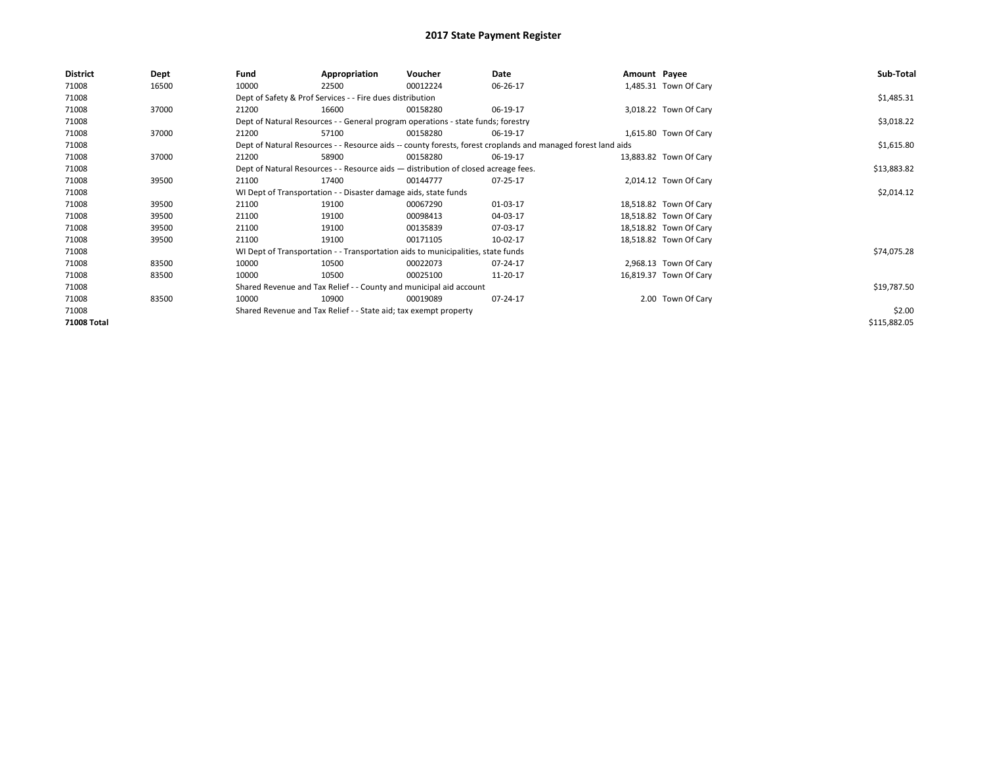| <b>District</b> | Dept  | Fund                                                               | Appropriation                                                                      | Voucher     | Date                                                                                                         | Amount Payee |                        | Sub-Total    |
|-----------------|-------|--------------------------------------------------------------------|------------------------------------------------------------------------------------|-------------|--------------------------------------------------------------------------------------------------------------|--------------|------------------------|--------------|
| 71008           | 16500 | 10000                                                              | 22500                                                                              | 00012224    | 06-26-17                                                                                                     |              | 1,485.31 Town Of Cary  |              |
| 71008           |       |                                                                    | Dept of Safety & Prof Services - - Fire dues distribution                          |             |                                                                                                              |              |                        | \$1,485.31   |
| 71008           | 37000 | 21200                                                              | 16600                                                                              | 00158280    | 06-19-17                                                                                                     |              | 3,018.22 Town Of Cary  |              |
| 71008           |       |                                                                    | Dept of Natural Resources - - General program operations - state funds; forestry   |             | \$3,018.22                                                                                                   |              |                        |              |
| 71008           | 37000 | 21200                                                              | 57100                                                                              | 00158280    | 06-19-17                                                                                                     |              | 1,615.80 Town Of Cary  |              |
| 71008           |       |                                                                    |                                                                                    |             | Dept of Natural Resources - - Resource aids -- county forests, forest croplands and managed forest land aids |              |                        | \$1,615.80   |
| 71008           | 37000 | 21200                                                              | 58900                                                                              | 00158280    | 06-19-17                                                                                                     |              | 13,883.82 Town Of Cary |              |
| 71008           |       |                                                                    | Dept of Natural Resources - - Resource aids - distribution of closed acreage fees. |             |                                                                                                              |              |                        | \$13,883.82  |
| 71008           | 39500 | 21100                                                              | 17400                                                                              | 00144777    | 07-25-17                                                                                                     |              | 2,014.12 Town Of Cary  |              |
| 71008           |       |                                                                    | WI Dept of Transportation - - Disaster damage aids, state funds                    |             |                                                                                                              |              |                        | \$2,014.12   |
| 71008           | 39500 | 21100                                                              | 19100                                                                              | 00067290    | 01-03-17                                                                                                     |              | 18,518.82 Town Of Cary |              |
| 71008           | 39500 | 21100                                                              | 19100                                                                              | 00098413    | 04-03-17                                                                                                     |              | 18,518.82 Town Of Cary |              |
| 71008           | 39500 | 21100                                                              | 19100                                                                              | 00135839    | 07-03-17                                                                                                     |              | 18,518.82 Town Of Cary |              |
| 71008           | 39500 | 21100                                                              | 19100                                                                              | 00171105    | 10-02-17                                                                                                     |              | 18,518.82 Town Of Cary |              |
| 71008           |       |                                                                    | WI Dept of Transportation - - Transportation aids to municipalities, state funds   |             |                                                                                                              |              |                        | \$74,075.28  |
| 71008           | 83500 | 10000                                                              | 10500                                                                              | 00022073    | 07-24-17                                                                                                     |              | 2,968.13 Town Of Cary  |              |
| 71008           | 83500 | 10000                                                              | 10500                                                                              | 00025100    | 11-20-17                                                                                                     |              | 16,819.37 Town Of Cary |              |
| 71008           |       | Shared Revenue and Tax Relief - - County and municipal aid account |                                                                                    | \$19,787.50 |                                                                                                              |              |                        |              |
| 71008           | 83500 | 10000                                                              | 10900                                                                              | 00019089    | 07-24-17                                                                                                     |              | 2.00 Town Of Cary      |              |
| 71008           |       | Shared Revenue and Tax Relief - - State aid; tax exempt property   |                                                                                    | \$2.00      |                                                                                                              |              |                        |              |
| 71008 Total     |       |                                                                    |                                                                                    |             |                                                                                                              |              |                        | \$115,882.05 |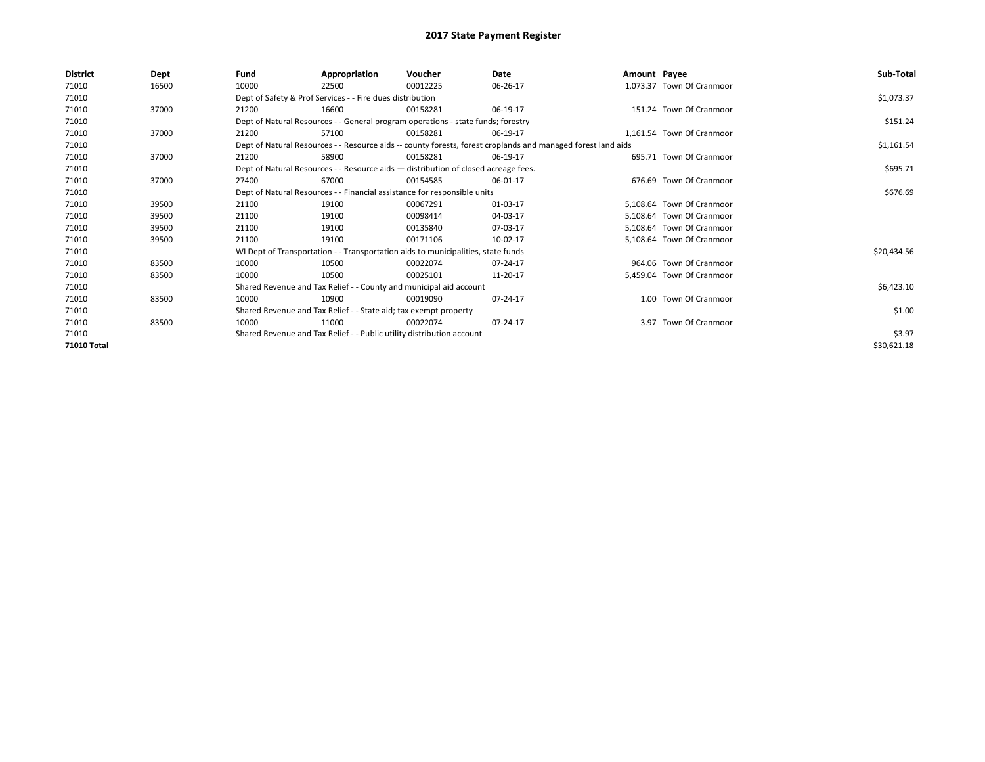| <b>District</b> | Dept  | Fund                                                                                                         | Appropriation                                                                      | Voucher    | Date     | Amount Payee |                           | Sub-Total   |
|-----------------|-------|--------------------------------------------------------------------------------------------------------------|------------------------------------------------------------------------------------|------------|----------|--------------|---------------------------|-------------|
| 71010           | 16500 | 10000                                                                                                        | 22500                                                                              | 00012225   | 06-26-17 |              | 1,073.37 Town Of Cranmoor |             |
| 71010           |       |                                                                                                              | Dept of Safety & Prof Services - - Fire dues distribution                          |            |          |              |                           | \$1,073.37  |
| 71010           | 37000 | 21200                                                                                                        | 16600                                                                              | 00158281   | 06-19-17 |              | 151.24 Town Of Cranmoor   |             |
| 71010           |       |                                                                                                              | Dept of Natural Resources - - General program operations - state funds; forestry   |            |          |              |                           | \$151.24    |
| 71010           | 37000 | 21200                                                                                                        | 57100                                                                              | 00158281   | 06-19-17 |              | 1.161.54 Town Of Cranmoor |             |
| 71010           |       | Dept of Natural Resources - - Resource aids -- county forests, forest croplands and managed forest land aids |                                                                                    | \$1,161.54 |          |              |                           |             |
| 71010           | 37000 | 21200                                                                                                        | 58900                                                                              | 00158281   | 06-19-17 |              | 695.71 Town Of Cranmoor   |             |
| 71010           |       |                                                                                                              | Dept of Natural Resources - - Resource aids - distribution of closed acreage fees. |            |          |              |                           | \$695.71    |
| 71010           | 37000 | 27400                                                                                                        | 67000                                                                              | 00154585   | 06-01-17 |              | 676.69 Town Of Cranmoor   |             |
| 71010           |       |                                                                                                              | Dept of Natural Resources - - Financial assistance for responsible units           |            |          |              |                           | \$676.69    |
| 71010           | 39500 | 21100                                                                                                        | 19100                                                                              | 00067291   | 01-03-17 |              | 5.108.64 Town Of Cranmoor |             |
| 71010           | 39500 | 21100                                                                                                        | 19100                                                                              | 00098414   | 04-03-17 |              | 5.108.64 Town Of Cranmoor |             |
| 71010           | 39500 | 21100                                                                                                        | 19100                                                                              | 00135840   | 07-03-17 |              | 5,108.64 Town Of Cranmoor |             |
| 71010           | 39500 | 21100                                                                                                        | 19100                                                                              | 00171106   | 10-02-17 |              | 5,108.64 Town Of Cranmoor |             |
| 71010           |       |                                                                                                              | WI Dept of Transportation - - Transportation aids to municipalities, state funds   |            |          |              |                           | \$20,434.56 |
| 71010           | 83500 | 10000                                                                                                        | 10500                                                                              | 00022074   | 07-24-17 |              | 964.06 Town Of Cranmoor   |             |
| 71010           | 83500 | 10000                                                                                                        | 10500                                                                              | 00025101   | 11-20-17 |              | 5,459.04 Town Of Cranmoor |             |
| 71010           |       |                                                                                                              | Shared Revenue and Tax Relief - - County and municipal aid account                 |            |          |              |                           | \$6,423.10  |
| 71010           | 83500 | 10000                                                                                                        | 10900                                                                              | 00019090   | 07-24-17 |              | 1.00 Town Of Cranmoor     |             |
| 71010           |       |                                                                                                              | Shared Revenue and Tax Relief - - State aid; tax exempt property                   |            |          |              |                           | \$1.00      |
| 71010           | 83500 | 10000                                                                                                        | 11000                                                                              | 00022074   | 07-24-17 |              | 3.97 Town Of Cranmoor     |             |
| 71010           |       |                                                                                                              | Shared Revenue and Tax Relief - - Public utility distribution account              |            |          |              |                           | \$3.97      |
| 71010 Total     |       |                                                                                                              |                                                                                    |            |          |              |                           | \$30,621.18 |
|                 |       |                                                                                                              |                                                                                    |            |          |              |                           |             |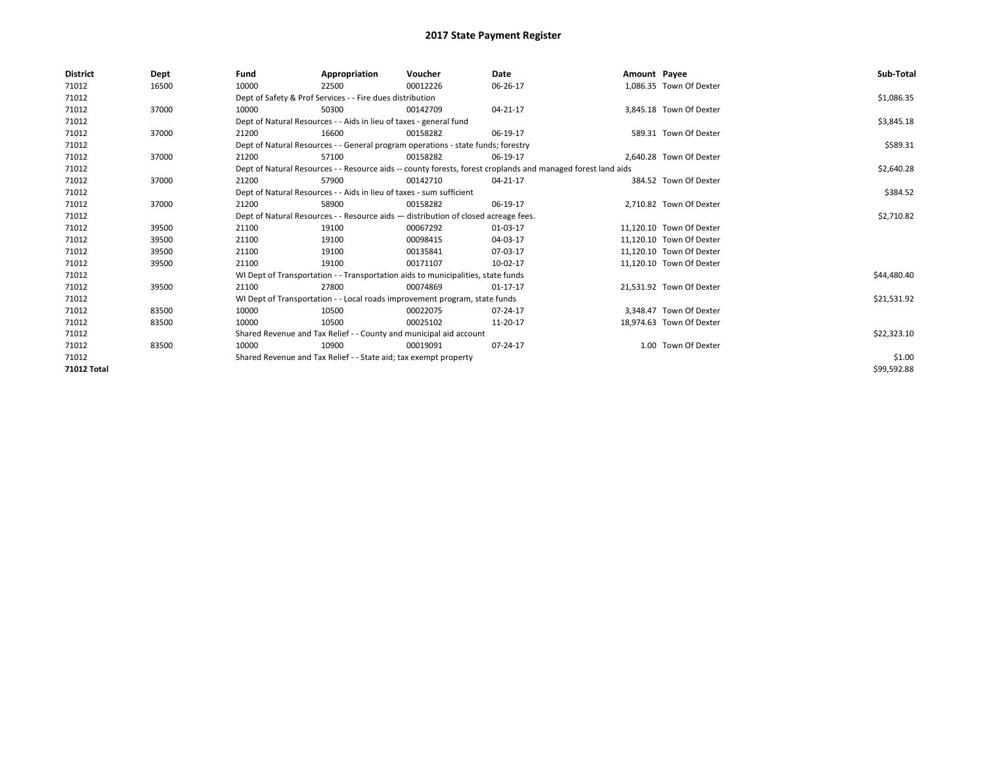| <b>District</b>    | Dept  | Fund                                                             | Appropriation                                                                                                | Voucher  | Date           | Amount Payee |                          | Sub-Total   |  |  |  |
|--------------------|-------|------------------------------------------------------------------|--------------------------------------------------------------------------------------------------------------|----------|----------------|--------------|--------------------------|-------------|--|--|--|
| 71012              | 16500 | 10000                                                            | 22500                                                                                                        | 00012226 | 06-26-17       |              | 1.086.35 Town Of Dexter  |             |  |  |  |
| 71012              |       |                                                                  | Dept of Safety & Prof Services - - Fire dues distribution                                                    |          |                |              |                          | \$1,086.35  |  |  |  |
| 71012              | 37000 | 10000                                                            | 50300                                                                                                        | 00142709 | $04 - 21 - 17$ |              | 3.845.18 Town Of Dexter  |             |  |  |  |
| 71012              |       |                                                                  | Dept of Natural Resources - - Aids in lieu of taxes - general fund                                           |          |                |              |                          |             |  |  |  |
| 71012              | 37000 | 21200                                                            | 16600                                                                                                        | 00158282 | 06-19-17       |              | 589.31 Town Of Dexter    |             |  |  |  |
| 71012              |       |                                                                  | Dept of Natural Resources - - General program operations - state funds; forestry                             |          |                |              |                          |             |  |  |  |
| 71012              | 37000 | 21200                                                            | 57100                                                                                                        | 00158282 | 06-19-17       |              | 2.640.28 Town Of Dexter  |             |  |  |  |
| 71012              |       |                                                                  | Dept of Natural Resources - - Resource aids -- county forests, forest croplands and managed forest land aids |          |                |              |                          |             |  |  |  |
| 71012              | 37000 | 21200                                                            | 57900                                                                                                        | 00142710 | 04-21-17       |              | 384.52 Town Of Dexter    |             |  |  |  |
| 71012              |       |                                                                  | Dept of Natural Resources - - Aids in lieu of taxes - sum sufficient                                         |          |                |              |                          | \$384.52    |  |  |  |
| 71012              | 37000 | 21200                                                            | 58900                                                                                                        | 00158282 | 06-19-17       |              | 2,710.82 Town Of Dexter  |             |  |  |  |
| 71012              |       |                                                                  | Dept of Natural Resources - - Resource aids - distribution of closed acreage fees.                           |          |                |              |                          |             |  |  |  |
| 71012              | 39500 | 21100                                                            | 19100                                                                                                        | 00067292 | 01-03-17       |              | 11,120.10 Town Of Dexter |             |  |  |  |
| 71012              | 39500 | 21100                                                            | 19100                                                                                                        | 00098415 | 04-03-17       |              | 11,120.10 Town Of Dexter |             |  |  |  |
| 71012              | 39500 | 21100                                                            | 19100                                                                                                        | 00135841 | 07-03-17       |              | 11,120.10 Town Of Dexter |             |  |  |  |
| 71012              | 39500 | 21100                                                            | 19100                                                                                                        | 00171107 | 10-02-17       |              | 11.120.10 Town Of Dexter |             |  |  |  |
| 71012              |       |                                                                  | WI Dept of Transportation - - Transportation aids to municipalities, state funds                             |          |                |              |                          | \$44,480.40 |  |  |  |
| 71012              | 39500 | 21100                                                            | 27800                                                                                                        | 00074869 | $01 - 17 - 17$ |              | 21,531.92 Town Of Dexter |             |  |  |  |
| 71012              |       |                                                                  | WI Dept of Transportation - - Local roads improvement program, state funds                                   |          |                |              |                          | \$21,531.92 |  |  |  |
| 71012              | 83500 | 10000                                                            | 10500                                                                                                        | 00022075 | 07-24-17       |              | 3.348.47 Town Of Dexter  |             |  |  |  |
| 71012              | 83500 | 10000                                                            | 10500                                                                                                        | 00025102 | 11-20-17       |              | 18.974.63 Town Of Dexter |             |  |  |  |
| 71012              |       |                                                                  | Shared Revenue and Tax Relief - - County and municipal aid account                                           |          |                |              |                          | \$22,323.10 |  |  |  |
| 71012              | 83500 | 10000                                                            | 10900                                                                                                        | 00019091 | 07-24-17       |              | 1.00 Town Of Dexter      |             |  |  |  |
| 71012              |       | Shared Revenue and Tax Relief - - State aid; tax exempt property |                                                                                                              | \$1.00   |                |              |                          |             |  |  |  |
| <b>71012 Total</b> |       |                                                                  |                                                                                                              |          |                |              |                          | \$99,592.88 |  |  |  |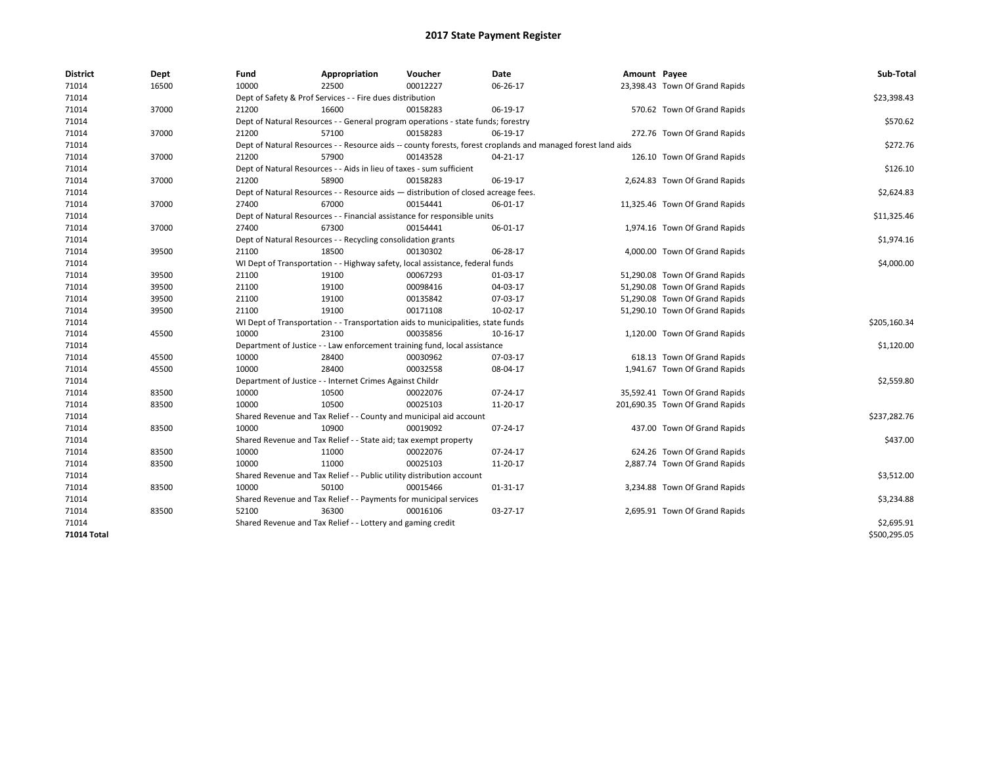| <b>District</b> | Dept  | Fund  | Appropriation                                                                      | Voucher  | Date                                                                                                         | Amount Payee |                                 | Sub-Total    |
|-----------------|-------|-------|------------------------------------------------------------------------------------|----------|--------------------------------------------------------------------------------------------------------------|--------------|---------------------------------|--------------|
| 71014           | 16500 | 10000 | 22500                                                                              | 00012227 | 06-26-17                                                                                                     |              | 23,398.43 Town Of Grand Rapids  |              |
| 71014           |       |       | Dept of Safety & Prof Services - - Fire dues distribution                          |          |                                                                                                              |              |                                 | \$23,398.43  |
| 71014           | 37000 | 21200 | 16600                                                                              | 00158283 | 06-19-17                                                                                                     |              | 570.62 Town Of Grand Rapids     |              |
| 71014           |       |       | Dept of Natural Resources - - General program operations - state funds; forestry   |          |                                                                                                              |              |                                 | \$570.62     |
| 71014           | 37000 | 21200 | 57100                                                                              | 00158283 | 06-19-17                                                                                                     |              | 272.76 Town Of Grand Rapids     |              |
| 71014           |       |       |                                                                                    |          | Dept of Natural Resources - - Resource aids -- county forests, forest croplands and managed forest land aids |              |                                 | \$272.76     |
| 71014           | 37000 | 21200 | 57900                                                                              | 00143528 | 04-21-17                                                                                                     |              | 126.10 Town Of Grand Rapids     |              |
| 71014           |       |       | Dept of Natural Resources - - Aids in lieu of taxes - sum sufficient               |          |                                                                                                              |              |                                 | \$126.10     |
| 71014           | 37000 | 21200 | 58900                                                                              | 00158283 | 06-19-17                                                                                                     |              | 2,624.83 Town Of Grand Rapids   |              |
| 71014           |       |       | Dept of Natural Resources - - Resource aids - distribution of closed acreage fees. |          |                                                                                                              |              |                                 | \$2,624.83   |
| 71014           | 37000 | 27400 | 67000                                                                              | 00154441 | 06-01-17                                                                                                     |              | 11,325.46 Town Of Grand Rapids  |              |
| 71014           |       |       | Dept of Natural Resources - - Financial assistance for responsible units           |          |                                                                                                              |              |                                 | \$11,325.46  |
| 71014           | 37000 | 27400 | 67300                                                                              | 00154441 | 06-01-17                                                                                                     |              | 1,974.16 Town Of Grand Rapids   |              |
| 71014           |       |       | Dept of Natural Resources - - Recycling consolidation grants                       |          |                                                                                                              |              |                                 | \$1,974.16   |
| 71014           | 39500 | 21100 | 18500                                                                              | 00130302 | 06-28-17                                                                                                     |              | 4,000.00 Town Of Grand Rapids   |              |
| 71014           |       |       | WI Dept of Transportation - - Highway safety, local assistance, federal funds      |          |                                                                                                              |              |                                 | \$4,000.00   |
| 71014           | 39500 | 21100 | 19100                                                                              | 00067293 | 01-03-17                                                                                                     |              | 51,290.08 Town Of Grand Rapids  |              |
| 71014           | 39500 | 21100 | 19100                                                                              | 00098416 | 04-03-17                                                                                                     |              | 51,290.08 Town Of Grand Rapids  |              |
| 71014           | 39500 | 21100 | 19100                                                                              | 00135842 | 07-03-17                                                                                                     |              | 51,290.08 Town Of Grand Rapids  |              |
| 71014           | 39500 | 21100 | 19100                                                                              | 00171108 | 10-02-17                                                                                                     |              | 51,290.10 Town Of Grand Rapids  |              |
| 71014           |       |       | WI Dept of Transportation - - Transportation aids to municipalities, state funds   |          |                                                                                                              |              |                                 | \$205,160.34 |
| 71014           | 45500 | 10000 | 23100                                                                              | 00035856 | 10-16-17                                                                                                     |              | 1,120.00 Town Of Grand Rapids   |              |
| 71014           |       |       | Department of Justice - - Law enforcement training fund, local assistance          |          |                                                                                                              |              |                                 | \$1,120.00   |
| 71014           | 45500 | 10000 | 28400                                                                              | 00030962 | 07-03-17                                                                                                     |              | 618.13 Town Of Grand Rapids     |              |
| 71014           | 45500 | 10000 | 28400                                                                              | 00032558 | 08-04-17                                                                                                     |              | 1,941.67 Town Of Grand Rapids   |              |
| 71014           |       |       | Department of Justice - - Internet Crimes Against Childr                           |          |                                                                                                              |              |                                 | \$2,559.80   |
| 71014           | 83500 | 10000 | 10500                                                                              | 00022076 | 07-24-17                                                                                                     |              | 35,592.41 Town Of Grand Rapids  |              |
| 71014           | 83500 | 10000 | 10500                                                                              | 00025103 | 11-20-17                                                                                                     |              | 201,690.35 Town Of Grand Rapids |              |
| 71014           |       |       | Shared Revenue and Tax Relief - - County and municipal aid account                 |          |                                                                                                              |              |                                 | \$237,282.76 |
| 71014           | 83500 | 10000 | 10900                                                                              | 00019092 | 07-24-17                                                                                                     |              | 437.00 Town Of Grand Rapids     |              |
| 71014           |       |       | Shared Revenue and Tax Relief - - State aid; tax exempt property                   |          |                                                                                                              |              |                                 | \$437.00     |
| 71014           | 83500 | 10000 | 11000                                                                              | 00022076 | 07-24-17                                                                                                     |              | 624.26 Town Of Grand Rapids     |              |
| 71014           | 83500 | 10000 | 11000                                                                              | 00025103 | 11-20-17                                                                                                     |              | 2,887.74 Town Of Grand Rapids   |              |
| 71014           |       |       | Shared Revenue and Tax Relief - - Public utility distribution account              |          |                                                                                                              |              |                                 | \$3,512.00   |
| 71014           | 83500 | 10000 | 50100                                                                              | 00015466 | 01-31-17                                                                                                     |              | 3,234.88 Town Of Grand Rapids   |              |
| 71014           |       |       | Shared Revenue and Tax Relief - - Payments for municipal services                  |          |                                                                                                              |              |                                 | \$3,234.88   |
| 71014           | 83500 | 52100 | 36300                                                                              | 00016106 | 03-27-17                                                                                                     |              | 2,695.91 Town Of Grand Rapids   |              |
| 71014           |       |       | Shared Revenue and Tax Relief - - Lottery and gaming credit                        |          |                                                                                                              |              |                                 | \$2,695.91   |
| 71014 Total     |       |       |                                                                                    |          |                                                                                                              |              |                                 | \$500,295.05 |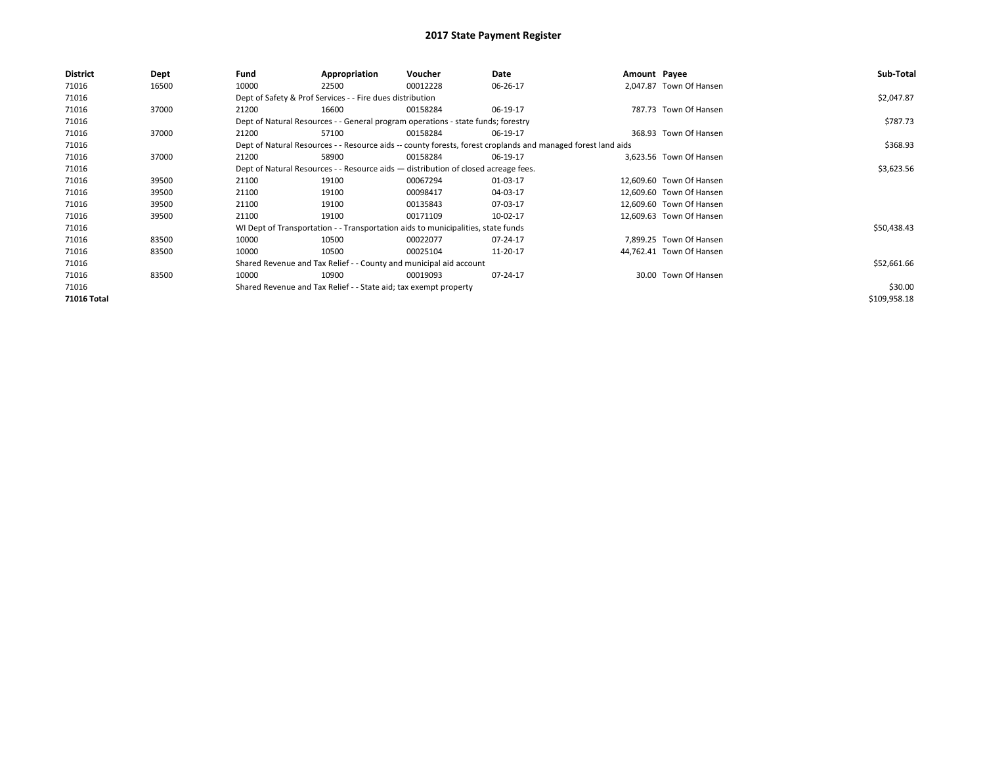| District    | Dept  | Fund  | Appropriation                                                                      | Voucher  | Date                                                                                                         | Amount Payee |                          | Sub-Total    |
|-------------|-------|-------|------------------------------------------------------------------------------------|----------|--------------------------------------------------------------------------------------------------------------|--------------|--------------------------|--------------|
| 71016       | 16500 | 10000 | 22500                                                                              | 00012228 | 06-26-17                                                                                                     |              | 2.047.87 Town Of Hansen  |              |
| 71016       |       |       | Dept of Safety & Prof Services - - Fire dues distribution                          |          |                                                                                                              |              |                          | \$2,047.87   |
| 71016       | 37000 | 21200 | 16600                                                                              | 00158284 | 06-19-17                                                                                                     |              | 787.73 Town Of Hansen    |              |
| 71016       |       |       | Dept of Natural Resources - - General program operations - state funds; forestry   |          |                                                                                                              |              |                          | \$787.73     |
| 71016       | 37000 | 21200 | 57100                                                                              | 00158284 | 06-19-17                                                                                                     |              | 368.93 Town Of Hansen    |              |
| 71016       |       |       |                                                                                    |          | Dept of Natural Resources - - Resource aids -- county forests, forest croplands and managed forest land aids |              |                          | \$368.93     |
| 71016       | 37000 | 21200 | 58900                                                                              | 00158284 | 06-19-17                                                                                                     |              | 3,623.56 Town Of Hansen  |              |
| 71016       |       |       | Dept of Natural Resources - - Resource aids - distribution of closed acreage fees. |          |                                                                                                              |              |                          | \$3,623.56   |
| 71016       | 39500 | 21100 | 19100                                                                              | 00067294 | 01-03-17                                                                                                     |              | 12.609.60 Town Of Hansen |              |
| 71016       | 39500 | 21100 | 19100                                                                              | 00098417 | 04-03-17                                                                                                     |              | 12,609.60 Town Of Hansen |              |
| 71016       | 39500 | 21100 | 19100                                                                              | 00135843 | 07-03-17                                                                                                     |              | 12,609.60 Town Of Hansen |              |
| 71016       | 39500 | 21100 | 19100                                                                              | 00171109 | 10-02-17                                                                                                     |              | 12,609.63 Town Of Hansen |              |
| 71016       |       |       | WI Dept of Transportation - - Transportation aids to municipalities, state funds   |          |                                                                                                              |              |                          | \$50,438.43  |
| 71016       | 83500 | 10000 | 10500                                                                              | 00022077 | 07-24-17                                                                                                     |              | 7.899.25 Town Of Hansen  |              |
| 71016       | 83500 | 10000 | 10500                                                                              | 00025104 | 11-20-17                                                                                                     |              | 44,762.41 Town Of Hansen |              |
| 71016       |       |       | Shared Revenue and Tax Relief - - County and municipal aid account                 |          |                                                                                                              |              |                          | \$52,661.66  |
| 71016       | 83500 | 10000 | 10900                                                                              | 00019093 | 07-24-17                                                                                                     |              | 30.00 Town Of Hansen     |              |
| 71016       |       |       | Shared Revenue and Tax Relief - - State aid; tax exempt property                   |          |                                                                                                              |              |                          | \$30.00      |
| 71016 Total |       |       |                                                                                    |          |                                                                                                              |              |                          | \$109,958.18 |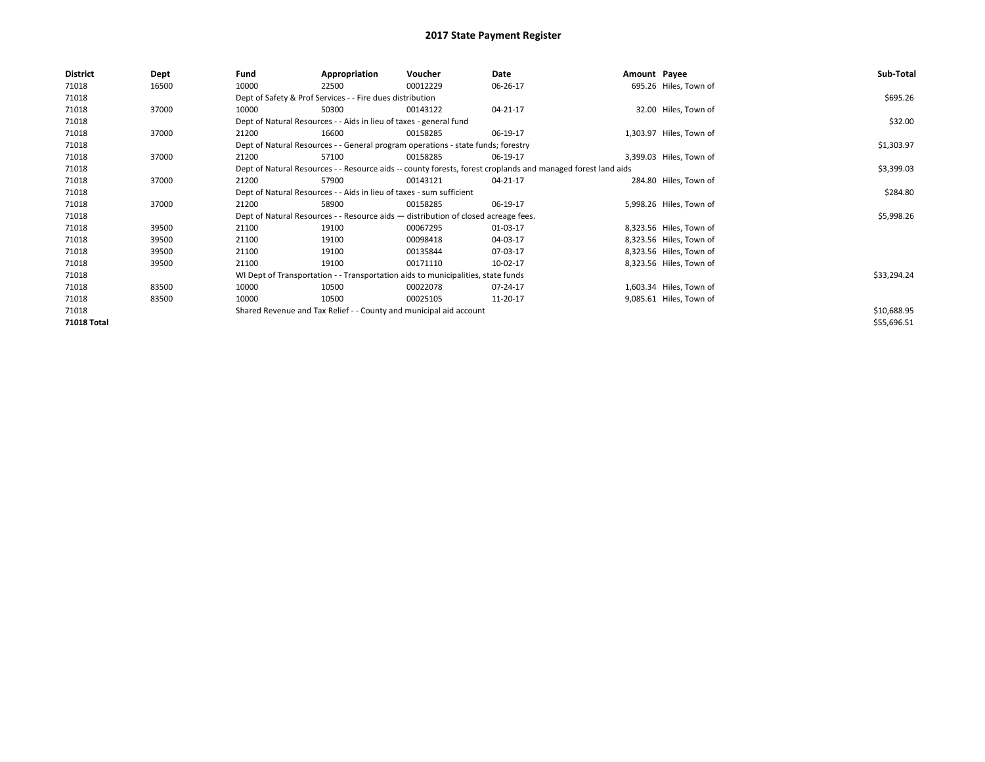| <b>District</b> | Dept  | Fund  | Appropriation                                                                      | Voucher  | Date                                                                                                         | Amount Payee |                         | Sub-Total   |
|-----------------|-------|-------|------------------------------------------------------------------------------------|----------|--------------------------------------------------------------------------------------------------------------|--------------|-------------------------|-------------|
| 71018           | 16500 | 10000 | 22500                                                                              | 00012229 | 06-26-17                                                                                                     |              | 695.26 Hiles, Town of   |             |
| 71018           |       |       | Dept of Safety & Prof Services - - Fire dues distribution                          |          |                                                                                                              |              |                         | \$695.26    |
| 71018           | 37000 | 10000 | 50300                                                                              | 00143122 | $04 - 21 - 17$                                                                                               |              | 32.00 Hiles, Town of    |             |
| 71018           |       |       | Dept of Natural Resources - - Aids in lieu of taxes - general fund                 |          |                                                                                                              |              |                         | \$32.00     |
| 71018           | 37000 | 21200 | 16600                                                                              | 00158285 | 06-19-17                                                                                                     |              | 1,303.97 Hiles, Town of |             |
| 71018           |       |       | Dept of Natural Resources - - General program operations - state funds; forestry   |          |                                                                                                              |              |                         | \$1,303.97  |
| 71018           | 37000 | 21200 | 57100                                                                              | 00158285 | 06-19-17                                                                                                     |              | 3,399.03 Hiles, Town of |             |
| 71018           |       |       |                                                                                    |          | Dept of Natural Resources - - Resource aids -- county forests, forest croplands and managed forest land aids |              |                         | \$3,399.03  |
| 71018           | 37000 | 21200 | 57900                                                                              | 00143121 | 04-21-17                                                                                                     |              | 284.80 Hiles, Town of   |             |
| 71018           |       |       | Dept of Natural Resources - - Aids in lieu of taxes - sum sufficient               |          |                                                                                                              |              |                         | \$284.80    |
| 71018           | 37000 | 21200 | 58900                                                                              | 00158285 | 06-19-17                                                                                                     |              | 5,998.26 Hiles, Town of |             |
| 71018           |       |       | Dept of Natural Resources - - Resource aids - distribution of closed acreage fees. |          |                                                                                                              |              |                         | \$5,998.26  |
| 71018           | 39500 | 21100 | 19100                                                                              | 00067295 | 01-03-17                                                                                                     |              | 8,323.56 Hiles, Town of |             |
| 71018           | 39500 | 21100 | 19100                                                                              | 00098418 | 04-03-17                                                                                                     |              | 8,323.56 Hiles, Town of |             |
| 71018           | 39500 | 21100 | 19100                                                                              | 00135844 | 07-03-17                                                                                                     |              | 8,323.56 Hiles, Town of |             |
| 71018           | 39500 | 21100 | 19100                                                                              | 00171110 | 10-02-17                                                                                                     |              | 8,323.56 Hiles, Town of |             |
| 71018           |       |       | WI Dept of Transportation - - Transportation aids to municipalities, state funds   |          |                                                                                                              |              |                         | \$33,294.24 |
| 71018           | 83500 | 10000 | 10500                                                                              | 00022078 | 07-24-17                                                                                                     |              | 1,603.34 Hiles, Town of |             |
| 71018           | 83500 | 10000 | 10500                                                                              | 00025105 | 11-20-17                                                                                                     |              | 9,085.61 Hiles, Town of |             |
| 71018           |       |       | Shared Revenue and Tax Relief - - County and municipal aid account                 |          |                                                                                                              |              |                         | \$10,688.95 |
| 71018 Total     |       |       |                                                                                    |          |                                                                                                              |              |                         | \$55,696.51 |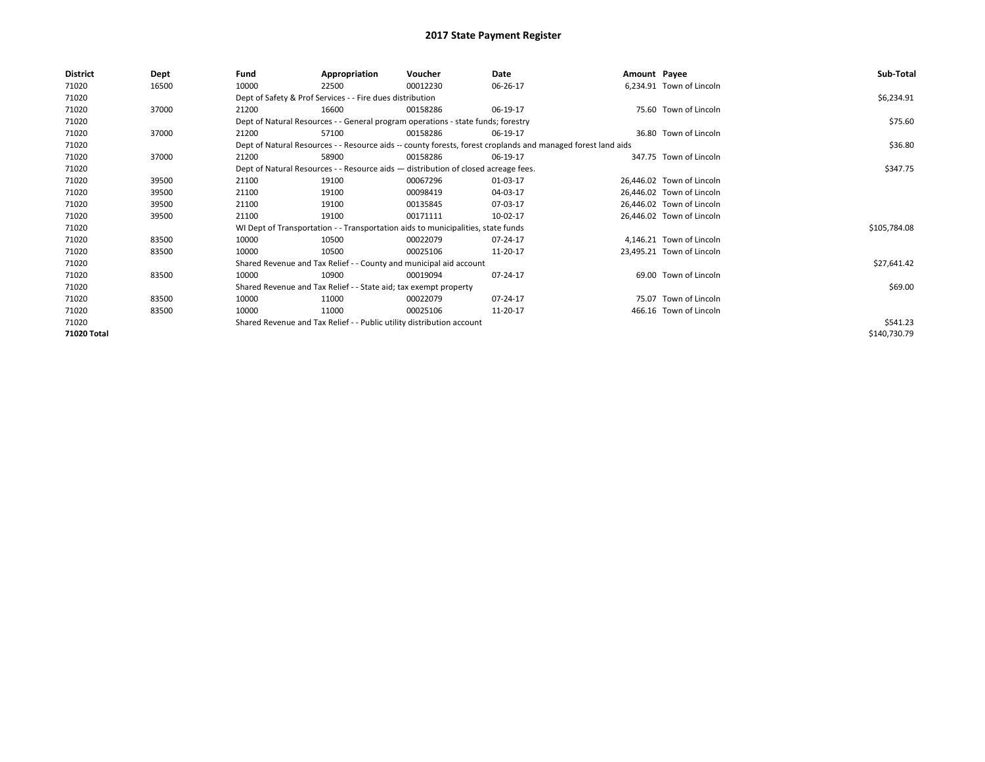| <b>District</b> | Dept  | Fund                                                                             | Appropriation                                                                      | Voucher  | Date                                                                                                         | Amount Payee |                           | Sub-Total    |
|-----------------|-------|----------------------------------------------------------------------------------|------------------------------------------------------------------------------------|----------|--------------------------------------------------------------------------------------------------------------|--------------|---------------------------|--------------|
| 71020           | 16500 | 10000                                                                            | 22500                                                                              | 00012230 | 06-26-17                                                                                                     |              | 6,234.91 Town of Lincoln  |              |
| 71020           |       |                                                                                  | Dept of Safety & Prof Services - - Fire dues distribution                          |          |                                                                                                              |              |                           | \$6,234.91   |
| 71020           | 37000 | 21200                                                                            | 16600                                                                              | 00158286 | 06-19-17                                                                                                     |              | 75.60 Town of Lincoln     |              |
| 71020           |       | Dept of Natural Resources - - General program operations - state funds; forestry |                                                                                    | \$75.60  |                                                                                                              |              |                           |              |
| 71020           | 37000 | 21200                                                                            | 57100                                                                              | 00158286 | 06-19-17                                                                                                     |              | 36.80 Town of Lincoln     |              |
| 71020           |       |                                                                                  |                                                                                    |          | Dept of Natural Resources - - Resource aids -- county forests, forest croplands and managed forest land aids |              |                           | \$36.80      |
| 71020           | 37000 | 21200                                                                            | 58900                                                                              | 00158286 | 06-19-17                                                                                                     |              | 347.75 Town of Lincoln    |              |
| 71020           |       |                                                                                  | Dept of Natural Resources - - Resource aids - distribution of closed acreage fees. |          |                                                                                                              |              |                           | \$347.75     |
| 71020           | 39500 | 21100                                                                            | 19100                                                                              | 00067296 | 01-03-17                                                                                                     |              | 26,446.02 Town of Lincoln |              |
| 71020           | 39500 | 21100                                                                            | 19100                                                                              | 00098419 | 04-03-17                                                                                                     |              | 26,446.02 Town of Lincoln |              |
| 71020           | 39500 | 21100                                                                            | 19100                                                                              | 00135845 | 07-03-17                                                                                                     |              | 26,446.02 Town of Lincoln |              |
| 71020           | 39500 | 21100                                                                            | 19100                                                                              | 00171111 | 10-02-17                                                                                                     |              | 26,446.02 Town of Lincoln |              |
| 71020           |       |                                                                                  | WI Dept of Transportation - - Transportation aids to municipalities, state funds   |          |                                                                                                              |              |                           | \$105,784.08 |
| 71020           | 83500 | 10000                                                                            | 10500                                                                              | 00022079 | 07-24-17                                                                                                     |              | 4,146.21 Town of Lincoln  |              |
| 71020           | 83500 | 10000                                                                            | 10500                                                                              | 00025106 | 11-20-17                                                                                                     |              | 23,495.21 Town of Lincoln |              |
| 71020           |       |                                                                                  | Shared Revenue and Tax Relief - - County and municipal aid account                 |          |                                                                                                              |              |                           | \$27,641.42  |
| 71020           | 83500 | 10000                                                                            | 10900                                                                              | 00019094 | 07-24-17                                                                                                     |              | 69.00 Town of Lincoln     |              |
| 71020           |       |                                                                                  | Shared Revenue and Tax Relief - - State aid; tax exempt property                   |          |                                                                                                              |              |                           | \$69.00      |
| 71020           | 83500 | 10000                                                                            | 11000                                                                              | 00022079 | 07-24-17                                                                                                     |              | 75.07 Town of Lincoln     |              |
| 71020           | 83500 | 10000                                                                            | 11000                                                                              | 00025106 | 11-20-17                                                                                                     |              | 466.16 Town of Lincoln    |              |
| 71020           |       |                                                                                  | Shared Revenue and Tax Relief - - Public utility distribution account              |          |                                                                                                              |              |                           | \$541.23     |
| 71020 Total     |       |                                                                                  |                                                                                    |          |                                                                                                              |              |                           | \$140,730.79 |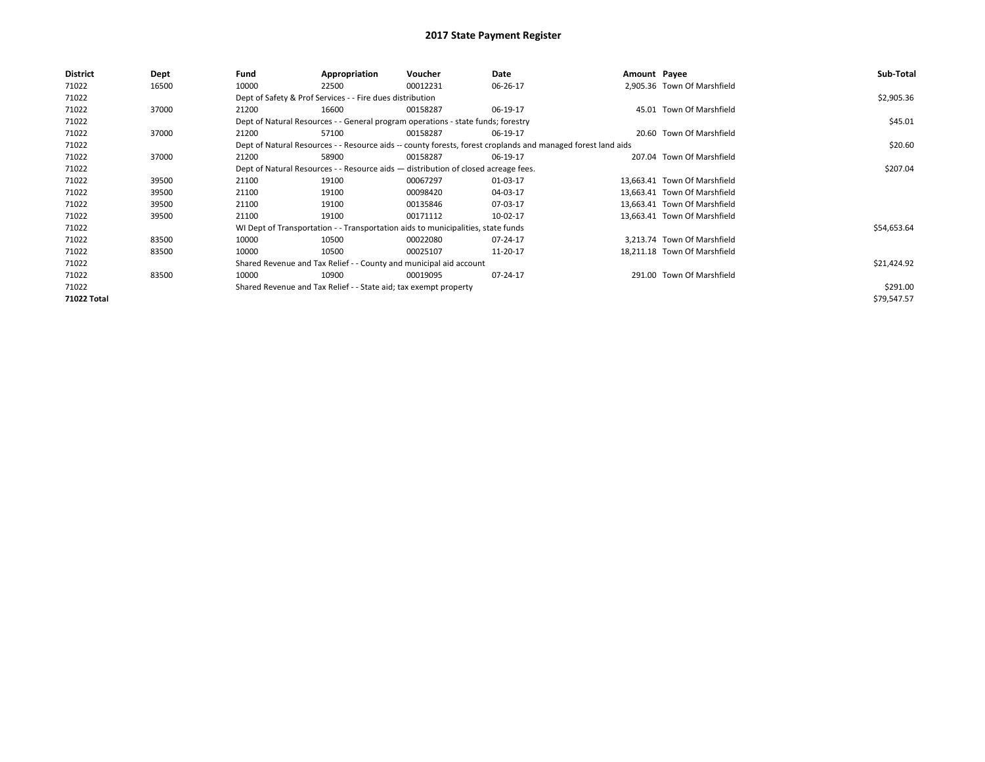| District           | Dept  | Fund  | Appropriation                                                                                                | Voucher  | Date     | Amount Payee |                              | Sub-Total   |  |  |  |
|--------------------|-------|-------|--------------------------------------------------------------------------------------------------------------|----------|----------|--------------|------------------------------|-------------|--|--|--|
| 71022              | 16500 | 10000 | 22500                                                                                                        | 00012231 | 06-26-17 |              | 2,905.36 Town Of Marshfield  |             |  |  |  |
| 71022              |       |       | Dept of Safety & Prof Services - - Fire dues distribution                                                    |          |          |              |                              | \$2,905.36  |  |  |  |
| 71022              | 37000 | 21200 | 16600                                                                                                        | 00158287 | 06-19-17 |              | 45.01 Town Of Marshfield     |             |  |  |  |
| 71022              |       |       | Dept of Natural Resources - - General program operations - state funds; forestry                             |          |          |              |                              | \$45.01     |  |  |  |
| 71022              | 37000 | 21200 | 57100                                                                                                        | 00158287 | 06-19-17 |              | 20.60 Town Of Marshfield     |             |  |  |  |
| 71022              |       |       | Dept of Natural Resources - - Resource aids -- county forests, forest croplands and managed forest land aids |          |          |              |                              |             |  |  |  |
| 71022              | 37000 | 21200 | 58900                                                                                                        | 00158287 | 06-19-17 |              | 207.04 Town Of Marshfield    |             |  |  |  |
| 71022              |       |       | Dept of Natural Resources - - Resource aids - distribution of closed acreage fees.                           |          |          |              |                              | \$207.04    |  |  |  |
| 71022              | 39500 | 21100 | 19100                                                                                                        | 00067297 | 01-03-17 |              | 13.663.41 Town Of Marshfield |             |  |  |  |
| 71022              | 39500 | 21100 | 19100                                                                                                        | 00098420 | 04-03-17 |              | 13,663.41 Town Of Marshfield |             |  |  |  |
| 71022              | 39500 | 21100 | 19100                                                                                                        | 00135846 | 07-03-17 |              | 13,663.41 Town Of Marshfield |             |  |  |  |
| 71022              | 39500 | 21100 | 19100                                                                                                        | 00171112 | 10-02-17 |              | 13.663.41 Town Of Marshfield |             |  |  |  |
| 71022              |       |       | WI Dept of Transportation - - Transportation aids to municipalities, state funds                             |          |          |              |                              | \$54,653.64 |  |  |  |
| 71022              | 83500 | 10000 | 10500                                                                                                        | 00022080 | 07-24-17 |              | 3.213.74 Town Of Marshfield  |             |  |  |  |
| 71022              | 83500 | 10000 | 10500                                                                                                        | 00025107 | 11-20-17 |              | 18.211.18 Town Of Marshfield |             |  |  |  |
| 71022              |       |       | Shared Revenue and Tax Relief - - County and municipal aid account                                           |          |          |              |                              | \$21,424.92 |  |  |  |
| 71022              | 83500 | 10000 | 10900                                                                                                        | 00019095 | 07-24-17 |              | 291.00 Town Of Marshfield    |             |  |  |  |
| 71022              |       |       | Shared Revenue and Tax Relief - - State aid; tax exempt property                                             |          |          |              |                              | \$291.00    |  |  |  |
| <b>71022 Total</b> |       |       |                                                                                                              |          |          |              |                              | \$79,547.57 |  |  |  |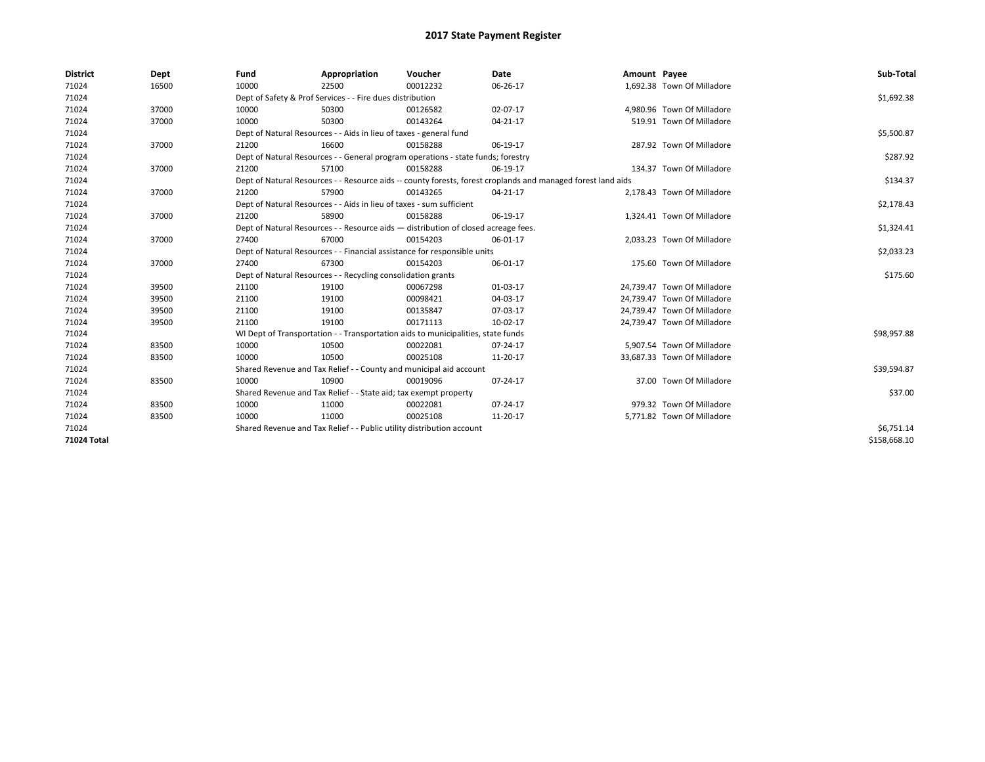| <b>District</b>    | Dept  | Fund  | Appropriation                                                                      | Voucher  | Date                                                                                                         | Amount Payee |                             | Sub-Total    |
|--------------------|-------|-------|------------------------------------------------------------------------------------|----------|--------------------------------------------------------------------------------------------------------------|--------------|-----------------------------|--------------|
| 71024              | 16500 | 10000 | 22500                                                                              | 00012232 | 06-26-17                                                                                                     |              | 1,692.38 Town Of Milladore  |              |
| 71024              |       |       | Dept of Safety & Prof Services - - Fire dues distribution                          |          |                                                                                                              |              |                             | \$1,692.38   |
| 71024              | 37000 | 10000 | 50300                                                                              | 00126582 | 02-07-17                                                                                                     |              | 4.980.96 Town Of Milladore  |              |
| 71024              | 37000 | 10000 | 50300                                                                              | 00143264 | $04 - 21 - 17$                                                                                               |              | 519.91 Town Of Milladore    |              |
| 71024              |       |       | Dept of Natural Resources - - Aids in lieu of taxes - general fund                 |          |                                                                                                              |              |                             | \$5,500.87   |
| 71024              | 37000 | 21200 | 16600                                                                              | 00158288 | 06-19-17                                                                                                     |              | 287.92 Town Of Milladore    |              |
| 71024              |       |       | Dept of Natural Resources - - General program operations - state funds; forestry   |          |                                                                                                              |              |                             | \$287.92     |
| 71024              | 37000 | 21200 | 57100                                                                              | 00158288 | 06-19-17                                                                                                     |              | 134.37 Town Of Milladore    |              |
| 71024              |       |       |                                                                                    |          | Dept of Natural Resources - - Resource aids -- county forests, forest croplands and managed forest land aids |              |                             | \$134.37     |
| 71024              | 37000 | 21200 | 57900                                                                              | 00143265 | 04-21-17                                                                                                     |              | 2,178.43 Town Of Milladore  |              |
| 71024              |       |       | Dept of Natural Resources - - Aids in lieu of taxes - sum sufficient               |          |                                                                                                              |              |                             | \$2,178.43   |
| 71024              | 37000 | 21200 | 58900                                                                              | 00158288 | 06-19-17                                                                                                     |              | 1,324.41 Town Of Milladore  |              |
| 71024              |       |       | Dept of Natural Resources - - Resource aids - distribution of closed acreage fees. |          |                                                                                                              |              |                             | \$1,324.41   |
| 71024              | 37000 | 27400 | 67000                                                                              | 00154203 | 06-01-17                                                                                                     |              | 2,033.23 Town Of Milladore  |              |
| 71024              |       |       | Dept of Natural Resources - - Financial assistance for responsible units           |          |                                                                                                              |              |                             | \$2,033.23   |
| 71024              | 37000 | 27400 | 67300                                                                              | 00154203 | 06-01-17                                                                                                     |              | 175.60 Town Of Milladore    |              |
| 71024              |       |       | Dept of Natural Resources - - Recycling consolidation grants                       |          |                                                                                                              |              |                             | \$175.60     |
| 71024              | 39500 | 21100 | 19100                                                                              | 00067298 | 01-03-17                                                                                                     |              | 24,739.47 Town Of Milladore |              |
| 71024              | 39500 | 21100 | 19100                                                                              | 00098421 | 04-03-17                                                                                                     |              | 24,739.47 Town Of Milladore |              |
| 71024              | 39500 | 21100 | 19100                                                                              | 00135847 | 07-03-17                                                                                                     |              | 24,739.47 Town Of Milladore |              |
| 71024              | 39500 | 21100 | 19100                                                                              | 00171113 | 10-02-17                                                                                                     |              | 24,739.47 Town Of Milladore |              |
| 71024              |       |       | WI Dept of Transportation - - Transportation aids to municipalities, state funds   |          |                                                                                                              |              |                             | \$98,957.88  |
| 71024              | 83500 | 10000 | 10500                                                                              | 00022081 | 07-24-17                                                                                                     |              | 5,907.54 Town Of Milladore  |              |
| 71024              | 83500 | 10000 | 10500                                                                              | 00025108 | 11-20-17                                                                                                     |              | 33,687.33 Town Of Milladore |              |
| 71024              |       |       | Shared Revenue and Tax Relief - - County and municipal aid account                 |          |                                                                                                              |              |                             | \$39,594.87  |
| 71024              | 83500 | 10000 | 10900                                                                              | 00019096 | 07-24-17                                                                                                     |              | 37.00 Town Of Milladore     |              |
| 71024              |       |       | Shared Revenue and Tax Relief - - State aid; tax exempt property                   |          |                                                                                                              |              |                             | \$37.00      |
| 71024              | 83500 | 10000 | 11000                                                                              | 00022081 | 07-24-17                                                                                                     |              | 979.32 Town Of Milladore    |              |
| 71024              | 83500 | 10000 | 11000                                                                              | 00025108 | 11-20-17                                                                                                     |              | 5,771.82 Town Of Milladore  |              |
| 71024              |       |       | Shared Revenue and Tax Relief - - Public utility distribution account              |          |                                                                                                              |              |                             | \$6,751.14   |
| <b>71024 Total</b> |       |       |                                                                                    |          |                                                                                                              |              |                             | \$158.668.10 |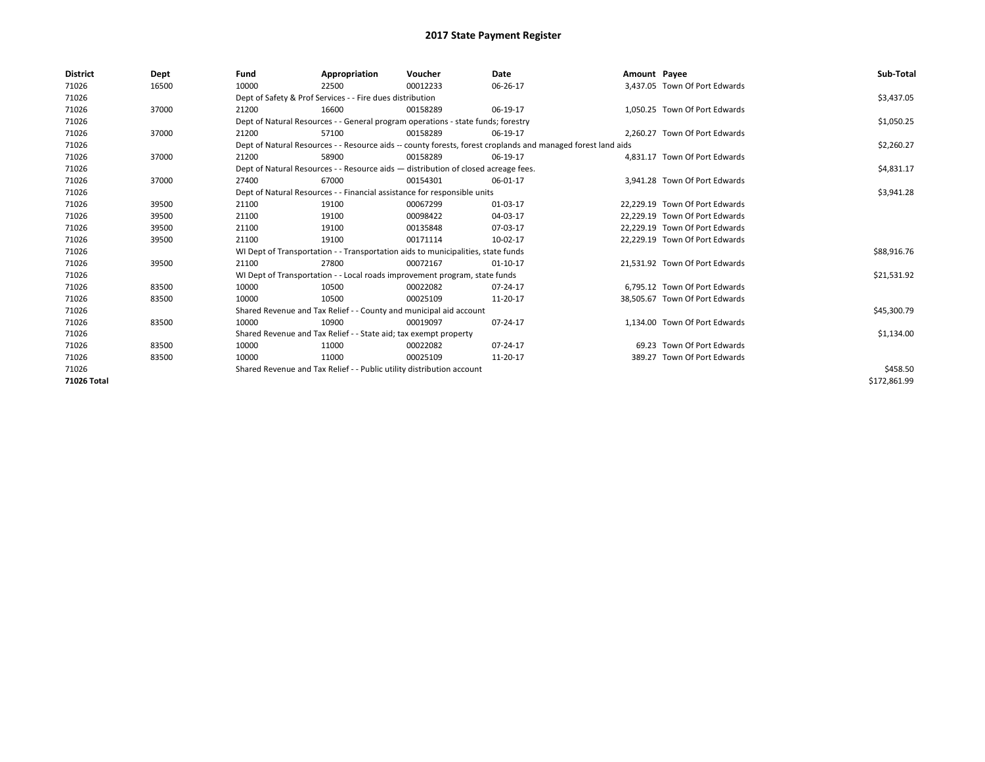| <b>District</b> | Dept  | Fund  | Appropriation                                                                                                | Voucher  | Date       | Amount Payee |                                | Sub-Total    |
|-----------------|-------|-------|--------------------------------------------------------------------------------------------------------------|----------|------------|--------------|--------------------------------|--------------|
| 71026           | 16500 | 10000 | 22500                                                                                                        | 00012233 | 06-26-17   |              | 3.437.05 Town Of Port Edwards  |              |
| 71026           |       |       | Dept of Safety & Prof Services - - Fire dues distribution                                                    |          |            |              |                                | \$3,437.05   |
| 71026           | 37000 | 21200 | 16600                                                                                                        | 00158289 | 06-19-17   |              | 1.050.25 Town Of Port Edwards  |              |
| 71026           |       |       | Dept of Natural Resources - - General program operations - state funds; forestry                             |          |            |              |                                | \$1,050.25   |
| 71026           | 37000 | 21200 | 57100                                                                                                        | 00158289 | 06-19-17   |              | 2.260.27 Town Of Port Edwards  |              |
| 71026           |       |       | Dept of Natural Resources - - Resource aids -- county forests, forest croplands and managed forest land aids |          |            |              |                                | \$2,260.27   |
| 71026           | 37000 | 21200 | 58900                                                                                                        | 00158289 | 06-19-17   |              | 4.831.17 Town Of Port Edwards  |              |
| 71026           |       |       | Dept of Natural Resources - - Resource aids - distribution of closed acreage fees.                           |          |            |              |                                | \$4,831.17   |
| 71026           | 37000 | 27400 | 67000                                                                                                        | 00154301 | 06-01-17   |              | 3,941.28 Town Of Port Edwards  |              |
| 71026           |       |       | Dept of Natural Resources - - Financial assistance for responsible units                                     |          |            |              |                                | \$3,941.28   |
| 71026           | 39500 | 21100 | 19100                                                                                                        | 00067299 | 01-03-17   |              | 22.229.19 Town Of Port Edwards |              |
| 71026           | 39500 | 21100 | 19100                                                                                                        | 00098422 | 04-03-17   |              | 22.229.19 Town Of Port Edwards |              |
| 71026           | 39500 | 21100 | 19100                                                                                                        | 00135848 | 07-03-17   |              | 22.229.19 Town Of Port Edwards |              |
| 71026           | 39500 | 21100 | 19100                                                                                                        | 00171114 | 10-02-17   |              | 22,229.19 Town Of Port Edwards |              |
| 71026           |       |       | WI Dept of Transportation - - Transportation aids to municipalities, state funds                             |          |            |              |                                | \$88,916.76  |
| 71026           | 39500 | 21100 | 27800                                                                                                        | 00072167 | $01-10-17$ |              | 21,531.92 Town Of Port Edwards |              |
| 71026           |       |       | WI Dept of Transportation - - Local roads improvement program, state funds                                   |          |            |              |                                | \$21,531.92  |
| 71026           | 83500 | 10000 | 10500                                                                                                        | 00022082 | 07-24-17   |              | 6.795.12 Town Of Port Edwards  |              |
| 71026           | 83500 | 10000 | 10500                                                                                                        | 00025109 | 11-20-17   |              | 38.505.67 Town Of Port Edwards |              |
| 71026           |       |       | Shared Revenue and Tax Relief - - County and municipal aid account                                           |          |            |              |                                | \$45,300.79  |
| 71026           | 83500 | 10000 | 10900                                                                                                        | 00019097 | 07-24-17   |              | 1.134.00 Town Of Port Edwards  |              |
| 71026           |       |       | Shared Revenue and Tax Relief - - State aid; tax exempt property                                             |          |            |              |                                | \$1,134.00   |
| 71026           | 83500 | 10000 | 11000                                                                                                        | 00022082 | 07-24-17   |              | 69.23 Town Of Port Edwards     |              |
| 71026           | 83500 | 10000 | 11000                                                                                                        | 00025109 | 11-20-17   |              | 389.27 Town Of Port Edwards    |              |
| 71026           |       |       | Shared Revenue and Tax Relief - - Public utility distribution account                                        |          |            |              |                                | \$458.50     |
| 71026 Total     |       |       |                                                                                                              |          |            |              |                                | \$172,861.99 |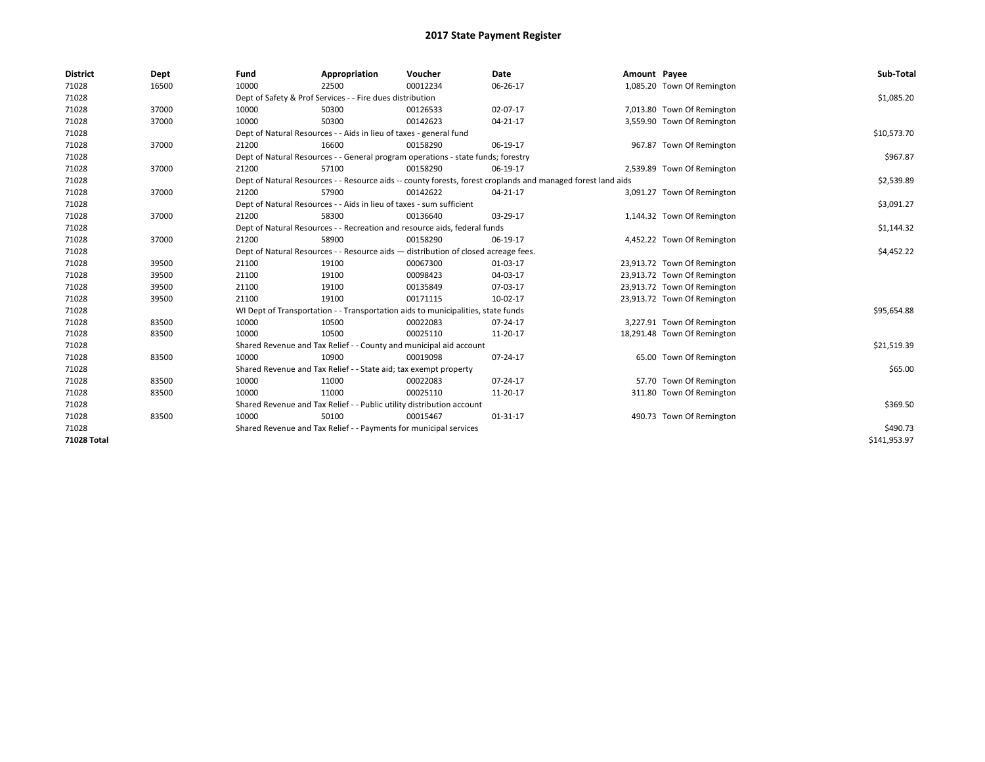| <b>District</b> | Dept  | Fund                                                              | Appropriation                                                         | Voucher                                                                            | Date                                                                                                         | Amount Payee |                             | Sub-Total    |
|-----------------|-------|-------------------------------------------------------------------|-----------------------------------------------------------------------|------------------------------------------------------------------------------------|--------------------------------------------------------------------------------------------------------------|--------------|-----------------------------|--------------|
| 71028           | 16500 | 10000                                                             | 22500                                                                 | 00012234                                                                           | 06-26-17                                                                                                     |              | 1,085.20 Town Of Remington  |              |
| 71028           |       |                                                                   | Dept of Safety & Prof Services - - Fire dues distribution             |                                                                                    |                                                                                                              |              |                             | \$1,085.20   |
| 71028           | 37000 | 10000                                                             | 50300                                                                 | 00126533                                                                           | 02-07-17                                                                                                     |              | 7,013.80 Town Of Remington  |              |
| 71028           | 37000 | 10000                                                             | 50300                                                                 | 00142623                                                                           | 04-21-17                                                                                                     |              | 3,559.90 Town Of Remington  |              |
| 71028           |       |                                                                   | Dept of Natural Resources - - Aids in lieu of taxes - general fund    |                                                                                    |                                                                                                              |              |                             | \$10,573.70  |
| 71028           | 37000 | 21200                                                             | 16600                                                                 | 00158290                                                                           | 06-19-17                                                                                                     |              | 967.87 Town Of Remington    |              |
| 71028           |       |                                                                   |                                                                       | Dept of Natural Resources - - General program operations - state funds; forestry   |                                                                                                              |              |                             | \$967.87     |
| 71028           | 37000 | 21200                                                             | 57100                                                                 | 00158290                                                                           | 06-19-17                                                                                                     |              | 2,539.89 Town Of Remington  |              |
| 71028           |       |                                                                   |                                                                       |                                                                                    | Dept of Natural Resources - - Resource aids -- county forests, forest croplands and managed forest land aids |              |                             | \$2,539.89   |
| 71028           | 37000 | 21200                                                             | 57900                                                                 | 00142622                                                                           | 04-21-17                                                                                                     |              | 3,091.27 Town Of Remington  |              |
| 71028           |       |                                                                   | Dept of Natural Resources - - Aids in lieu of taxes - sum sufficient  |                                                                                    |                                                                                                              |              |                             | \$3,091.27   |
| 71028           | 37000 | 21200                                                             | 58300                                                                 | 00136640                                                                           | 03-29-17                                                                                                     |              | 1,144.32 Town Of Remington  |              |
| 71028           |       |                                                                   |                                                                       | Dept of Natural Resources - - Recreation and resource aids, federal funds          |                                                                                                              |              |                             | \$1,144.32   |
| 71028           | 37000 | 21200                                                             | 58900                                                                 | 00158290                                                                           | 06-19-17                                                                                                     |              | 4,452.22 Town Of Remington  |              |
| 71028           |       |                                                                   |                                                                       | Dept of Natural Resources - - Resource aids - distribution of closed acreage fees. |                                                                                                              |              |                             | \$4,452.22   |
| 71028           | 39500 | 21100                                                             | 19100                                                                 | 00067300                                                                           | 01-03-17                                                                                                     |              | 23,913.72 Town Of Remington |              |
| 71028           | 39500 | 21100                                                             | 19100                                                                 | 00098423                                                                           | 04-03-17                                                                                                     |              | 23,913.72 Town Of Remington |              |
| 71028           | 39500 | 21100                                                             | 19100                                                                 | 00135849                                                                           | 07-03-17                                                                                                     |              | 23,913.72 Town Of Remington |              |
| 71028           | 39500 | 21100                                                             | 19100                                                                 | 00171115                                                                           | 10-02-17                                                                                                     |              | 23,913.72 Town Of Remington |              |
| 71028           |       |                                                                   |                                                                       | WI Dept of Transportation - - Transportation aids to municipalities, state funds   |                                                                                                              |              |                             | \$95,654.88  |
| 71028           | 83500 | 10000                                                             | 10500                                                                 | 00022083                                                                           | 07-24-17                                                                                                     |              | 3,227.91 Town Of Remington  |              |
| 71028           | 83500 | 10000                                                             | 10500                                                                 | 00025110                                                                           | 11-20-17                                                                                                     |              | 18,291.48 Town Of Remington |              |
| 71028           |       |                                                                   | Shared Revenue and Tax Relief - - County and municipal aid account    |                                                                                    |                                                                                                              |              |                             | \$21,519.39  |
| 71028           | 83500 | 10000                                                             | 10900                                                                 | 00019098                                                                           | 07-24-17                                                                                                     |              | 65.00 Town Of Remington     |              |
| 71028           |       |                                                                   | Shared Revenue and Tax Relief - - State aid; tax exempt property      |                                                                                    |                                                                                                              |              |                             | \$65.00      |
| 71028           | 83500 | 10000                                                             | 11000                                                                 | 00022083                                                                           | 07-24-17                                                                                                     |              | 57.70 Town Of Remington     |              |
| 71028           | 83500 | 10000                                                             | 11000                                                                 | 00025110                                                                           | 11-20-17                                                                                                     |              | 311.80 Town Of Remington    |              |
| 71028           |       |                                                                   | Shared Revenue and Tax Relief - - Public utility distribution account |                                                                                    |                                                                                                              |              |                             | \$369.50     |
| 71028           | 83500 | 10000                                                             | 50100                                                                 | 00015467                                                                           | 01-31-17                                                                                                     |              | 490.73 Town Of Remington    |              |
| 71028           |       | Shared Revenue and Tax Relief - - Payments for municipal services |                                                                       | \$490.73                                                                           |                                                                                                              |              |                             |              |
| 71028 Total     |       |                                                                   |                                                                       |                                                                                    |                                                                                                              |              |                             | \$141,953.97 |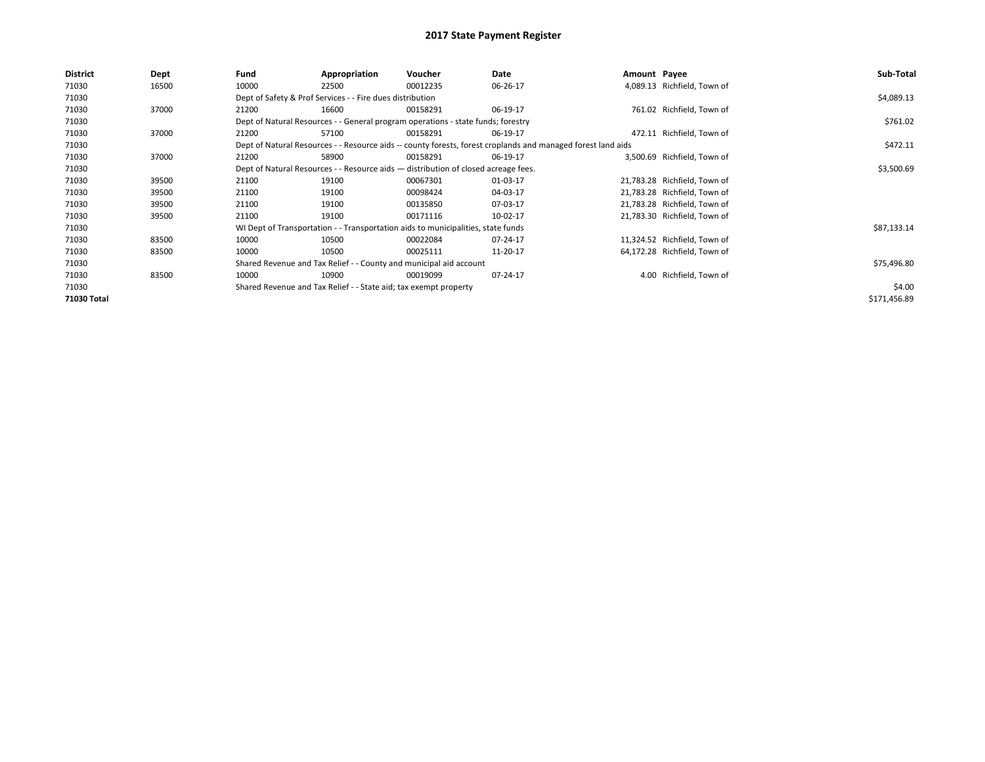| District    | Dept  | Fund  | Appropriation                                                                      | Voucher  | Date                                                                                                         | Amount Payee |                              | Sub-Total    |
|-------------|-------|-------|------------------------------------------------------------------------------------|----------|--------------------------------------------------------------------------------------------------------------|--------------|------------------------------|--------------|
| 71030       | 16500 | 10000 | 22500                                                                              | 00012235 | 06-26-17                                                                                                     |              | 4,089.13 Richfield, Town of  |              |
| 71030       |       |       | Dept of Safety & Prof Services - - Fire dues distribution                          |          |                                                                                                              |              |                              | \$4,089.13   |
| 71030       | 37000 | 21200 | 16600                                                                              | 00158291 | 06-19-17                                                                                                     |              | 761.02 Richfield, Town of    |              |
| 71030       |       |       | Dept of Natural Resources - - General program operations - state funds; forestry   |          |                                                                                                              |              |                              | \$761.02     |
| 71030       | 37000 | 21200 | 57100                                                                              | 00158291 | 06-19-17                                                                                                     |              | 472.11 Richfield, Town of    |              |
| 71030       |       |       |                                                                                    |          | Dept of Natural Resources - - Resource aids -- county forests, forest croplands and managed forest land aids |              |                              | \$472.11     |
| 71030       | 37000 | 21200 | 58900                                                                              | 00158291 | 06-19-17                                                                                                     |              | 3,500.69 Richfield, Town of  |              |
| 71030       |       |       | Dept of Natural Resources - - Resource aids - distribution of closed acreage fees. |          |                                                                                                              |              |                              | \$3,500.69   |
| 71030       | 39500 | 21100 | 19100                                                                              | 00067301 | 01-03-17                                                                                                     |              | 21,783.28 Richfield, Town of |              |
| 71030       | 39500 | 21100 | 19100                                                                              | 00098424 | 04-03-17                                                                                                     |              | 21,783.28 Richfield, Town of |              |
| 71030       | 39500 | 21100 | 19100                                                                              | 00135850 | 07-03-17                                                                                                     |              | 21,783.28 Richfield, Town of |              |
| 71030       | 39500 | 21100 | 19100                                                                              | 00171116 | 10-02-17                                                                                                     |              | 21,783.30 Richfield, Town of |              |
| 71030       |       |       | WI Dept of Transportation - - Transportation aids to municipalities, state funds   |          |                                                                                                              |              |                              | \$87,133.14  |
| 71030       | 83500 | 10000 | 10500                                                                              | 00022084 | 07-24-17                                                                                                     |              | 11,324.52 Richfield, Town of |              |
| 71030       | 83500 | 10000 | 10500                                                                              | 00025111 | 11-20-17                                                                                                     |              | 64,172.28 Richfield, Town of |              |
| 71030       |       |       | Shared Revenue and Tax Relief - - County and municipal aid account                 |          |                                                                                                              |              |                              | \$75,496.80  |
| 71030       | 83500 | 10000 | 10900                                                                              | 00019099 | 07-24-17                                                                                                     |              | 4.00 Richfield, Town of      |              |
| 71030       |       |       | Shared Revenue and Tax Relief - - State aid; tax exempt property                   |          |                                                                                                              |              |                              | \$4.00       |
| 71030 Total |       |       |                                                                                    |          |                                                                                                              |              |                              | \$171,456.89 |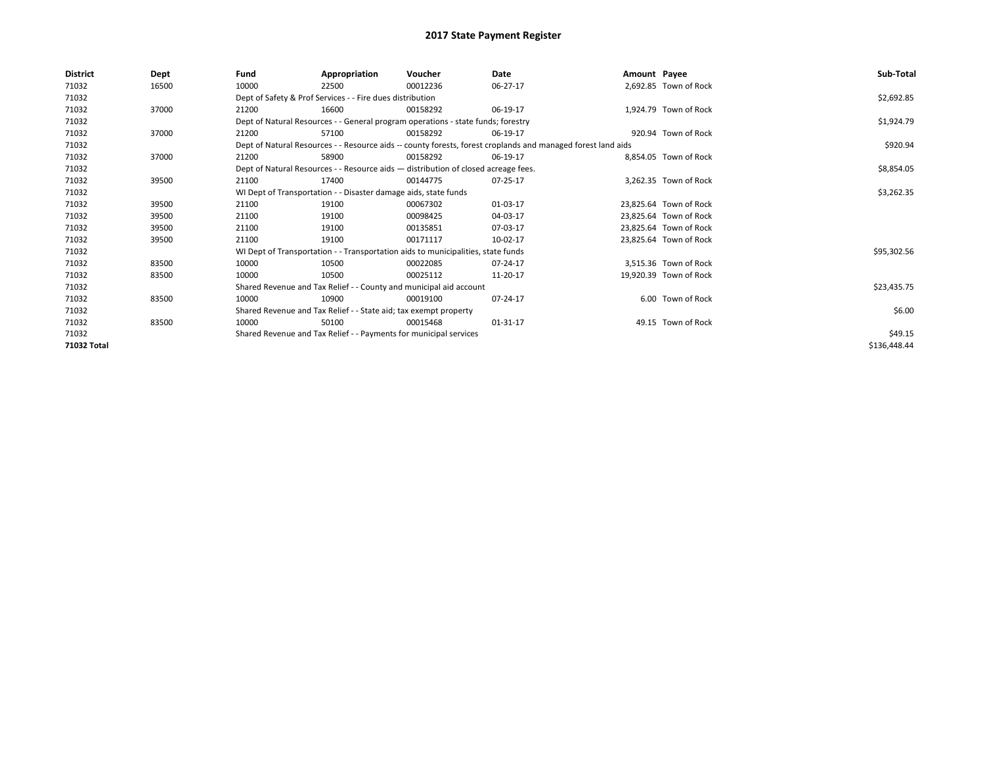| <b>District</b> | Dept  | Fund  | Appropriation                                                                      | Voucher  | Date                                                                                                         | Amount Payee |                        | Sub-Total    |
|-----------------|-------|-------|------------------------------------------------------------------------------------|----------|--------------------------------------------------------------------------------------------------------------|--------------|------------------------|--------------|
| 71032           | 16500 | 10000 | 22500                                                                              | 00012236 | 06-27-17                                                                                                     |              | 2,692.85 Town of Rock  |              |
| 71032           |       |       | Dept of Safety & Prof Services - - Fire dues distribution                          |          |                                                                                                              |              |                        | \$2,692.85   |
| 71032           | 37000 | 21200 | 16600                                                                              | 00158292 | 06-19-17                                                                                                     |              | 1,924.79 Town of Rock  |              |
| 71032           |       |       | Dept of Natural Resources - - General program operations - state funds; forestry   |          | \$1,924.79                                                                                                   |              |                        |              |
| 71032           | 37000 | 21200 | 57100                                                                              | 00158292 | 06-19-17                                                                                                     |              | 920.94 Town of Rock    |              |
| 71032           |       |       |                                                                                    |          | Dept of Natural Resources - - Resource aids -- county forests, forest croplands and managed forest land aids |              |                        | \$920.94     |
| 71032           | 37000 | 21200 | 58900                                                                              | 00158292 | 06-19-17                                                                                                     |              | 8,854.05 Town of Rock  |              |
| 71032           |       |       | Dept of Natural Resources - - Resource aids - distribution of closed acreage fees. |          |                                                                                                              |              |                        | \$8,854.05   |
| 71032           | 39500 | 21100 | 17400                                                                              | 00144775 | 07-25-17                                                                                                     |              | 3.262.35 Town of Rock  |              |
| 71032           |       |       | WI Dept of Transportation - - Disaster damage aids, state funds                    |          |                                                                                                              |              |                        | \$3,262.35   |
| 71032           | 39500 | 21100 | 19100                                                                              | 00067302 | 01-03-17                                                                                                     |              | 23.825.64 Town of Rock |              |
| 71032           | 39500 | 21100 | 19100                                                                              | 00098425 | 04-03-17                                                                                                     |              | 23.825.64 Town of Rock |              |
| 71032           | 39500 | 21100 | 19100                                                                              | 00135851 | 07-03-17                                                                                                     |              | 23,825.64 Town of Rock |              |
| 71032           | 39500 | 21100 | 19100                                                                              | 00171117 | 10-02-17                                                                                                     |              | 23,825.64 Town of Rock |              |
| 71032           |       |       | WI Dept of Transportation - - Transportation aids to municipalities, state funds   |          |                                                                                                              |              |                        | \$95,302.56  |
| 71032           | 83500 | 10000 | 10500                                                                              | 00022085 | 07-24-17                                                                                                     |              | 3,515.36 Town of Rock  |              |
| 71032           | 83500 | 10000 | 10500                                                                              | 00025112 | 11-20-17                                                                                                     |              | 19,920.39 Town of Rock |              |
| 71032           |       |       | Shared Revenue and Tax Relief - - County and municipal aid account                 |          |                                                                                                              |              |                        | \$23,435.75  |
| 71032           | 83500 | 10000 | 10900                                                                              | 00019100 | 07-24-17                                                                                                     |              | 6.00 Town of Rock      |              |
| 71032           |       |       | Shared Revenue and Tax Relief - - State aid; tax exempt property                   |          |                                                                                                              |              |                        | \$6.00       |
| 71032           | 83500 | 10000 | 50100                                                                              | 00015468 | 01-31-17                                                                                                     |              | 49.15 Town of Rock     |              |
| 71032           |       |       | Shared Revenue and Tax Relief - - Payments for municipal services                  |          |                                                                                                              |              |                        | \$49.15      |
| 71032 Total     |       |       |                                                                                    |          |                                                                                                              |              |                        | \$136,448.44 |
|                 |       |       |                                                                                    |          |                                                                                                              |              |                        |              |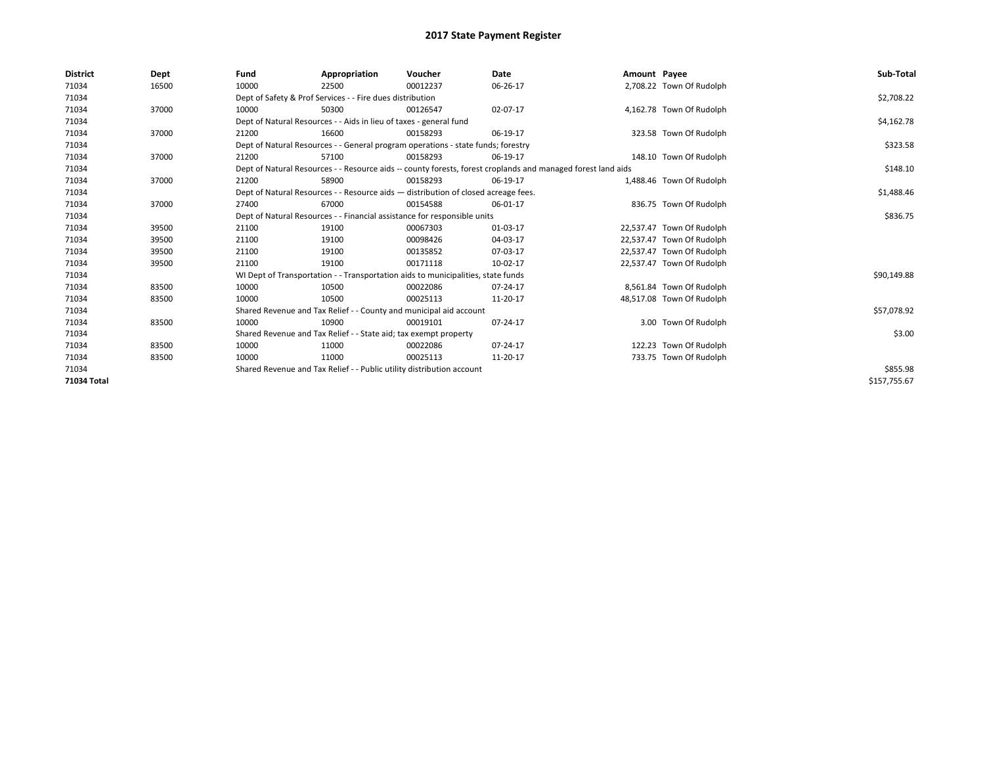| <b>District</b> | Dept  | Fund  | Appropriation                                                                                                | Voucher  | <b>Date</b> | Amount Payee |                           | Sub-Total    |
|-----------------|-------|-------|--------------------------------------------------------------------------------------------------------------|----------|-------------|--------------|---------------------------|--------------|
| 71034           | 16500 | 10000 | 22500                                                                                                        | 00012237 | 06-26-17    |              | 2,708.22 Town Of Rudolph  |              |
| 71034           |       |       | Dept of Safety & Prof Services - - Fire dues distribution                                                    |          |             |              |                           | \$2,708.22   |
| 71034           | 37000 | 10000 | 50300                                                                                                        | 00126547 | 02-07-17    |              | 4,162.78 Town Of Rudolph  |              |
| 71034           |       |       | Dept of Natural Resources - - Aids in lieu of taxes - general fund                                           |          |             |              |                           | \$4,162.78   |
| 71034           | 37000 | 21200 | 16600                                                                                                        | 00158293 | 06-19-17    |              | 323.58 Town Of Rudolph    |              |
| 71034           |       |       | Dept of Natural Resources - - General program operations - state funds; forestry                             |          |             |              |                           | \$323.58     |
| 71034           | 37000 | 21200 | 57100                                                                                                        | 00158293 | 06-19-17    |              | 148.10 Town Of Rudolph    |              |
| 71034           |       |       | Dept of Natural Resources - - Resource aids -- county forests, forest croplands and managed forest land aids |          | \$148.10    |              |                           |              |
| 71034           | 37000 | 21200 | 58900                                                                                                        | 00158293 | 06-19-17    |              | 1,488.46 Town Of Rudolph  |              |
| 71034           |       |       | Dept of Natural Resources - - Resource aids - distribution of closed acreage fees.                           |          |             |              |                           | \$1,488.46   |
| 71034           | 37000 | 27400 | 67000                                                                                                        | 00154588 | 06-01-17    |              | 836.75 Town Of Rudolph    |              |
| 71034           |       |       | Dept of Natural Resources - - Financial assistance for responsible units                                     |          |             |              |                           | \$836.75     |
| 71034           | 39500 | 21100 | 19100                                                                                                        | 00067303 | 01-03-17    |              | 22,537.47 Town Of Rudolph |              |
| 71034           | 39500 | 21100 | 19100                                                                                                        | 00098426 | 04-03-17    |              | 22,537.47 Town Of Rudolph |              |
| 71034           | 39500 | 21100 | 19100                                                                                                        | 00135852 | 07-03-17    |              | 22,537.47 Town Of Rudolph |              |
| 71034           | 39500 | 21100 | 19100                                                                                                        | 00171118 | 10-02-17    |              | 22,537.47 Town Of Rudolph |              |
| 71034           |       |       | WI Dept of Transportation - - Transportation aids to municipalities, state funds                             |          |             |              |                           | \$90,149.88  |
| 71034           | 83500 | 10000 | 10500                                                                                                        | 00022086 | 07-24-17    |              | 8,561.84 Town Of Rudolph  |              |
| 71034           | 83500 | 10000 | 10500                                                                                                        | 00025113 | 11-20-17    |              | 48,517.08 Town Of Rudolph |              |
| 71034           |       |       | Shared Revenue and Tax Relief - - County and municipal aid account                                           |          |             |              |                           | \$57,078.92  |
| 71034           | 83500 | 10000 | 10900                                                                                                        | 00019101 | 07-24-17    |              | 3.00 Town Of Rudolph      |              |
| 71034           |       |       | Shared Revenue and Tax Relief - - State aid; tax exempt property                                             |          |             |              |                           | \$3.00       |
| 71034           | 83500 | 10000 | 11000                                                                                                        | 00022086 | 07-24-17    |              | 122.23 Town Of Rudolph    |              |
| 71034           | 83500 | 10000 | 11000                                                                                                        | 00025113 | 11-20-17    |              | 733.75 Town Of Rudolph    |              |
| 71034           |       |       | Shared Revenue and Tax Relief - - Public utility distribution account                                        |          | \$855.98    |              |                           |              |
| 71034 Total     |       |       |                                                                                                              |          |             |              |                           | \$157,755.67 |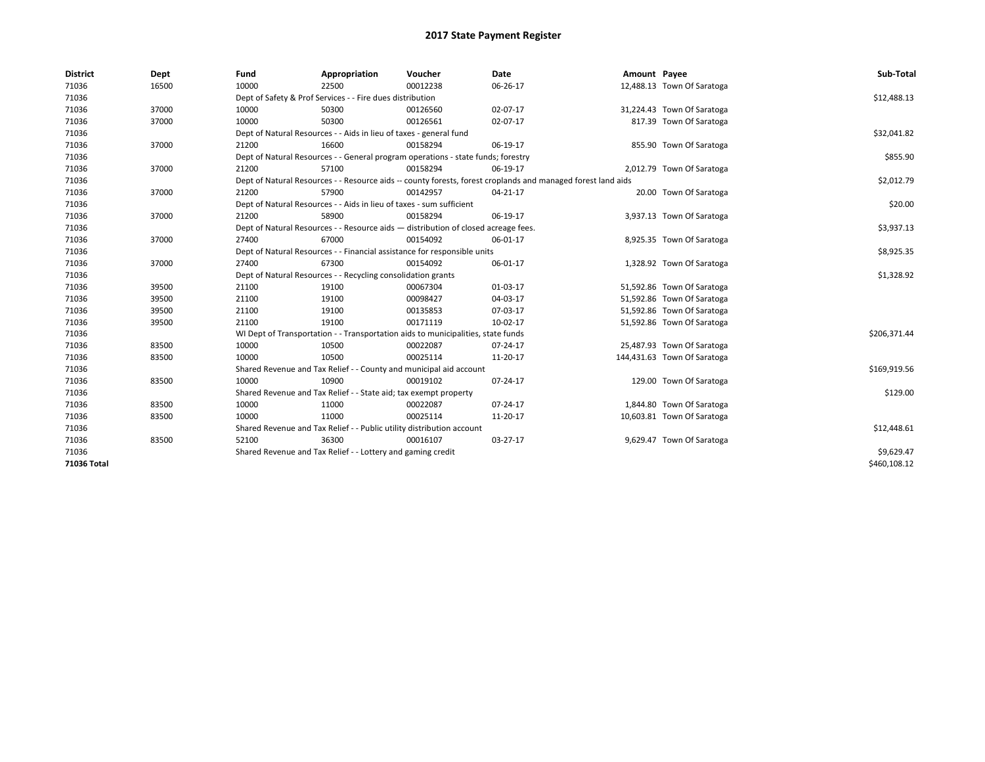| <b>District</b> | Dept  | Fund  | Appropriation                                                                      | Voucher  | <b>Date</b>                                                                                                  | Amount Payee |                             | Sub-Total    |
|-----------------|-------|-------|------------------------------------------------------------------------------------|----------|--------------------------------------------------------------------------------------------------------------|--------------|-----------------------------|--------------|
| 71036           | 16500 | 10000 | 22500                                                                              | 00012238 | 06-26-17                                                                                                     |              | 12,488.13 Town Of Saratoga  |              |
| 71036           |       |       | Dept of Safety & Prof Services - - Fire dues distribution                          |          |                                                                                                              |              |                             | \$12,488.13  |
| 71036           | 37000 | 10000 | 50300                                                                              | 00126560 | 02-07-17                                                                                                     |              | 31,224.43 Town Of Saratoga  |              |
| 71036           | 37000 | 10000 | 50300                                                                              | 00126561 | 02-07-17                                                                                                     |              | 817.39 Town Of Saratoga     |              |
| 71036           |       |       | Dept of Natural Resources - - Aids in lieu of taxes - general fund                 |          |                                                                                                              |              |                             | \$32,041.82  |
| 71036           | 37000 | 21200 | 16600                                                                              | 00158294 | 06-19-17                                                                                                     |              | 855.90 Town Of Saratoga     |              |
| 71036           |       |       | Dept of Natural Resources - - General program operations - state funds; forestry   |          |                                                                                                              |              |                             | \$855.90     |
| 71036           | 37000 | 21200 | 57100                                                                              | 00158294 | 06-19-17                                                                                                     |              | 2,012.79 Town Of Saratoga   |              |
| 71036           |       |       |                                                                                    |          | Dept of Natural Resources - - Resource aids -- county forests, forest croplands and managed forest land aids |              |                             | \$2,012.79   |
| 71036           | 37000 | 21200 | 57900                                                                              | 00142957 | 04-21-17                                                                                                     |              | 20.00 Town Of Saratoga      |              |
| 71036           |       |       | Dept of Natural Resources - - Aids in lieu of taxes - sum sufficient               |          |                                                                                                              |              |                             | \$20.00      |
| 71036           | 37000 | 21200 | 58900                                                                              | 00158294 | 06-19-17                                                                                                     |              | 3,937.13 Town Of Saratoga   |              |
| 71036           |       |       | Dept of Natural Resources - - Resource aids - distribution of closed acreage fees. |          |                                                                                                              |              |                             | \$3,937.13   |
| 71036           | 37000 | 27400 | 67000                                                                              | 00154092 | 06-01-17                                                                                                     |              | 8,925.35 Town Of Saratoga   |              |
| 71036           |       |       | Dept of Natural Resources - - Financial assistance for responsible units           |          |                                                                                                              |              |                             | \$8,925.35   |
| 71036           | 37000 | 27400 | 67300                                                                              | 00154092 | 06-01-17                                                                                                     |              | 1,328.92 Town Of Saratoga   |              |
| 71036           |       |       | Dept of Natural Resources - - Recycling consolidation grants                       |          |                                                                                                              |              |                             | \$1,328.92   |
| 71036           | 39500 | 21100 | 19100                                                                              | 00067304 | 01-03-17                                                                                                     |              | 51,592.86 Town Of Saratoga  |              |
| 71036           | 39500 | 21100 | 19100                                                                              | 00098427 | 04-03-17                                                                                                     |              | 51,592.86 Town Of Saratoga  |              |
| 71036           | 39500 | 21100 | 19100                                                                              | 00135853 | 07-03-17                                                                                                     |              | 51,592.86 Town Of Saratoga  |              |
| 71036           | 39500 | 21100 | 19100                                                                              | 00171119 | 10-02-17                                                                                                     |              | 51,592.86 Town Of Saratoga  |              |
| 71036           |       |       | WI Dept of Transportation - - Transportation aids to municipalities, state funds   |          |                                                                                                              |              |                             | \$206,371.44 |
| 71036           | 83500 | 10000 | 10500                                                                              | 00022087 | 07-24-17                                                                                                     |              | 25,487.93 Town Of Saratoga  |              |
| 71036           | 83500 | 10000 | 10500                                                                              | 00025114 | 11-20-17                                                                                                     |              | 144,431.63 Town Of Saratoga |              |
| 71036           |       |       | Shared Revenue and Tax Relief - - County and municipal aid account                 |          |                                                                                                              |              |                             | \$169,919.56 |
| 71036           | 83500 | 10000 | 10900                                                                              | 00019102 | 07-24-17                                                                                                     |              | 129.00 Town Of Saratoga     |              |
| 71036           |       |       | Shared Revenue and Tax Relief - - State aid; tax exempt property                   |          |                                                                                                              |              |                             | \$129.00     |
| 71036           | 83500 | 10000 | 11000                                                                              | 00022087 | 07-24-17                                                                                                     |              | 1,844.80 Town Of Saratoga   |              |
| 71036           | 83500 | 10000 | 11000                                                                              | 00025114 | 11-20-17                                                                                                     |              | 10,603.81 Town Of Saratoga  |              |
| 71036           |       |       | Shared Revenue and Tax Relief - - Public utility distribution account              |          |                                                                                                              |              |                             | \$12,448.61  |
| 71036           | 83500 | 52100 | 36300                                                                              | 00016107 | 03-27-17                                                                                                     |              | 9,629.47 Town Of Saratoga   |              |
| 71036           |       |       | Shared Revenue and Tax Relief - - Lottery and gaming credit                        |          |                                                                                                              |              |                             | \$9,629.47   |
| 71036 Total     |       |       |                                                                                    |          |                                                                                                              |              |                             | \$460,108.12 |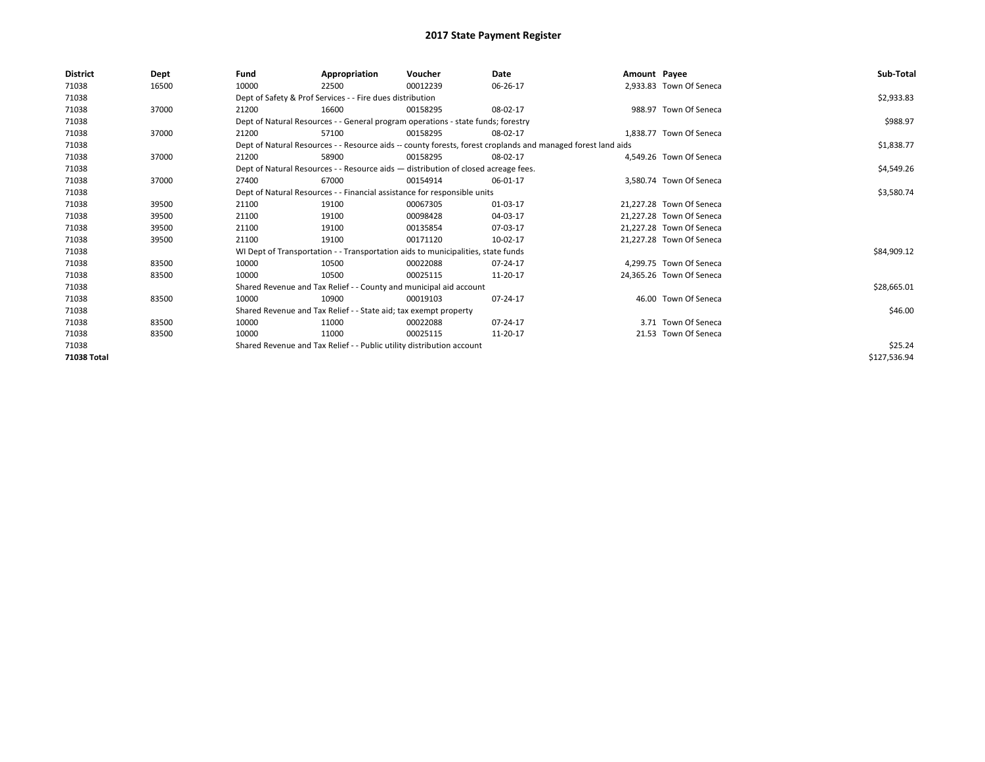| <b>District</b> | Dept  | Fund  | Appropriation                                                                      | Voucher  | Date                                                                                                         | Amount Payee |                          | Sub-Total    |
|-----------------|-------|-------|------------------------------------------------------------------------------------|----------|--------------------------------------------------------------------------------------------------------------|--------------|--------------------------|--------------|
| 71038           | 16500 | 10000 | 22500                                                                              | 00012239 | 06-26-17                                                                                                     |              | 2,933.83 Town Of Seneca  |              |
| 71038           |       |       | Dept of Safety & Prof Services - - Fire dues distribution                          |          |                                                                                                              |              |                          | \$2,933.83   |
| 71038           | 37000 | 21200 | 16600                                                                              | 00158295 | 08-02-17                                                                                                     |              | 988.97 Town Of Seneca    |              |
| 71038           |       |       | Dept of Natural Resources - - General program operations - state funds; forestry   |          |                                                                                                              |              |                          | \$988.97     |
| 71038           | 37000 | 21200 | 57100                                                                              | 00158295 | 08-02-17                                                                                                     |              | 1.838.77 Town Of Seneca  |              |
| 71038           |       |       |                                                                                    |          | Dept of Natural Resources - - Resource aids -- county forests, forest croplands and managed forest land aids |              |                          | \$1,838.77   |
| 71038           | 37000 | 21200 | 58900                                                                              | 00158295 | 08-02-17                                                                                                     |              | 4.549.26 Town Of Seneca  |              |
| 71038           |       |       | Dept of Natural Resources - - Resource aids - distribution of closed acreage fees. |          |                                                                                                              |              |                          | \$4,549.26   |
| 71038           | 37000 | 27400 | 67000                                                                              | 00154914 | 06-01-17                                                                                                     |              | 3,580.74 Town Of Seneca  |              |
| 71038           |       |       | Dept of Natural Resources - - Financial assistance for responsible units           |          |                                                                                                              |              |                          | \$3,580.74   |
| 71038           | 39500 | 21100 | 19100                                                                              | 00067305 | 01-03-17                                                                                                     |              | 21.227.28 Town Of Seneca |              |
| 71038           | 39500 | 21100 | 19100                                                                              | 00098428 | 04-03-17                                                                                                     |              | 21,227.28 Town Of Seneca |              |
| 71038           | 39500 | 21100 | 19100                                                                              | 00135854 | 07-03-17                                                                                                     |              | 21.227.28 Town Of Seneca |              |
| 71038           | 39500 | 21100 | 19100                                                                              | 00171120 | 10-02-17                                                                                                     |              | 21,227.28 Town Of Seneca |              |
| 71038           |       |       | WI Dept of Transportation - - Transportation aids to municipalities, state funds   |          |                                                                                                              |              |                          | \$84,909.12  |
| 71038           | 83500 | 10000 | 10500                                                                              | 00022088 | 07-24-17                                                                                                     |              | 4,299.75 Town Of Seneca  |              |
| 71038           | 83500 | 10000 | 10500                                                                              | 00025115 | 11-20-17                                                                                                     |              | 24,365.26 Town Of Seneca |              |
| 71038           |       |       | Shared Revenue and Tax Relief - - County and municipal aid account                 |          |                                                                                                              |              |                          | \$28,665.01  |
| 71038           | 83500 | 10000 | 10900                                                                              | 00019103 | 07-24-17                                                                                                     |              | 46.00 Town Of Seneca     |              |
| 71038           |       |       | Shared Revenue and Tax Relief - - State aid; tax exempt property                   |          |                                                                                                              |              |                          | \$46.00      |
| 71038           | 83500 | 10000 | 11000                                                                              | 00022088 | 07-24-17                                                                                                     |              | 3.71 Town Of Seneca      |              |
| 71038           | 83500 | 10000 | 11000                                                                              | 00025115 | 11-20-17                                                                                                     |              | 21.53 Town Of Seneca     |              |
| 71038           |       |       | Shared Revenue and Tax Relief - - Public utility distribution account              |          |                                                                                                              |              |                          | \$25.24      |
| 71038 Total     |       |       |                                                                                    |          |                                                                                                              |              |                          | \$127,536.94 |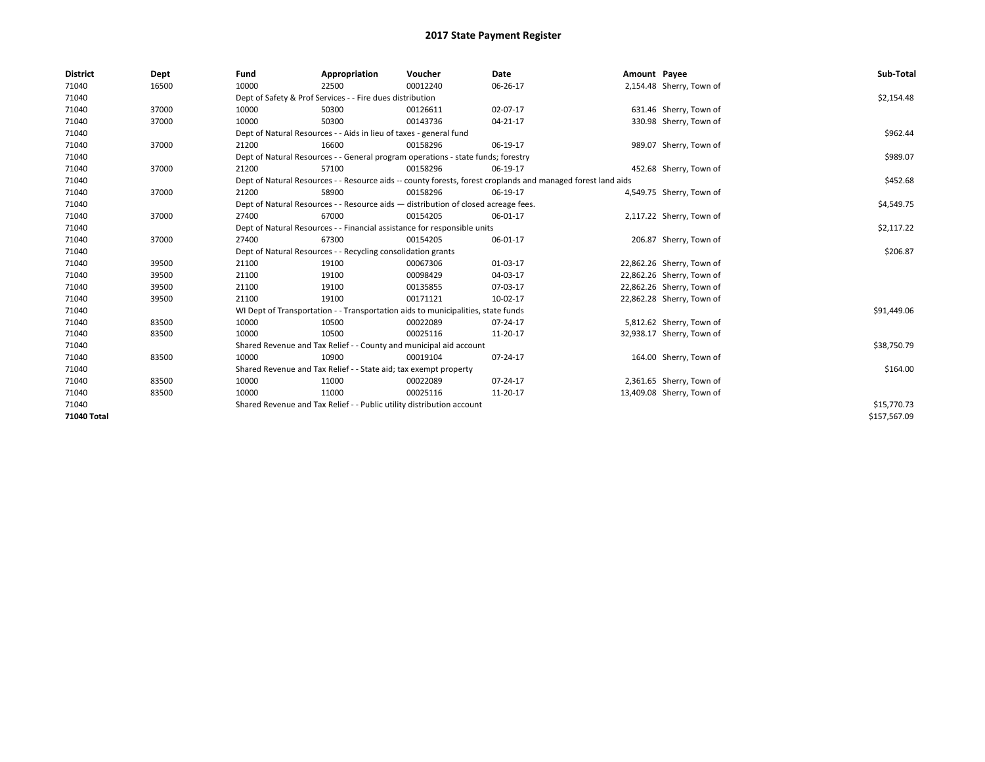| <b>District</b> | Dept  | Fund                                                                     | Appropriation                                                      | Voucher                                                                            | Date                                                                                                         | Amount Payee |                           | Sub-Total    |
|-----------------|-------|--------------------------------------------------------------------------|--------------------------------------------------------------------|------------------------------------------------------------------------------------|--------------------------------------------------------------------------------------------------------------|--------------|---------------------------|--------------|
| 71040           | 16500 | 10000                                                                    | 22500                                                              | 00012240                                                                           | 06-26-17                                                                                                     |              | 2,154.48 Sherry, Town of  |              |
| 71040           |       |                                                                          | Dept of Safety & Prof Services - - Fire dues distribution          |                                                                                    |                                                                                                              |              |                           | \$2,154.48   |
| 71040           | 37000 | 10000                                                                    | 50300                                                              | 00126611                                                                           | 02-07-17                                                                                                     |              | 631.46 Sherry, Town of    |              |
| 71040           | 37000 | 10000                                                                    | 50300                                                              | 00143736                                                                           | 04-21-17                                                                                                     |              | 330.98 Sherry, Town of    |              |
| 71040           |       |                                                                          | Dept of Natural Resources - - Aids in lieu of taxes - general fund |                                                                                    |                                                                                                              |              |                           | \$962.44     |
| 71040           | 37000 | 21200                                                                    | 16600                                                              | 00158296                                                                           | 06-19-17                                                                                                     |              | 989.07 Sherry, Town of    |              |
| 71040           |       |                                                                          |                                                                    | Dept of Natural Resources - - General program operations - state funds; forestry   |                                                                                                              |              |                           | \$989.07     |
| 71040           | 37000 | 21200                                                                    | 57100                                                              | 00158296                                                                           | 06-19-17                                                                                                     |              | 452.68 Sherry, Town of    |              |
| 71040           |       |                                                                          |                                                                    |                                                                                    | Dept of Natural Resources - - Resource aids -- county forests, forest croplands and managed forest land aids |              |                           | \$452.68     |
| 71040           | 37000 | 21200                                                                    | 58900                                                              | 00158296                                                                           | 06-19-17                                                                                                     |              | 4,549.75 Sherry, Town of  |              |
| 71040           |       |                                                                          |                                                                    | Dept of Natural Resources - - Resource aids - distribution of closed acreage fees. |                                                                                                              |              |                           | \$4,549.75   |
| 71040           | 37000 | 27400                                                                    | 67000                                                              | 00154205                                                                           | 06-01-17                                                                                                     |              | 2,117.22 Sherry, Town of  |              |
| 71040           |       | Dept of Natural Resources - - Financial assistance for responsible units |                                                                    | \$2,117.22                                                                         |                                                                                                              |              |                           |              |
| 71040           | 37000 | 27400                                                                    | 67300                                                              | 00154205                                                                           | 06-01-17                                                                                                     |              | 206.87 Sherry, Town of    |              |
| 71040           |       |                                                                          | Dept of Natural Resources - - Recycling consolidation grants       |                                                                                    |                                                                                                              |              |                           | \$206.87     |
| 71040           | 39500 | 21100                                                                    | 19100                                                              | 00067306                                                                           | 01-03-17                                                                                                     |              | 22,862.26 Sherry, Town of |              |
| 71040           | 39500 | 21100                                                                    | 19100                                                              | 00098429                                                                           | 04-03-17                                                                                                     |              | 22,862.26 Sherry, Town of |              |
| 71040           | 39500 | 21100                                                                    | 19100                                                              | 00135855                                                                           | 07-03-17                                                                                                     |              | 22,862.26 Sherry, Town of |              |
| 71040           | 39500 | 21100                                                                    | 19100                                                              | 00171121                                                                           | 10-02-17                                                                                                     |              | 22,862.28 Sherry, Town of |              |
| 71040           |       |                                                                          |                                                                    | WI Dept of Transportation - - Transportation aids to municipalities, state funds   |                                                                                                              |              |                           | \$91,449.06  |
| 71040           | 83500 | 10000                                                                    | 10500                                                              | 00022089                                                                           | 07-24-17                                                                                                     |              | 5,812.62 Sherry, Town of  |              |
| 71040           | 83500 | 10000                                                                    | 10500                                                              | 00025116                                                                           | 11-20-17                                                                                                     |              | 32,938.17 Sherry, Town of |              |
| 71040           |       |                                                                          |                                                                    | Shared Revenue and Tax Relief - - County and municipal aid account                 |                                                                                                              |              |                           | \$38,750.79  |
| 71040           | 83500 | 10000                                                                    | 10900                                                              | 00019104                                                                           | 07-24-17                                                                                                     |              | 164.00 Sherry, Town of    |              |
| 71040           |       |                                                                          | Shared Revenue and Tax Relief - - State aid; tax exempt property   |                                                                                    |                                                                                                              |              |                           | \$164.00     |
| 71040           | 83500 | 10000                                                                    | 11000                                                              | 00022089                                                                           | 07-24-17                                                                                                     |              | 2,361.65 Sherry, Town of  |              |
| 71040           | 83500 | 10000                                                                    | 11000                                                              | 00025116                                                                           | 11-20-17                                                                                                     |              | 13,409.08 Sherry, Town of |              |
| 71040           |       | Shared Revenue and Tax Relief - - Public utility distribution account    |                                                                    | \$15,770.73                                                                        |                                                                                                              |              |                           |              |
| 71040 Total     |       |                                                                          |                                                                    |                                                                                    |                                                                                                              |              |                           | \$157,567.09 |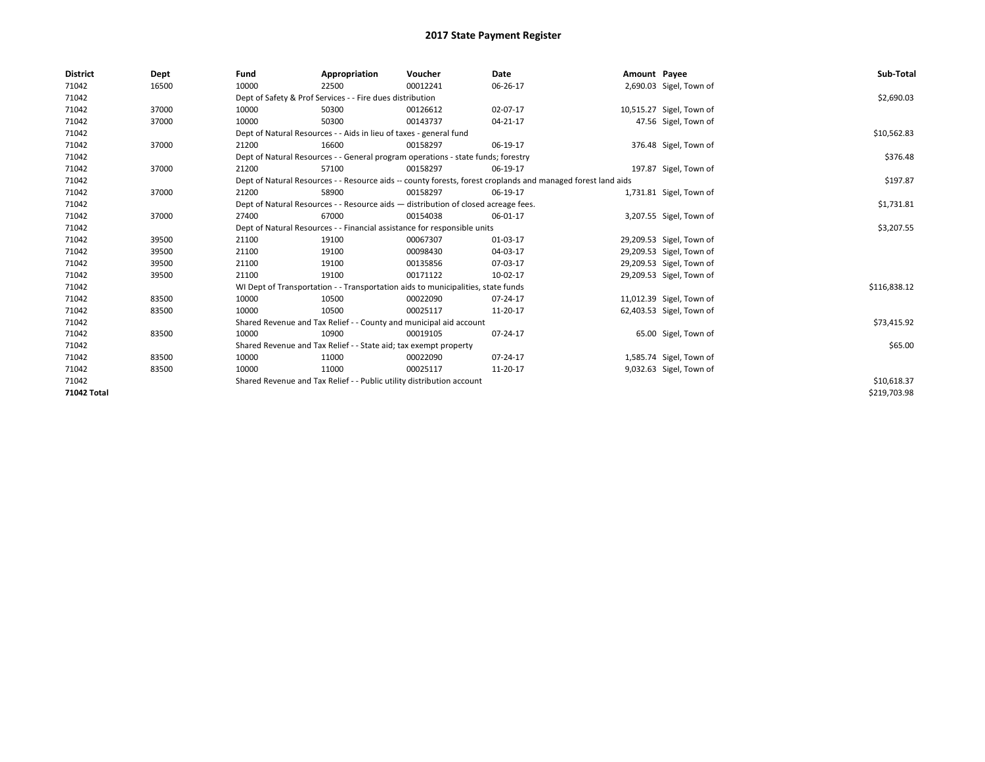| <b>District</b>    | Dept  | Fund                                                                  | Appropriation                                                                                                | Voucher     | Date        | Amount Payee |                          | Sub-Total    |
|--------------------|-------|-----------------------------------------------------------------------|--------------------------------------------------------------------------------------------------------------|-------------|-------------|--------------|--------------------------|--------------|
| 71042              | 16500 | 10000                                                                 | 22500                                                                                                        | 00012241    | 06-26-17    |              | 2,690.03 Sigel, Town of  |              |
| 71042              |       |                                                                       | Dept of Safety & Prof Services - - Fire dues distribution                                                    |             |             |              |                          | \$2,690.03   |
| 71042              | 37000 | 10000                                                                 | 50300                                                                                                        | 00126612    | 02-07-17    |              | 10,515.27 Sigel, Town of |              |
| 71042              | 37000 | 10000                                                                 | 50300                                                                                                        | 00143737    | 04-21-17    |              | 47.56 Sigel, Town of     |              |
| 71042              |       |                                                                       | Dept of Natural Resources - - Aids in lieu of taxes - general fund                                           |             | \$10,562.83 |              |                          |              |
| 71042              | 37000 | 21200                                                                 | 16600                                                                                                        | 00158297    | 06-19-17    |              | 376.48 Sigel, Town of    |              |
| 71042              |       |                                                                       | Dept of Natural Resources - - General program operations - state funds; forestry                             |             | \$376.48    |              |                          |              |
| 71042              | 37000 | 21200                                                                 | 57100                                                                                                        | 00158297    | 06-19-17    |              | 197.87 Sigel, Town of    |              |
| 71042              |       |                                                                       | Dept of Natural Resources - - Resource aids -- county forests, forest croplands and managed forest land aids |             | \$197.87    |              |                          |              |
| 71042              | 37000 | 21200                                                                 | 58900                                                                                                        | 00158297    | 06-19-17    |              | 1,731.81 Sigel, Town of  |              |
| 71042              |       |                                                                       | Dept of Natural Resources - - Resource aids - distribution of closed acreage fees.                           |             |             |              |                          | \$1,731.81   |
| 71042              | 37000 | 27400                                                                 | 67000                                                                                                        | 00154038    | 06-01-17    |              | 3,207.55 Sigel, Town of  |              |
| 71042              |       |                                                                       | Dept of Natural Resources - - Financial assistance for responsible units                                     |             |             |              |                          | \$3,207.55   |
| 71042              | 39500 | 21100                                                                 | 19100                                                                                                        | 00067307    | 01-03-17    |              | 29,209.53 Sigel, Town of |              |
| 71042              | 39500 | 21100                                                                 | 19100                                                                                                        | 00098430    | 04-03-17    |              | 29,209.53 Sigel, Town of |              |
| 71042              | 39500 | 21100                                                                 | 19100                                                                                                        | 00135856    | 07-03-17    |              | 29,209.53 Sigel, Town of |              |
| 71042              | 39500 | 21100                                                                 | 19100                                                                                                        | 00171122    | 10-02-17    |              | 29,209.53 Sigel, Town of |              |
| 71042              |       |                                                                       | WI Dept of Transportation - - Transportation aids to municipalities, state funds                             |             |             |              |                          | \$116,838.12 |
| 71042              | 83500 | 10000                                                                 | 10500                                                                                                        | 00022090    | 07-24-17    |              | 11,012.39 Sigel, Town of |              |
| 71042              | 83500 | 10000                                                                 | 10500                                                                                                        | 00025117    | 11-20-17    |              | 62,403.53 Sigel, Town of |              |
| 71042              |       |                                                                       | Shared Revenue and Tax Relief - - County and municipal aid account                                           |             |             |              |                          | \$73,415.92  |
| 71042              | 83500 | 10000                                                                 | 10900                                                                                                        | 00019105    | 07-24-17    |              | 65.00 Sigel, Town of     |              |
| 71042              |       |                                                                       | Shared Revenue and Tax Relief - - State aid; tax exempt property                                             |             |             |              |                          | \$65.00      |
| 71042              | 83500 | 10000                                                                 | 11000                                                                                                        | 00022090    | 07-24-17    |              | 1,585.74 Sigel, Town of  |              |
| 71042              | 83500 | 10000                                                                 | 11000                                                                                                        | 00025117    | 11-20-17    |              | 9,032.63 Sigel, Town of  |              |
| 71042              |       | Shared Revenue and Tax Relief - - Public utility distribution account |                                                                                                              | \$10,618.37 |             |              |                          |              |
| <b>71042 Total</b> |       |                                                                       |                                                                                                              |             |             |              |                          | \$219,703.98 |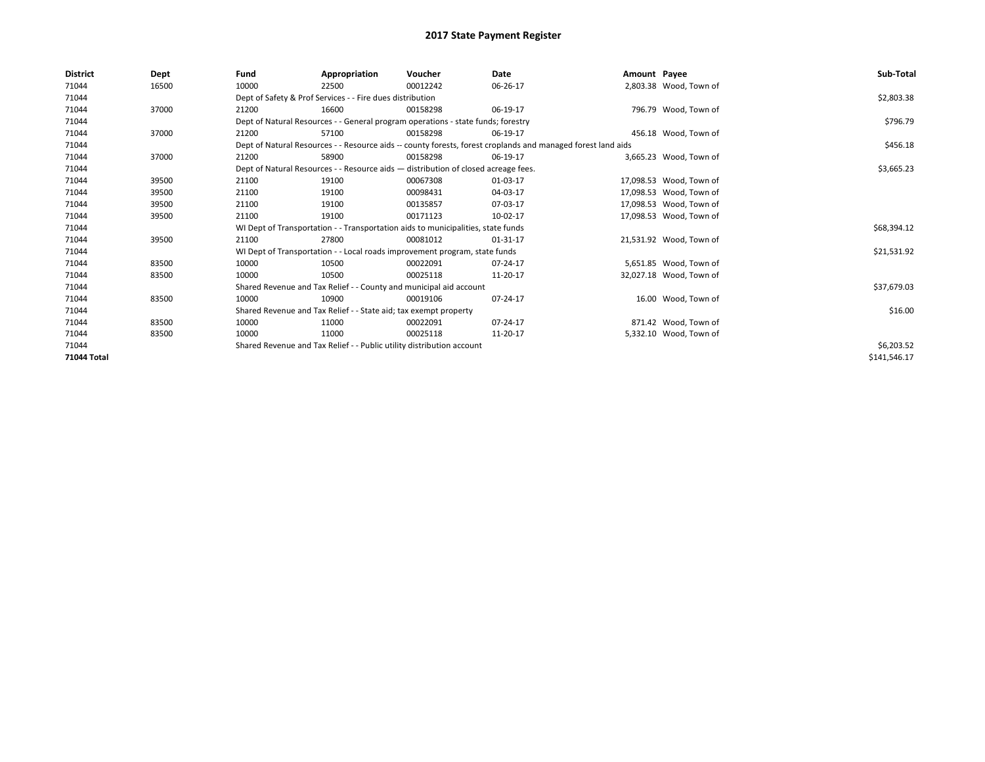| <b>District</b> | Dept  | Fund                                                             | Appropriation                                                                      | Voucher  | Date                                                                                                         | Amount Payee |                         | Sub-Total    |
|-----------------|-------|------------------------------------------------------------------|------------------------------------------------------------------------------------|----------|--------------------------------------------------------------------------------------------------------------|--------------|-------------------------|--------------|
| 71044           | 16500 | 10000                                                            | 22500                                                                              | 00012242 | 06-26-17                                                                                                     |              | 2,803.38 Wood, Town of  |              |
| 71044           |       |                                                                  | Dept of Safety & Prof Services - - Fire dues distribution                          |          |                                                                                                              |              |                         | \$2,803.38   |
| 71044           | 37000 | 21200                                                            | 16600                                                                              | 00158298 | 06-19-17                                                                                                     |              | 796.79 Wood, Town of    |              |
| 71044           |       |                                                                  | Dept of Natural Resources - - General program operations - state funds; forestry   |          | \$796.79                                                                                                     |              |                         |              |
| 71044           | 37000 | 21200                                                            | 57100                                                                              | 00158298 | 06-19-17                                                                                                     |              | 456.18 Wood, Town of    |              |
| 71044           |       |                                                                  |                                                                                    |          | Dept of Natural Resources - - Resource aids -- county forests, forest croplands and managed forest land aids |              |                         | \$456.18     |
| 71044           | 37000 | 21200                                                            | 58900                                                                              | 00158298 | 06-19-17                                                                                                     |              | 3,665.23 Wood, Town of  |              |
| 71044           |       |                                                                  | Dept of Natural Resources - - Resource aids - distribution of closed acreage fees. |          |                                                                                                              |              |                         | \$3,665.23   |
| 71044           | 39500 | 21100                                                            | 19100                                                                              | 00067308 | 01-03-17                                                                                                     |              | 17,098.53 Wood, Town of |              |
| 71044           | 39500 | 21100                                                            | 19100                                                                              | 00098431 | 04-03-17                                                                                                     |              | 17,098.53 Wood, Town of |              |
| 71044           | 39500 | 21100                                                            | 19100                                                                              | 00135857 | 07-03-17                                                                                                     |              | 17.098.53 Wood, Town of |              |
| 71044           | 39500 | 21100                                                            | 19100                                                                              | 00171123 | 10-02-17                                                                                                     |              | 17,098.53 Wood, Town of |              |
| 71044           |       |                                                                  | WI Dept of Transportation - - Transportation aids to municipalities, state funds   |          |                                                                                                              |              |                         | \$68,394.12  |
| 71044           | 39500 | 21100                                                            | 27800                                                                              | 00081012 | 01-31-17                                                                                                     |              | 21,531.92 Wood, Town of |              |
| 71044           |       |                                                                  | WI Dept of Transportation - - Local roads improvement program, state funds         |          |                                                                                                              |              |                         | \$21,531.92  |
| 71044           | 83500 | 10000                                                            | 10500                                                                              | 00022091 | 07-24-17                                                                                                     |              | 5,651.85 Wood, Town of  |              |
| 71044           | 83500 | 10000                                                            | 10500                                                                              | 00025118 | 11-20-17                                                                                                     |              | 32,027.18 Wood, Town of |              |
| 71044           |       |                                                                  | Shared Revenue and Tax Relief - - County and municipal aid account                 |          |                                                                                                              |              |                         | \$37,679.03  |
| 71044           | 83500 | 10000                                                            | 10900                                                                              | 00019106 | 07-24-17                                                                                                     |              | 16.00 Wood, Town of     |              |
| 71044           |       | Shared Revenue and Tax Relief - - State aid; tax exempt property |                                                                                    | \$16.00  |                                                                                                              |              |                         |              |
| 71044           | 83500 | 10000                                                            | 11000                                                                              | 00022091 | 07-24-17                                                                                                     |              | 871.42 Wood, Town of    |              |
| 71044           | 83500 | 10000                                                            | 11000                                                                              | 00025118 | 11-20-17                                                                                                     |              | 5,332.10 Wood, Town of  |              |
| 71044           |       |                                                                  | Shared Revenue and Tax Relief - - Public utility distribution account              |          | \$6,203.52                                                                                                   |              |                         |              |
| 71044 Total     |       |                                                                  |                                                                                    |          |                                                                                                              |              |                         | \$141,546.17 |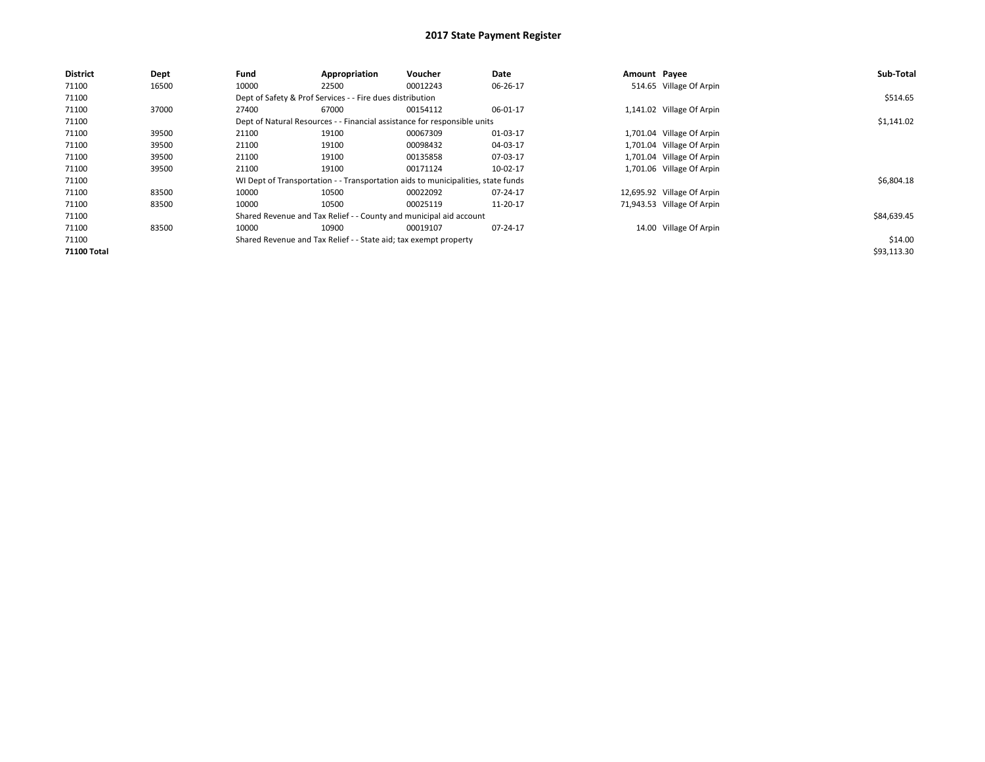| <b>District</b>    | Dept  | Fund  | Appropriation                                                                    | Voucher  | Date     | Amount Payee |                            | Sub-Total   |
|--------------------|-------|-------|----------------------------------------------------------------------------------|----------|----------|--------------|----------------------------|-------------|
| 71100              | 16500 | 10000 | 22500                                                                            | 00012243 | 06-26-17 |              | 514.65 Village Of Arpin    |             |
| 71100              |       |       | Dept of Safety & Prof Services - - Fire dues distribution                        |          |          |              |                            | \$514.65    |
| 71100              | 37000 | 27400 | 67000                                                                            | 00154112 | 06-01-17 |              | 1,141.02 Village Of Arpin  |             |
| 71100              |       |       | Dept of Natural Resources - - Financial assistance for responsible units         |          |          |              |                            | \$1,141.02  |
| 71100              | 39500 | 21100 | 19100                                                                            | 00067309 | 01-03-17 |              | 1,701.04 Village Of Arpin  |             |
| 71100              | 39500 | 21100 | 19100                                                                            | 00098432 | 04-03-17 |              | 1,701.04 Village Of Arpin  |             |
| 71100              | 39500 | 21100 | 19100                                                                            | 00135858 | 07-03-17 |              | 1,701.04 Village Of Arpin  |             |
| 71100              | 39500 | 21100 | 19100                                                                            | 00171124 | 10-02-17 |              | 1,701.06 Village Of Arpin  |             |
| 71100              |       |       | WI Dept of Transportation - - Transportation aids to municipalities, state funds |          |          |              |                            | \$6,804.18  |
| 71100              | 83500 | 10000 | 10500                                                                            | 00022092 | 07-24-17 |              | 12,695.92 Village Of Arpin |             |
| 71100              | 83500 | 10000 | 10500                                                                            | 00025119 | 11-20-17 |              | 71,943.53 Village Of Arpin |             |
| 71100              |       |       | Shared Revenue and Tax Relief - - County and municipal aid account               |          |          |              |                            | \$84,639.45 |
| 71100              | 83500 | 10000 | 10900                                                                            | 00019107 | 07-24-17 |              | 14.00 Village Of Arpin     |             |
| 71100              |       |       | Shared Revenue and Tax Relief - - State aid; tax exempt property                 |          |          |              |                            | \$14.00     |
| <b>71100 Total</b> |       |       |                                                                                  |          |          |              |                            | \$93,113.30 |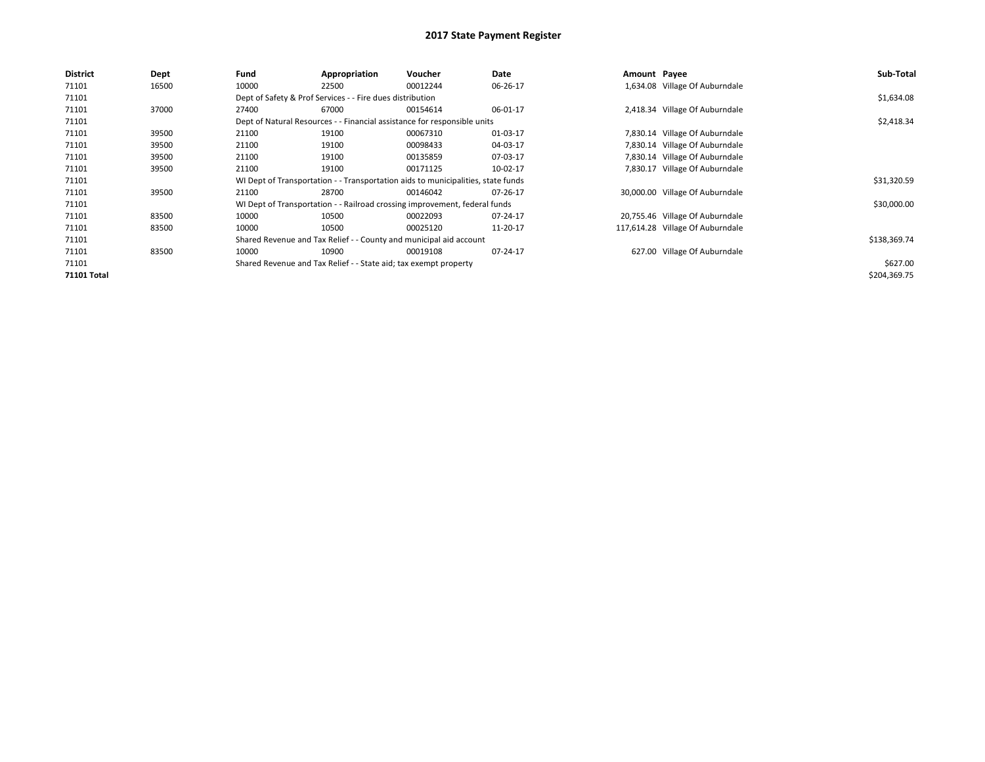| <b>District</b>    | Dept  | Fund  | Appropriation                                                    | Voucher                                                                          | Date     | Amount Payee |                                  | Sub-Total    |  |  |
|--------------------|-------|-------|------------------------------------------------------------------|----------------------------------------------------------------------------------|----------|--------------|----------------------------------|--------------|--|--|
| 71101              | 16500 | 10000 | 22500                                                            | 00012244                                                                         | 06-26-17 |              | 1,634.08 Village Of Auburndale   |              |  |  |
| 71101              |       |       | Dept of Safety & Prof Services - - Fire dues distribution        |                                                                                  |          |              |                                  |              |  |  |
| 71101              | 37000 | 27400 | 67000                                                            | 00154614                                                                         | 06-01-17 |              | 2,418.34 Village Of Auburndale   |              |  |  |
| 71101              |       |       |                                                                  | Dept of Natural Resources - - Financial assistance for responsible units         |          |              |                                  | \$2,418.34   |  |  |
| 71101              | 39500 | 21100 | 19100                                                            | 00067310                                                                         | 01-03-17 |              | 7,830.14 Village Of Auburndale   |              |  |  |
| 71101              | 39500 | 21100 | 19100                                                            | 00098433                                                                         | 04-03-17 |              | 7,830.14 Village Of Auburndale   |              |  |  |
| 71101              | 39500 | 21100 | 19100                                                            | 00135859                                                                         | 07-03-17 |              | 7,830.14 Village Of Auburndale   |              |  |  |
| 71101              | 39500 | 21100 | 19100                                                            | 00171125                                                                         | 10-02-17 |              | 7,830.17 Village Of Auburndale   |              |  |  |
| 71101              |       |       |                                                                  | WI Dept of Transportation - - Transportation aids to municipalities, state funds |          |              |                                  | \$31,320.59  |  |  |
| 71101              | 39500 | 21100 | 28700                                                            | 00146042                                                                         | 07-26-17 |              | 30,000.00 Village Of Auburndale  |              |  |  |
| 71101              |       |       |                                                                  | WI Dept of Transportation - - Railroad crossing improvement, federal funds       |          |              |                                  | \$30,000.00  |  |  |
| 71101              | 83500 | 10000 | 10500                                                            | 00022093                                                                         | 07-24-17 |              | 20,755.46 Village Of Auburndale  |              |  |  |
| 71101              | 83500 | 10000 | 10500                                                            | 00025120                                                                         | 11-20-17 |              | 117,614.28 Village Of Auburndale |              |  |  |
| 71101              |       |       |                                                                  | Shared Revenue and Tax Relief - - County and municipal aid account               |          |              |                                  | \$138,369.74 |  |  |
| 71101              | 83500 | 10000 | 10900                                                            | 00019108                                                                         | 07-24-17 |              | 627.00 Village Of Auburndale     |              |  |  |
| 71101              |       |       | Shared Revenue and Tax Relief - - State aid; tax exempt property |                                                                                  |          |              |                                  | \$627.00     |  |  |
| <b>71101 Total</b> |       |       |                                                                  |                                                                                  |          |              |                                  | \$204,369.75 |  |  |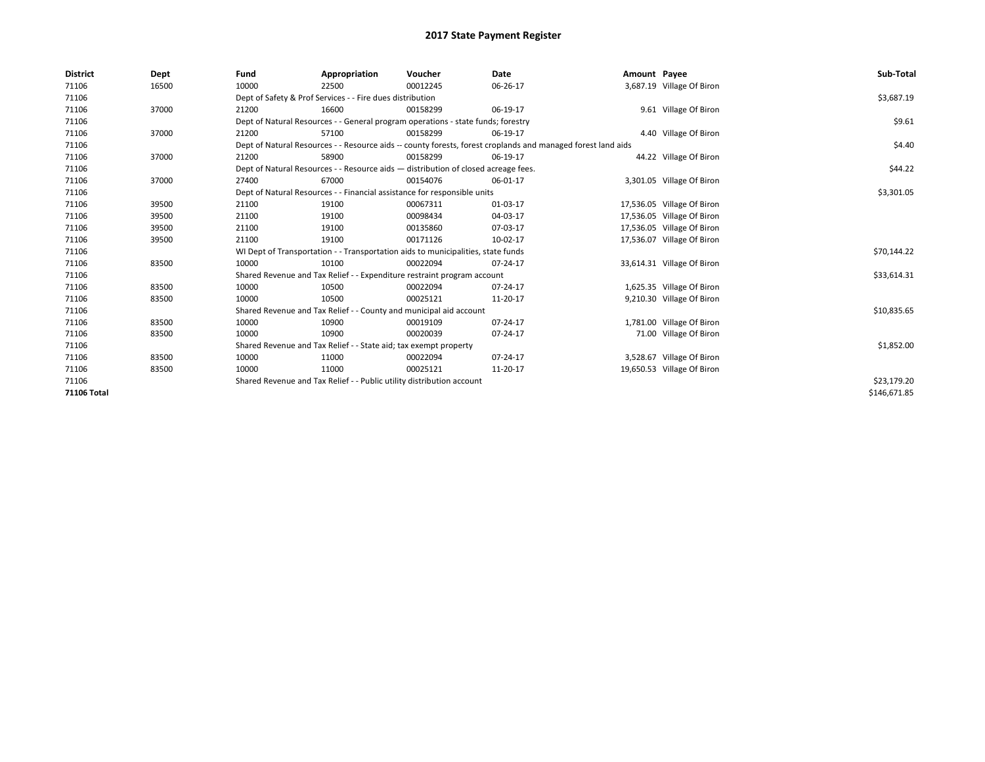| <b>District</b>    | Dept  | Fund                                                                  | Appropriation                                                                                                | Voucher     | Date     | Amount Payee |                            | Sub-Total    |  |  |
|--------------------|-------|-----------------------------------------------------------------------|--------------------------------------------------------------------------------------------------------------|-------------|----------|--------------|----------------------------|--------------|--|--|
| 71106              | 16500 | 10000                                                                 | 22500                                                                                                        | 00012245    | 06-26-17 |              | 3,687.19 Village Of Biron  |              |  |  |
| 71106              |       |                                                                       | Dept of Safety & Prof Services - - Fire dues distribution                                                    |             |          |              |                            | \$3,687.19   |  |  |
| 71106              | 37000 | 21200                                                                 | 16600                                                                                                        | 00158299    | 06-19-17 |              | 9.61 Village Of Biron      |              |  |  |
| 71106              |       |                                                                       | Dept of Natural Resources - - General program operations - state funds; forestry                             |             |          |              |                            |              |  |  |
| 71106              | 37000 | 21200                                                                 | 57100                                                                                                        | 00158299    | 06-19-17 |              | 4.40 Village Of Biron      |              |  |  |
| 71106              |       |                                                                       | Dept of Natural Resources - - Resource aids -- county forests, forest croplands and managed forest land aids |             |          |              |                            |              |  |  |
| 71106              | 37000 | 21200                                                                 | 58900                                                                                                        | 00158299    | 06-19-17 |              | 44.22 Village Of Biron     |              |  |  |
| 71106              |       |                                                                       | Dept of Natural Resources - - Resource aids - distribution of closed acreage fees.                           |             |          |              |                            | \$44.22      |  |  |
| 71106              | 37000 | 27400                                                                 | 67000                                                                                                        | 00154076    | 06-01-17 |              | 3,301.05 Village Of Biron  |              |  |  |
| 71106              |       |                                                                       | Dept of Natural Resources - - Financial assistance for responsible units                                     |             |          |              |                            | \$3,301.05   |  |  |
| 71106              | 39500 | 21100                                                                 | 19100                                                                                                        | 00067311    | 01-03-17 |              | 17,536.05 Village Of Biron |              |  |  |
| 71106              | 39500 | 21100                                                                 | 19100                                                                                                        | 00098434    | 04-03-17 |              | 17,536.05 Village Of Biron |              |  |  |
| 71106              | 39500 | 21100                                                                 | 19100                                                                                                        | 00135860    | 07-03-17 |              | 17,536.05 Village Of Biron |              |  |  |
| 71106              | 39500 | 21100                                                                 | 19100                                                                                                        | 00171126    | 10-02-17 |              | 17,536.07 Village Of Biron |              |  |  |
| 71106              |       |                                                                       | WI Dept of Transportation - - Transportation aids to municipalities, state funds                             |             |          |              |                            | \$70,144.22  |  |  |
| 71106              | 83500 | 10000                                                                 | 10100                                                                                                        | 00022094    | 07-24-17 |              | 33,614.31 Village Of Biron |              |  |  |
| 71106              |       |                                                                       | Shared Revenue and Tax Relief - - Expenditure restraint program account                                      |             |          |              |                            | \$33,614.31  |  |  |
| 71106              | 83500 | 10000                                                                 | 10500                                                                                                        | 00022094    | 07-24-17 |              | 1,625.35 Village Of Biron  |              |  |  |
| 71106              | 83500 | 10000                                                                 | 10500                                                                                                        | 00025121    | 11-20-17 |              | 9,210.30 Village Of Biron  |              |  |  |
| 71106              |       |                                                                       | Shared Revenue and Tax Relief - - County and municipal aid account                                           |             |          |              |                            | \$10,835.65  |  |  |
| 71106              | 83500 | 10000                                                                 | 10900                                                                                                        | 00019109    | 07-24-17 |              | 1,781.00 Village Of Biron  |              |  |  |
| 71106              | 83500 | 10000                                                                 | 10900                                                                                                        | 00020039    | 07-24-17 |              | 71.00 Village Of Biron     |              |  |  |
| 71106              |       |                                                                       | Shared Revenue and Tax Relief - - State aid; tax exempt property                                             |             |          |              |                            | \$1,852.00   |  |  |
| 71106              | 83500 | 10000                                                                 | 11000                                                                                                        | 00022094    | 07-24-17 |              | 3,528.67 Village Of Biron  |              |  |  |
| 71106              | 83500 | 10000                                                                 | 11000                                                                                                        | 00025121    | 11-20-17 |              | 19,650.53 Village Of Biron |              |  |  |
| 71106              |       | Shared Revenue and Tax Relief - - Public utility distribution account |                                                                                                              | \$23,179.20 |          |              |                            |              |  |  |
| <b>71106 Total</b> |       |                                                                       |                                                                                                              |             |          |              |                            | \$146,671.85 |  |  |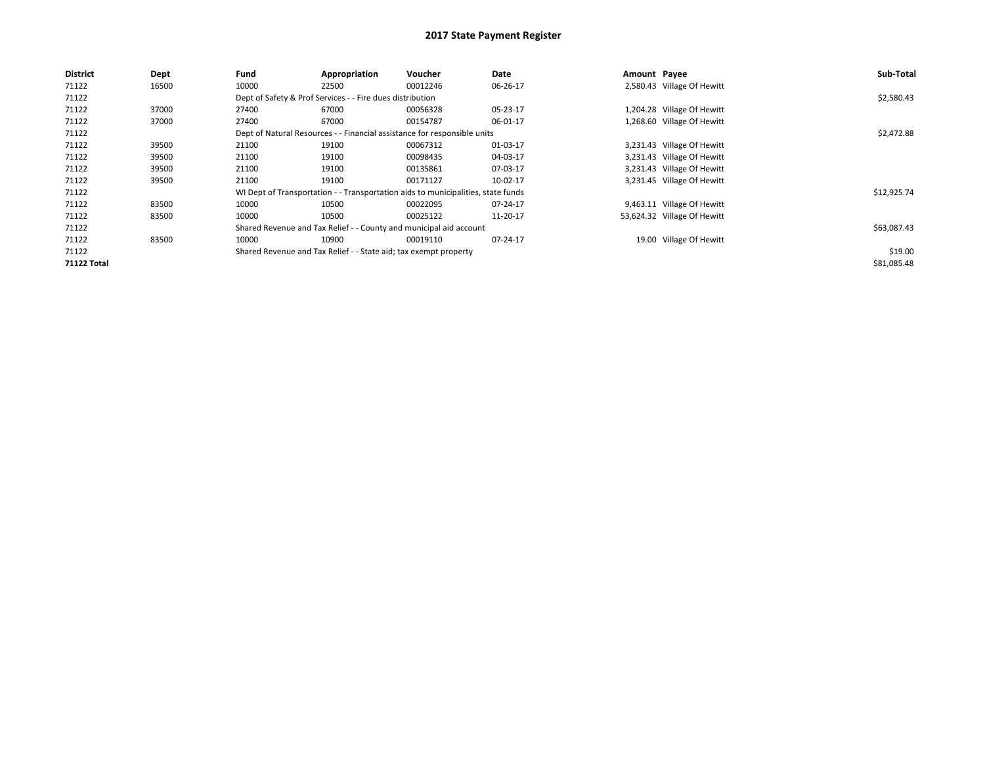| <b>District</b>    | Dept  | Fund  | Appropriation                                                                    | Voucher  | Date     | Amount Payee |                             | Sub-Total   |
|--------------------|-------|-------|----------------------------------------------------------------------------------|----------|----------|--------------|-----------------------------|-------------|
| 71122              | 16500 | 10000 | 22500                                                                            | 00012246 | 06-26-17 |              | 2,580.43 Village Of Hewitt  |             |
| 71122              |       |       | Dept of Safety & Prof Services - - Fire dues distribution                        |          |          |              |                             | \$2,580.43  |
| 71122              | 37000 | 27400 | 67000                                                                            | 00056328 | 05-23-17 |              | 1,204.28 Village Of Hewitt  |             |
| 71122              | 37000 | 27400 | 67000                                                                            | 00154787 | 06-01-17 |              | 1,268.60 Village Of Hewitt  |             |
| 71122              |       |       | Dept of Natural Resources - - Financial assistance for responsible units         |          |          |              |                             | \$2,472.88  |
| 71122              | 39500 | 21100 | 19100                                                                            | 00067312 | 01-03-17 |              | 3,231.43 Village Of Hewitt  |             |
| 71122              | 39500 | 21100 | 19100                                                                            | 00098435 | 04-03-17 |              | 3,231.43 Village Of Hewitt  |             |
| 71122              | 39500 | 21100 | 19100                                                                            | 00135861 | 07-03-17 |              | 3,231.43 Village Of Hewitt  |             |
| 71122              | 39500 | 21100 | 19100                                                                            | 00171127 | 10-02-17 |              | 3,231.45 Village Of Hewitt  |             |
| 71122              |       |       | WI Dept of Transportation - - Transportation aids to municipalities, state funds |          |          |              |                             | \$12,925.74 |
| 71122              | 83500 | 10000 | 10500                                                                            | 00022095 | 07-24-17 |              | 9,463.11 Village Of Hewitt  |             |
| 71122              | 83500 | 10000 | 10500                                                                            | 00025122 | 11-20-17 |              | 53,624.32 Village Of Hewitt |             |
| 71122              |       |       | Shared Revenue and Tax Relief - - County and municipal aid account               |          |          |              |                             | \$63,087.43 |
| 71122              | 83500 | 10000 | 10900                                                                            | 00019110 | 07-24-17 |              | 19.00 Village Of Hewitt     |             |
| 71122              |       |       | Shared Revenue and Tax Relief - - State aid; tax exempt property                 |          |          |              |                             | \$19.00     |
| <b>71122 Total</b> |       |       |                                                                                  |          |          |              |                             | \$81,085.48 |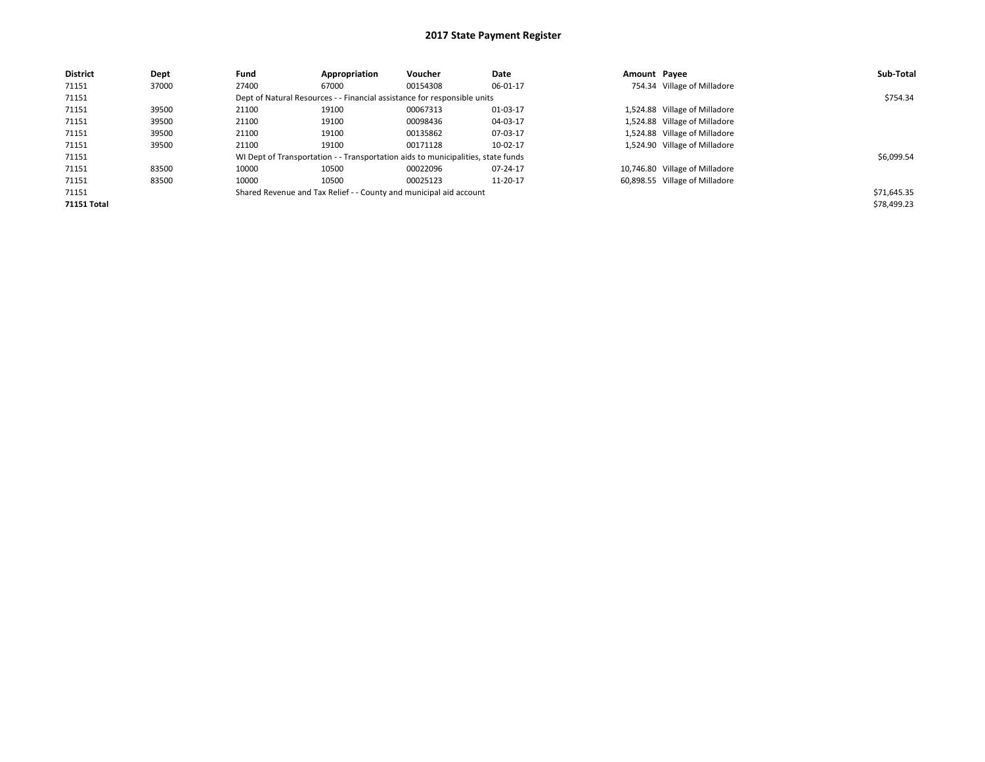| <b>District</b>    | Dept  | Fund  | Appropriation | Voucher                                                                          | Date     | Amount Payee |                                | Sub-Total   |
|--------------------|-------|-------|---------------|----------------------------------------------------------------------------------|----------|--------------|--------------------------------|-------------|
| 71151              | 37000 | 27400 | 67000         | 00154308                                                                         | 06-01-17 |              | 754.34 Village of Milladore    |             |
| 71151              |       |       |               | Dept of Natural Resources - - Financial assistance for responsible units         |          |              |                                | \$754.34    |
| 71151              | 39500 | 21100 | 19100         | 00067313                                                                         | 01-03-17 |              | 1,524.88 Village of Milladore  |             |
| 71151              | 39500 | 21100 | 19100         | 00098436                                                                         | 04-03-17 |              | 1,524.88 Village of Milladore  |             |
| 71151              | 39500 | 21100 | 19100         | 00135862                                                                         | 07-03-17 |              | 1,524.88 Village of Milladore  |             |
| 71151              | 39500 | 21100 | 19100         | 00171128                                                                         | 10-02-17 |              | 1,524.90 Village of Milladore  |             |
| 71151              |       |       |               | WI Dept of Transportation - - Transportation aids to municipalities, state funds |          |              |                                | \$6,099.54  |
| 71151              | 83500 | 10000 | 10500         | 00022096                                                                         | 07-24-17 |              | 10,746.80 Village of Milladore |             |
| 71151              | 83500 | 10000 | 10500         | 00025123                                                                         | 11-20-17 |              | 60,898.55 Village of Milladore |             |
| 71151              |       |       |               | Shared Revenue and Tax Relief - - County and municipal aid account               |          |              |                                | \$71,645.35 |
| <b>71151 Total</b> |       |       |               |                                                                                  |          |              |                                | \$78,499.23 |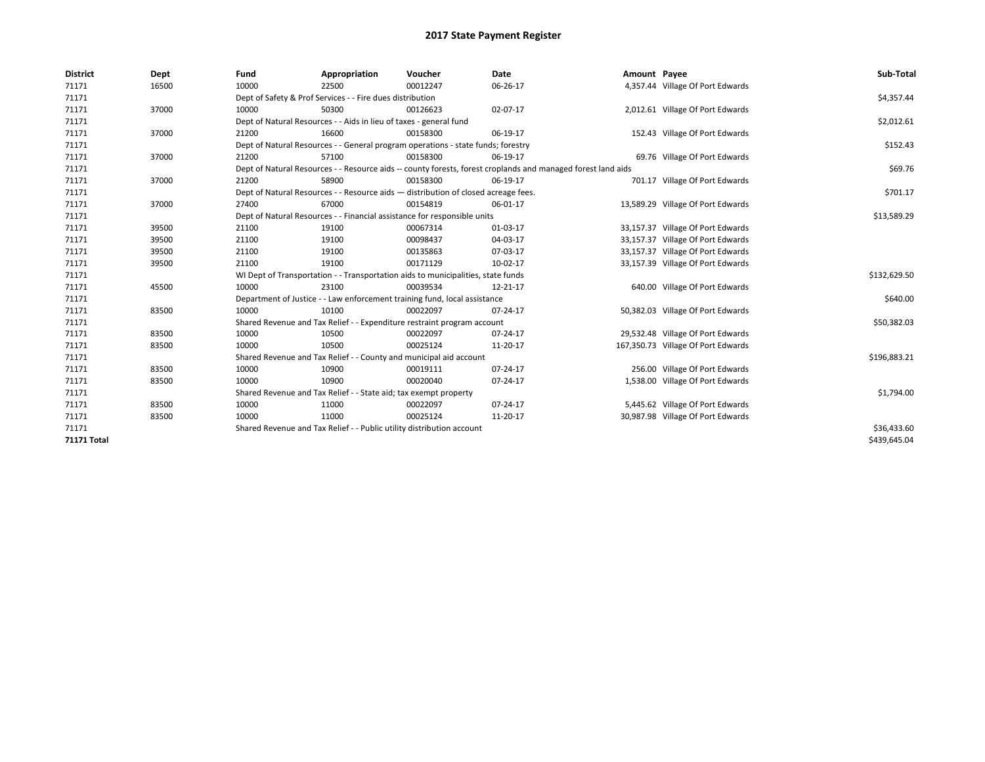| <b>District</b>    | Dept  | Fund  | Appropriation                                                                      | Voucher  | <b>Date</b>                                                                                                  | Amount Payee |                                    | Sub-Total    |  |
|--------------------|-------|-------|------------------------------------------------------------------------------------|----------|--------------------------------------------------------------------------------------------------------------|--------------|------------------------------------|--------------|--|
| 71171              | 16500 | 10000 | 22500                                                                              | 00012247 | 06-26-17                                                                                                     |              | 4,357.44 Village Of Port Edwards   |              |  |
| 71171              |       |       | Dept of Safety & Prof Services - - Fire dues distribution                          |          |                                                                                                              |              |                                    | \$4,357.44   |  |
| 71171              | 37000 | 10000 | 50300                                                                              | 00126623 | 02-07-17                                                                                                     |              | 2,012.61 Village Of Port Edwards   |              |  |
| 71171              |       |       | Dept of Natural Resources - - Aids in lieu of taxes - general fund                 |          |                                                                                                              |              |                                    | \$2,012.61   |  |
| 71171              | 37000 | 21200 | 16600                                                                              | 00158300 | 06-19-17                                                                                                     |              | 152.43 Village Of Port Edwards     |              |  |
| 71171              |       |       | Dept of Natural Resources - - General program operations - state funds; forestry   |          |                                                                                                              |              |                                    | \$152.43     |  |
| 71171              | 37000 | 21200 | 57100                                                                              | 00158300 | 06-19-17                                                                                                     |              | 69.76 Village Of Port Edwards      |              |  |
| 71171              |       |       |                                                                                    |          | Dept of Natural Resources - - Resource aids -- county forests, forest croplands and managed forest land aids |              |                                    | \$69.76      |  |
| 71171              | 37000 | 21200 | 58900                                                                              | 00158300 | 06-19-17                                                                                                     |              | 701.17 Village Of Port Edwards     |              |  |
| 71171              |       |       | Dept of Natural Resources - - Resource aids - distribution of closed acreage fees. |          |                                                                                                              |              |                                    | \$701.17     |  |
| 71171              | 37000 | 27400 | 67000                                                                              | 00154819 | 06-01-17                                                                                                     |              | 13,589.29 Village Of Port Edwards  |              |  |
| 71171              |       |       | Dept of Natural Resources - - Financial assistance for responsible units           |          |                                                                                                              |              |                                    | \$13,589.29  |  |
| 71171              | 39500 | 21100 | 19100                                                                              | 00067314 | 01-03-17                                                                                                     |              | 33,157.37 Village Of Port Edwards  |              |  |
| 71171              | 39500 | 21100 | 19100                                                                              | 00098437 | 04-03-17                                                                                                     |              | 33,157.37 Village Of Port Edwards  |              |  |
| 71171              | 39500 | 21100 | 19100                                                                              | 00135863 | 07-03-17                                                                                                     |              | 33,157.37 Village Of Port Edwards  |              |  |
| 71171              | 39500 | 21100 | 19100                                                                              | 00171129 | 10-02-17                                                                                                     |              | 33,157.39 Village Of Port Edwards  |              |  |
| 71171              |       |       | WI Dept of Transportation - - Transportation aids to municipalities, state funds   |          |                                                                                                              |              |                                    | \$132,629.50 |  |
| 71171              | 45500 | 10000 | 23100                                                                              | 00039534 | 12-21-17                                                                                                     |              | 640.00 Village Of Port Edwards     |              |  |
| 71171              |       |       | Department of Justice - - Law enforcement training fund, local assistance          |          |                                                                                                              |              |                                    | \$640.00     |  |
| 71171              | 83500 | 10000 | 10100                                                                              | 00022097 | 07-24-17                                                                                                     |              | 50,382.03 Village Of Port Edwards  |              |  |
| 71171              |       |       | Shared Revenue and Tax Relief - - Expenditure restraint program account            |          |                                                                                                              |              |                                    | \$50,382.03  |  |
| 71171              | 83500 | 10000 | 10500                                                                              | 00022097 | 07-24-17                                                                                                     |              | 29,532.48 Village Of Port Edwards  |              |  |
| 71171              | 83500 | 10000 | 10500                                                                              | 00025124 | 11-20-17                                                                                                     |              | 167,350.73 Village Of Port Edwards |              |  |
| 71171              |       |       | Shared Revenue and Tax Relief - - County and municipal aid account                 |          |                                                                                                              |              |                                    | \$196,883.21 |  |
| 71171              | 83500 | 10000 | 10900                                                                              | 00019111 | 07-24-17                                                                                                     |              | 256.00 Village Of Port Edwards     |              |  |
| 71171              | 83500 | 10000 | 10900                                                                              | 00020040 | 07-24-17                                                                                                     |              | 1,538.00 Village Of Port Edwards   |              |  |
| 71171              |       |       | Shared Revenue and Tax Relief - - State aid; tax exempt property                   |          |                                                                                                              |              |                                    | \$1,794.00   |  |
| 71171              | 83500 | 10000 | 11000                                                                              | 00022097 | 07-24-17                                                                                                     |              | 5,445.62 Village Of Port Edwards   |              |  |
| 71171              | 83500 | 10000 | 11000                                                                              | 00025124 | 11-20-17                                                                                                     |              | 30,987.98 Village Of Port Edwards  |              |  |
| 71171              |       |       | Shared Revenue and Tax Relief - - Public utility distribution account              |          |                                                                                                              |              |                                    |              |  |
| <b>71171 Total</b> |       |       |                                                                                    |          |                                                                                                              |              |                                    | \$439,645.04 |  |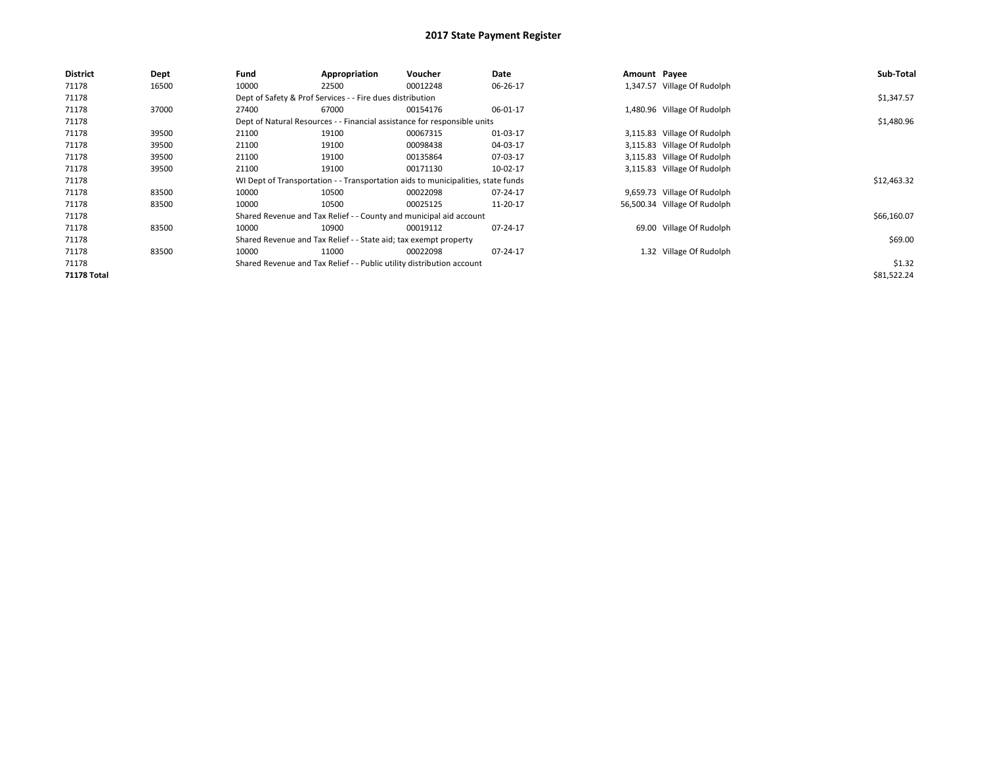| <b>District</b>    | Dept  | Fund                                                             | Appropriation                                             | <b>Voucher</b>                                                                   | Date     | Amount Payee |                              | Sub-Total   |
|--------------------|-------|------------------------------------------------------------------|-----------------------------------------------------------|----------------------------------------------------------------------------------|----------|--------------|------------------------------|-------------|
| 71178              | 16500 | 10000                                                            | 22500                                                     | 00012248                                                                         | 06-26-17 |              | 1,347.57 Village Of Rudolph  |             |
| 71178              |       |                                                                  | Dept of Safety & Prof Services - - Fire dues distribution |                                                                                  |          |              |                              | \$1,347.57  |
| 71178              | 37000 | 27400                                                            | 67000                                                     | 00154176                                                                         | 06-01-17 |              | 1,480.96 Village Of Rudolph  |             |
| 71178              |       |                                                                  |                                                           | Dept of Natural Resources - - Financial assistance for responsible units         |          |              |                              | \$1,480.96  |
| 71178              | 39500 | 21100                                                            | 19100                                                     | 00067315                                                                         | 01-03-17 |              | 3,115.83 Village Of Rudolph  |             |
| 71178              | 39500 | 21100                                                            | 19100                                                     | 00098438                                                                         | 04-03-17 |              | 3,115.83 Village Of Rudolph  |             |
| 71178              | 39500 | 21100                                                            | 19100                                                     | 00135864                                                                         | 07-03-17 |              | 3,115.83 Village Of Rudolph  |             |
| 71178              | 39500 | 21100                                                            | 19100                                                     | 00171130                                                                         | 10-02-17 |              | 3,115.83 Village Of Rudolph  |             |
| 71178              |       |                                                                  |                                                           | WI Dept of Transportation - - Transportation aids to municipalities, state funds |          |              |                              | \$12,463.32 |
| 71178              | 83500 | 10000                                                            | 10500                                                     | 00022098                                                                         | 07-24-17 |              | 9,659.73 Village Of Rudolph  |             |
| 71178              | 83500 | 10000                                                            | 10500                                                     | 00025125                                                                         | 11-20-17 |              | 56,500.34 Village Of Rudolph |             |
| 71178              |       |                                                                  |                                                           | Shared Revenue and Tax Relief - - County and municipal aid account               |          |              |                              | \$66,160.07 |
| 71178              | 83500 | 10000                                                            | 10900                                                     | 00019112                                                                         | 07-24-17 |              | 69.00 Village Of Rudolph     |             |
| 71178              |       | Shared Revenue and Tax Relief - - State aid; tax exempt property |                                                           | \$69.00                                                                          |          |              |                              |             |
| 71178              | 83500 | 10000                                                            | 11000                                                     | 00022098                                                                         | 07-24-17 |              | 1.32 Village Of Rudolph      |             |
| 71178              |       |                                                                  |                                                           | Shared Revenue and Tax Relief - - Public utility distribution account            |          |              |                              | \$1.32      |
| <b>71178 Total</b> |       |                                                                  |                                                           |                                                                                  |          |              |                              | \$81,522.24 |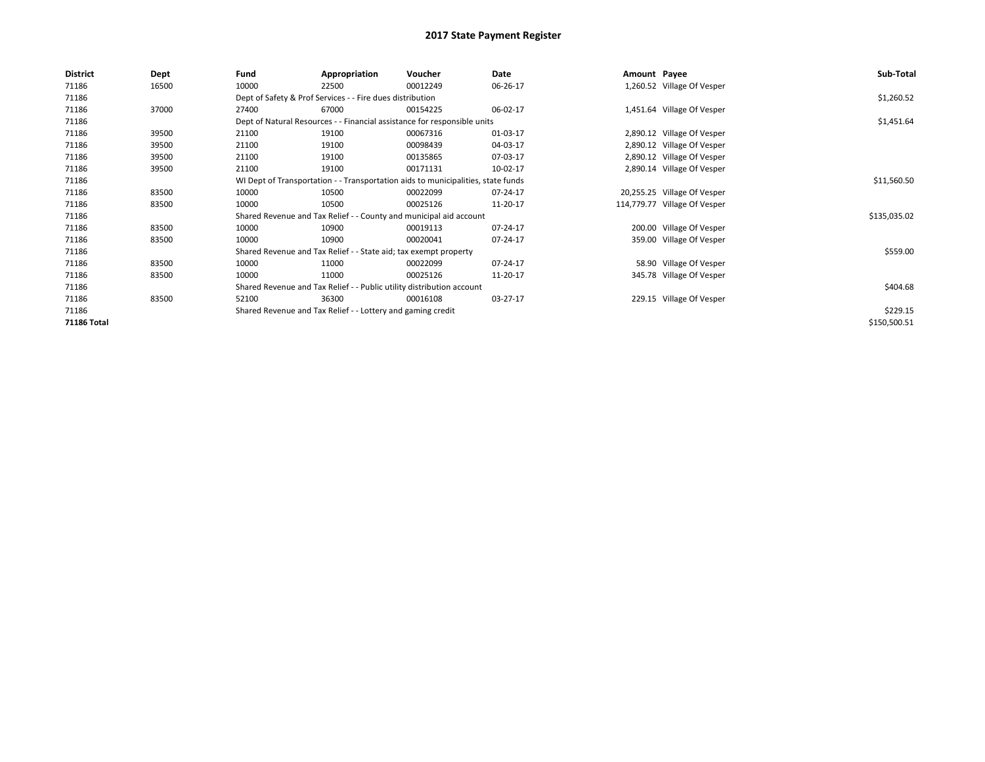| <b>District</b> | Dept  | Fund                                                                  | Appropriation                                                                    | Voucher  | Date     | Amount Payee |                              | Sub-Total    |
|-----------------|-------|-----------------------------------------------------------------------|----------------------------------------------------------------------------------|----------|----------|--------------|------------------------------|--------------|
| 71186           | 16500 | 10000                                                                 | 22500                                                                            | 00012249 | 06-26-17 |              | 1,260.52 Village Of Vesper   |              |
| 71186           |       |                                                                       | Dept of Safety & Prof Services - - Fire dues distribution                        |          |          |              |                              | \$1,260.52   |
| 71186           | 37000 | 27400                                                                 | 67000                                                                            | 00154225 | 06-02-17 |              | 1,451.64 Village Of Vesper   |              |
| 71186           |       |                                                                       | Dept of Natural Resources - - Financial assistance for responsible units         |          |          |              |                              | \$1,451.64   |
| 71186           | 39500 | 21100                                                                 | 19100                                                                            | 00067316 | 01-03-17 |              | 2,890.12 Village Of Vesper   |              |
| 71186           | 39500 | 21100                                                                 | 19100                                                                            | 00098439 | 04-03-17 |              | 2,890.12 Village Of Vesper   |              |
| 71186           | 39500 | 21100                                                                 | 19100                                                                            | 00135865 | 07-03-17 |              | 2,890.12 Village Of Vesper   |              |
| 71186           | 39500 | 21100                                                                 | 19100                                                                            | 00171131 | 10-02-17 |              | 2,890.14 Village Of Vesper   |              |
| 71186           |       |                                                                       | WI Dept of Transportation - - Transportation aids to municipalities, state funds |          |          |              |                              | \$11,560.50  |
| 71186           | 83500 | 10000                                                                 | 10500                                                                            | 00022099 | 07-24-17 |              | 20,255.25 Village Of Vesper  |              |
| 71186           | 83500 | 10000                                                                 | 10500                                                                            | 00025126 | 11-20-17 |              | 114,779.77 Village Of Vesper |              |
| 71186           |       |                                                                       | Shared Revenue and Tax Relief - - County and municipal aid account               |          |          |              |                              | \$135,035.02 |
| 71186           | 83500 | 10000                                                                 | 10900                                                                            | 00019113 | 07-24-17 |              | 200.00 Village Of Vesper     |              |
| 71186           | 83500 | 10000                                                                 | 10900                                                                            | 00020041 | 07-24-17 |              | 359.00 Village Of Vesper     |              |
| 71186           |       |                                                                       | Shared Revenue and Tax Relief - - State aid; tax exempt property                 |          |          |              |                              | \$559.00     |
| 71186           | 83500 | 10000                                                                 | 11000                                                                            | 00022099 | 07-24-17 |              | 58.90 Village Of Vesper      |              |
| 71186           | 83500 | 10000                                                                 | 11000                                                                            | 00025126 | 11-20-17 |              | 345.78 Village Of Vesper     |              |
| 71186           |       | Shared Revenue and Tax Relief - - Public utility distribution account |                                                                                  | \$404.68 |          |              |                              |              |
| 71186           | 83500 | 52100                                                                 | 36300                                                                            | 00016108 | 03-27-17 |              | 229.15 Village Of Vesper     |              |
| 71186           |       | Shared Revenue and Tax Relief - - Lottery and gaming credit           |                                                                                  | \$229.15 |          |              |                              |              |
| 71186 Total     |       |                                                                       |                                                                                  |          |          |              |                              | \$150,500.51 |
|                 |       |                                                                       |                                                                                  |          |          |              |                              |              |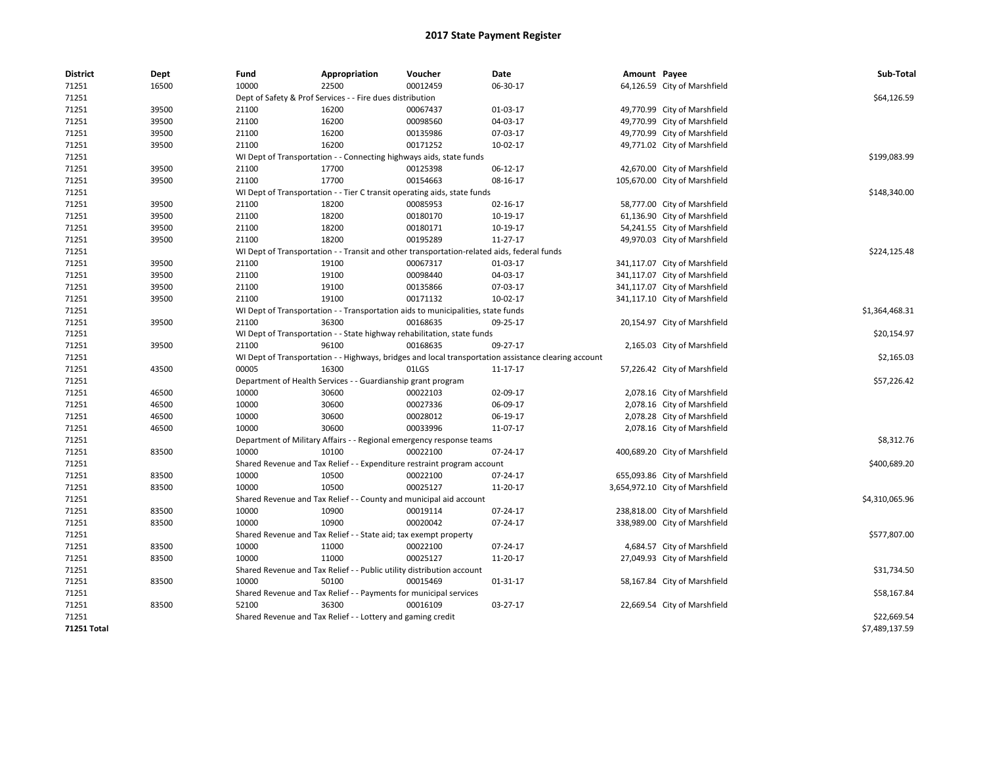| <b>District</b>    | Dept  | Fund  | Appropriation                                                         | Voucher                                                                                    | Date                                                                                                 | Amount Payee |                                 | Sub-Total      |
|--------------------|-------|-------|-----------------------------------------------------------------------|--------------------------------------------------------------------------------------------|------------------------------------------------------------------------------------------------------|--------------|---------------------------------|----------------|
| 71251              | 16500 | 10000 | 22500                                                                 | 00012459                                                                                   | 06-30-17                                                                                             |              | 64,126.59 City of Marshfield    |                |
| 71251              |       |       | Dept of Safety & Prof Services - - Fire dues distribution             |                                                                                            |                                                                                                      |              |                                 | \$64,126.59    |
| 71251              | 39500 | 21100 | 16200                                                                 | 00067437                                                                                   | 01-03-17                                                                                             |              | 49,770.99 City of Marshfield    |                |
| 71251              | 39500 | 21100 | 16200                                                                 | 00098560                                                                                   | 04-03-17                                                                                             |              | 49,770.99 City of Marshfield    |                |
| 71251              | 39500 | 21100 | 16200                                                                 | 00135986                                                                                   | 07-03-17                                                                                             |              | 49,770.99 City of Marshfield    |                |
| 71251              | 39500 | 21100 | 16200                                                                 | 00171252                                                                                   | 10-02-17                                                                                             |              | 49,771.02 City of Marshfield    |                |
| 71251              |       |       |                                                                       | WI Dept of Transportation - - Connecting highways aids, state funds                        |                                                                                                      |              |                                 | \$199,083.99   |
| 71251              | 39500 | 21100 | 17700                                                                 | 00125398                                                                                   | 06-12-17                                                                                             |              | 42,670.00 City of Marshfield    |                |
| 71251              | 39500 | 21100 | 17700                                                                 | 00154663                                                                                   | 08-16-17                                                                                             |              | 105,670.00 City of Marshfield   |                |
| 71251              |       |       |                                                                       | WI Dept of Transportation - - Tier C transit operating aids, state funds                   |                                                                                                      |              |                                 | \$148,340.00   |
| 71251              | 39500 | 21100 | 18200                                                                 | 00085953                                                                                   | 02-16-17                                                                                             |              | 58,777.00 City of Marshfield    |                |
| 71251              | 39500 | 21100 | 18200                                                                 | 00180170                                                                                   | 10-19-17                                                                                             |              | 61,136.90 City of Marshfield    |                |
| 71251              | 39500 | 21100 | 18200                                                                 | 00180171                                                                                   | 10-19-17                                                                                             |              | 54,241.55 City of Marshfield    |                |
| 71251              | 39500 | 21100 | 18200                                                                 | 00195289                                                                                   | 11-27-17                                                                                             |              | 49,970.03 City of Marshfield    |                |
| 71251              |       |       |                                                                       | WI Dept of Transportation - - Transit and other transportation-related aids, federal funds |                                                                                                      |              |                                 | \$224,125.48   |
| 71251              | 39500 | 21100 | 19100                                                                 | 00067317                                                                                   | 01-03-17                                                                                             |              | 341,117.07 City of Marshfield   |                |
| 71251              | 39500 | 21100 | 19100                                                                 | 00098440                                                                                   | 04-03-17                                                                                             |              | 341,117.07 City of Marshfield   |                |
| 71251              | 39500 | 21100 | 19100                                                                 | 00135866                                                                                   | 07-03-17                                                                                             |              | 341,117.07 City of Marshfield   |                |
| 71251              | 39500 | 21100 | 19100                                                                 | 00171132                                                                                   | 10-02-17                                                                                             |              | 341,117.10 City of Marshfield   |                |
| 71251              |       |       |                                                                       | WI Dept of Transportation - - Transportation aids to municipalities, state funds           |                                                                                                      |              |                                 | \$1,364,468.31 |
| 71251              | 39500 | 21100 | 36300                                                                 | 00168635                                                                                   | 09-25-17                                                                                             |              | 20,154.97 City of Marshfield    |                |
| 71251              |       |       |                                                                       | WI Dept of Transportation - - State highway rehabilitation, state funds                    |                                                                                                      |              |                                 | \$20,154.97    |
| 71251              | 39500 | 21100 | 96100                                                                 | 00168635                                                                                   | 09-27-17                                                                                             |              | 2,165.03 City of Marshfield     |                |
| 71251              |       |       |                                                                       |                                                                                            | WI Dept of Transportation - - Highways, bridges and local transportation assistance clearing account |              |                                 | \$2,165.03     |
| 71251              | 43500 | 00005 | 16300                                                                 | 01LGS                                                                                      | 11-17-17                                                                                             |              | 57,226.42 City of Marshfield    |                |
| 71251              |       |       | Department of Health Services - - Guardianship grant program          |                                                                                            |                                                                                                      |              |                                 | \$57,226.42    |
| 71251              | 46500 | 10000 | 30600                                                                 | 00022103                                                                                   | 02-09-17                                                                                             |              | 2,078.16 City of Marshfield     |                |
| 71251              | 46500 | 10000 | 30600                                                                 | 00027336                                                                                   | 06-09-17                                                                                             |              | 2,078.16 City of Marshfield     |                |
| 71251              | 46500 | 10000 | 30600                                                                 | 00028012                                                                                   | 06-19-17                                                                                             |              | 2,078.28 City of Marshfield     |                |
| 71251              | 46500 | 10000 | 30600                                                                 | 00033996                                                                                   | 11-07-17                                                                                             |              | 2,078.16 City of Marshfield     |                |
| 71251              |       |       |                                                                       | Department of Military Affairs - - Regional emergency response teams                       |                                                                                                      |              |                                 | \$8,312.76     |
| 71251              | 83500 | 10000 | 10100                                                                 | 00022100                                                                                   | 07-24-17                                                                                             |              | 400,689.20 City of Marshfield   |                |
| 71251              |       |       |                                                                       | Shared Revenue and Tax Relief - - Expenditure restraint program account                    |                                                                                                      |              |                                 | \$400,689.20   |
| 71251              | 83500 | 10000 | 10500                                                                 | 00022100                                                                                   | 07-24-17                                                                                             |              | 655,093.86 City of Marshfield   |                |
| 71251              | 83500 | 10000 | 10500                                                                 | 00025127                                                                                   | 11-20-17                                                                                             |              | 3,654,972.10 City of Marshfield |                |
| 71251              |       |       |                                                                       | Shared Revenue and Tax Relief - - County and municipal aid account                         |                                                                                                      |              |                                 | \$4,310,065.96 |
| 71251              | 83500 | 10000 | 10900                                                                 | 00019114                                                                                   | 07-24-17                                                                                             |              | 238,818.00 City of Marshfield   |                |
| 71251              | 83500 | 10000 | 10900                                                                 | 00020042                                                                                   | 07-24-17                                                                                             |              | 338,989.00 City of Marshfield   |                |
| 71251              |       |       | Shared Revenue and Tax Relief - - State aid; tax exempt property      |                                                                                            |                                                                                                      |              |                                 | \$577,807.00   |
| 71251              | 83500 | 10000 | 11000                                                                 | 00022100                                                                                   | 07-24-17                                                                                             |              | 4,684.57 City of Marshfield     |                |
| 71251              | 83500 | 10000 | 11000                                                                 | 00025127                                                                                   | 11-20-17                                                                                             |              | 27,049.93 City of Marshfield    |                |
| 71251              |       |       | Shared Revenue and Tax Relief - - Public utility distribution account |                                                                                            |                                                                                                      |              |                                 | \$31,734.50    |
| 71251              | 83500 | 10000 | 50100                                                                 | 00015469                                                                                   | 01-31-17                                                                                             |              | 58,167.84 City of Marshfield    |                |
| 71251              |       |       | Shared Revenue and Tax Relief - - Payments for municipal services     |                                                                                            |                                                                                                      |              |                                 | \$58,167.84    |
| 71251              | 83500 | 52100 | 36300                                                                 | 00016109                                                                                   | 03-27-17                                                                                             |              | 22,669.54 City of Marshfield    |                |
| 71251              |       |       | Shared Revenue and Tax Relief - - Lottery and gaming credit           |                                                                                            |                                                                                                      |              |                                 | \$22,669.54    |
| <b>71251 Total</b> |       |       |                                                                       |                                                                                            |                                                                                                      |              |                                 | \$7,489,137.59 |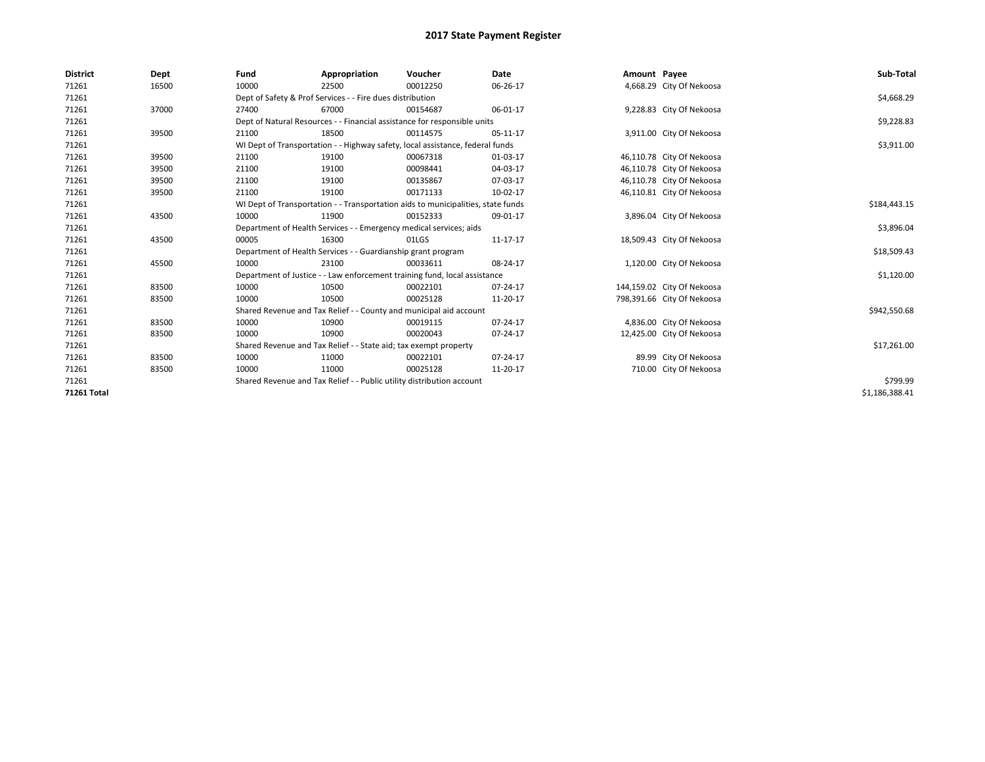| <b>District</b>    | Dept  | Fund                                                                  | Appropriation                                                                    | Voucher  | Date           | Amount Payee |                            | Sub-Total      |  |  |
|--------------------|-------|-----------------------------------------------------------------------|----------------------------------------------------------------------------------|----------|----------------|--------------|----------------------------|----------------|--|--|
| 71261              | 16500 | 10000                                                                 | 22500                                                                            | 00012250 | 06-26-17       |              | 4,668.29 City Of Nekoosa   |                |  |  |
| 71261              |       | Dept of Safety & Prof Services - - Fire dues distribution             | \$4,668.29                                                                       |          |                |              |                            |                |  |  |
| 71261              | 37000 | 27400                                                                 | 67000                                                                            | 00154687 | 06-01-17       |              | 9,228.83 City Of Nekoosa   |                |  |  |
| 71261              |       |                                                                       | Dept of Natural Resources - - Financial assistance for responsible units         |          |                |              |                            | \$9,228.83     |  |  |
| 71261              | 39500 | 21100                                                                 | 18500                                                                            | 00114575 | 05-11-17       |              | 3,911.00 City Of Nekoosa   |                |  |  |
| 71261              |       |                                                                       | WI Dept of Transportation - - Highway safety, local assistance, federal funds    |          |                |              |                            | \$3,911.00     |  |  |
| 71261              | 39500 | 21100                                                                 | 19100                                                                            | 00067318 | 01-03-17       |              | 46,110.78 City Of Nekoosa  |                |  |  |
| 71261              | 39500 | 21100                                                                 | 19100                                                                            | 00098441 | 04-03-17       |              | 46,110.78 City Of Nekoosa  |                |  |  |
| 71261              | 39500 | 21100                                                                 | 19100                                                                            | 00135867 | 07-03-17       |              | 46,110.78 City Of Nekoosa  |                |  |  |
| 71261              | 39500 | 21100                                                                 | 19100                                                                            | 00171133 | 10-02-17       |              | 46,110.81 City Of Nekoosa  |                |  |  |
| 71261              |       |                                                                       | WI Dept of Transportation - - Transportation aids to municipalities, state funds |          |                |              |                            | \$184,443.15   |  |  |
| 71261              | 43500 | 10000                                                                 | 11900                                                                            | 00152333 | 09-01-17       |              | 3,896.04 City Of Nekoosa   |                |  |  |
| 71261              |       |                                                                       | Department of Health Services - - Emergency medical services; aids               |          |                |              |                            | \$3,896.04     |  |  |
| 71261              | 43500 | 00005                                                                 | 16300                                                                            | 01LGS    | 11-17-17       |              | 18,509.43 City Of Nekoosa  |                |  |  |
| 71261              |       |                                                                       | Department of Health Services - - Guardianship grant program                     |          |                |              |                            |                |  |  |
| 71261              | 45500 | 10000                                                                 | 23100                                                                            | 00033611 | 08-24-17       |              | 1,120.00 City Of Nekoosa   |                |  |  |
| 71261              |       |                                                                       | Department of Justice - - Law enforcement training fund, local assistance        |          |                |              |                            |                |  |  |
| 71261              | 83500 | 10000                                                                 | 10500                                                                            | 00022101 | 07-24-17       |              | 144,159.02 City Of Nekoosa |                |  |  |
| 71261              | 83500 | 10000                                                                 | 10500                                                                            | 00025128 | 11-20-17       |              | 798,391.66 City Of Nekoosa |                |  |  |
| 71261              |       |                                                                       | Shared Revenue and Tax Relief - - County and municipal aid account               |          |                |              |                            |                |  |  |
| 71261              | 83500 | 10000                                                                 | 10900                                                                            | 00019115 | 07-24-17       |              | 4,836.00 City Of Nekoosa   |                |  |  |
| 71261              | 83500 | 10000                                                                 | 10900                                                                            | 00020043 | 07-24-17       |              | 12,425.00 City Of Nekoosa  |                |  |  |
| 71261              |       |                                                                       | Shared Revenue and Tax Relief - - State aid; tax exempt property                 |          |                |              |                            | \$17,261.00    |  |  |
| 71261              | 83500 | 10000                                                                 | 11000                                                                            | 00022101 | $07 - 24 - 17$ |              | 89.99 City Of Nekoosa      |                |  |  |
| 71261              | 83500 | 10000                                                                 | 11000                                                                            | 00025128 | 11-20-17       |              | 710.00 City Of Nekoosa     |                |  |  |
| 71261              |       | Shared Revenue and Tax Relief - - Public utility distribution account | \$799.99                                                                         |          |                |              |                            |                |  |  |
| <b>71261 Total</b> |       |                                                                       |                                                                                  |          |                |              |                            | \$1,186,388.41 |  |  |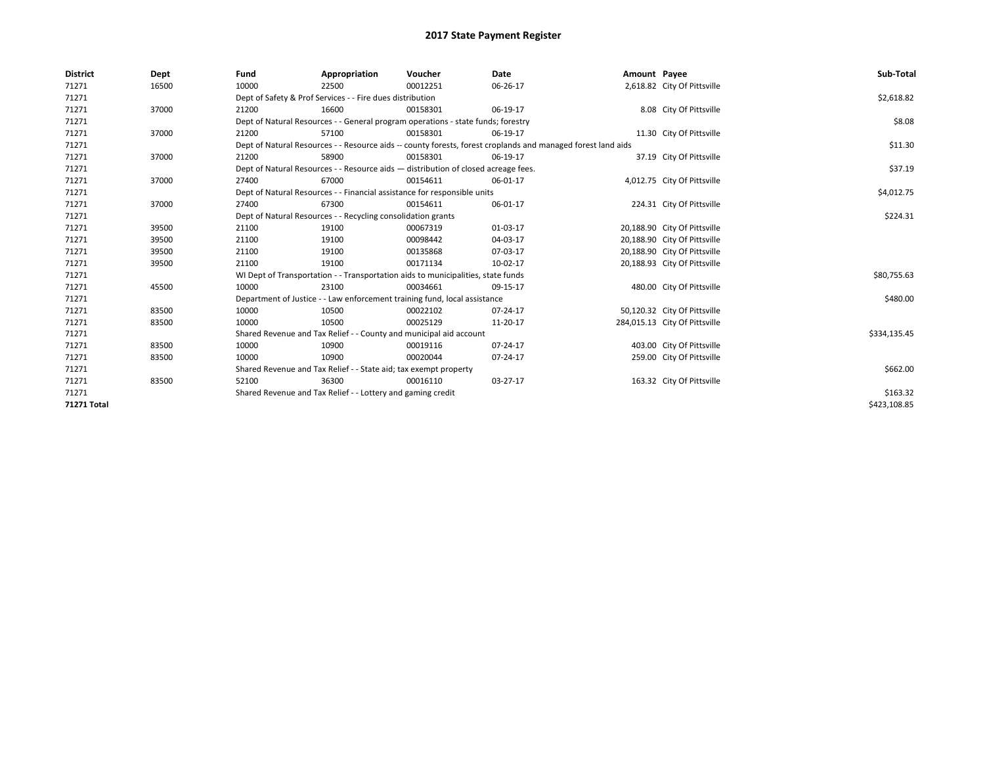| <b>District</b>    | Dept  | Fund                                                                             | Appropriation                                                                      | Voucher      | Date                                                                                                         | Amount Payee |                               | Sub-Total    |
|--------------------|-------|----------------------------------------------------------------------------------|------------------------------------------------------------------------------------|--------------|--------------------------------------------------------------------------------------------------------------|--------------|-------------------------------|--------------|
| 71271              | 16500 | 10000                                                                            | 22500                                                                              | 00012251     | 06-26-17                                                                                                     |              | 2,618.82 City Of Pittsville   |              |
| 71271              |       | Dept of Safety & Prof Services - - Fire dues distribution                        | \$2,618.82                                                                         |              |                                                                                                              |              |                               |              |
| 71271              | 37000 | 21200                                                                            | 16600                                                                              | 00158301     | 06-19-17                                                                                                     |              | 8.08 City Of Pittsville       |              |
| 71271              |       | Dept of Natural Resources - - General program operations - state funds; forestry |                                                                                    | \$8.08       |                                                                                                              |              |                               |              |
| 71271              | 37000 | 21200                                                                            | 57100                                                                              | 00158301     | 06-19-17                                                                                                     |              | 11.30 City Of Pittsville      |              |
| 71271              |       |                                                                                  |                                                                                    |              | Dept of Natural Resources - - Resource aids -- county forests, forest croplands and managed forest land aids |              |                               | \$11.30      |
| 71271              | 37000 | 21200                                                                            | 58900                                                                              | 00158301     | 06-19-17                                                                                                     |              | 37.19 City Of Pittsville      |              |
| 71271              |       |                                                                                  | Dept of Natural Resources - - Resource aids - distribution of closed acreage fees. |              |                                                                                                              |              |                               | \$37.19      |
| 71271              | 37000 | 27400                                                                            | 67000                                                                              | 00154611     | 06-01-17                                                                                                     |              | 4,012.75 City Of Pittsville   |              |
| 71271              |       |                                                                                  | Dept of Natural Resources - - Financial assistance for responsible units           |              |                                                                                                              |              |                               | \$4,012.75   |
| 71271              | 37000 | 27400                                                                            | 67300                                                                              | 00154611     | 06-01-17                                                                                                     |              | 224.31 City Of Pittsville     |              |
| 71271              |       |                                                                                  | Dept of Natural Resources - - Recycling consolidation grants                       |              |                                                                                                              |              |                               | \$224.31     |
| 71271              | 39500 | 21100                                                                            | 19100                                                                              | 00067319     | 01-03-17                                                                                                     |              | 20,188.90 City Of Pittsville  |              |
| 71271              | 39500 | 21100                                                                            | 19100                                                                              | 00098442     | 04-03-17                                                                                                     |              | 20,188.90 City Of Pittsville  |              |
| 71271              | 39500 | 21100                                                                            | 19100                                                                              | 00135868     | 07-03-17                                                                                                     |              | 20,188.90 City Of Pittsville  |              |
| 71271              | 39500 | 21100                                                                            | 19100                                                                              | 00171134     | 10-02-17                                                                                                     |              | 20,188.93 City Of Pittsville  |              |
| 71271              |       | WI Dept of Transportation - - Transportation aids to municipalities, state funds |                                                                                    | \$80,755.63  |                                                                                                              |              |                               |              |
| 71271              | 45500 | 10000                                                                            | 23100                                                                              | 00034661     | 09-15-17                                                                                                     |              | 480.00 City Of Pittsville     |              |
| 71271              |       | Department of Justice - - Law enforcement training fund, local assistance        |                                                                                    | \$480.00     |                                                                                                              |              |                               |              |
| 71271              | 83500 | 10000                                                                            | 10500                                                                              | 00022102     | 07-24-17                                                                                                     |              | 50,120.32 City Of Pittsville  |              |
| 71271              | 83500 | 10000                                                                            | 10500                                                                              | 00025129     | 11-20-17                                                                                                     |              | 284,015.13 City Of Pittsville |              |
| 71271              |       | Shared Revenue and Tax Relief - - County and municipal aid account               |                                                                                    | \$334,135.45 |                                                                                                              |              |                               |              |
| 71271              | 83500 | 10000                                                                            | 10900                                                                              | 00019116     | 07-24-17                                                                                                     |              | 403.00 City Of Pittsville     |              |
| 71271              | 83500 | 10000                                                                            | 10900                                                                              | 00020044     | 07-24-17                                                                                                     |              | 259.00 City Of Pittsville     |              |
| 71271              |       | Shared Revenue and Tax Relief - - State aid; tax exempt property                 |                                                                                    | \$662.00     |                                                                                                              |              |                               |              |
| 71271              | 83500 | 52100                                                                            | 36300                                                                              | 00016110     | 03-27-17                                                                                                     |              | 163.32 City Of Pittsville     |              |
| 71271              |       |                                                                                  | Shared Revenue and Tax Relief - - Lottery and gaming credit                        |              |                                                                                                              |              |                               | \$163.32     |
| <b>71271 Total</b> |       |                                                                                  |                                                                                    |              |                                                                                                              |              |                               | \$423,108.85 |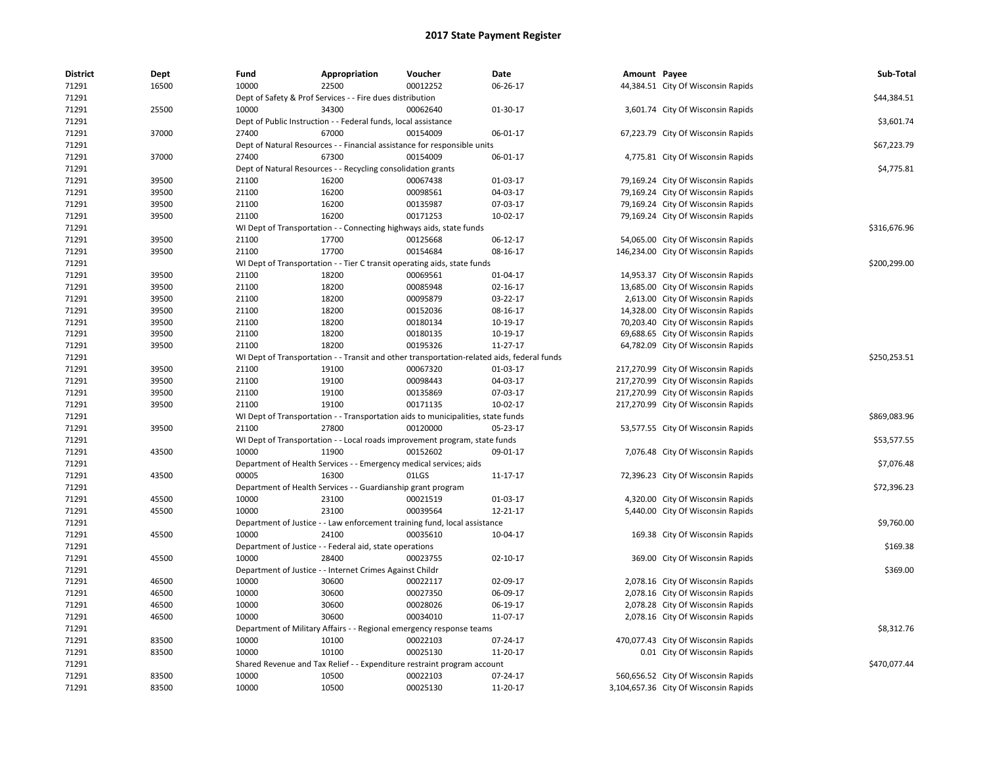| <b>District</b> | Dept  | Fund                                                                    | Appropriation                                                       | Voucher                                                                                    | Date           | Amount Payee |                                       | Sub-Total    |  |
|-----------------|-------|-------------------------------------------------------------------------|---------------------------------------------------------------------|--------------------------------------------------------------------------------------------|----------------|--------------|---------------------------------------|--------------|--|
| 71291           | 16500 | 10000                                                                   | 22500                                                               | 00012252                                                                                   | 06-26-17       |              | 44,384.51 City Of Wisconsin Rapids    |              |  |
| 71291           |       | Dept of Safety & Prof Services - - Fire dues distribution               |                                                                     |                                                                                            |                |              |                                       |              |  |
| 71291           | 25500 | 10000                                                                   | 34300                                                               | 00062640                                                                                   | 01-30-17       |              | 3,601.74 City Of Wisconsin Rapids     |              |  |
| 71291           |       |                                                                         | Dept of Public Instruction - - Federal funds, local assistance      |                                                                                            |                |              |                                       | \$3,601.74   |  |
| 71291           | 37000 | 27400                                                                   | 67000                                                               | 00154009                                                                                   | 06-01-17       |              | 67,223.79 City Of Wisconsin Rapids    |              |  |
| 71291           |       |                                                                         |                                                                     | Dept of Natural Resources - - Financial assistance for responsible units                   |                |              |                                       | \$67,223.79  |  |
| 71291           | 37000 | 27400                                                                   | 67300                                                               | 00154009                                                                                   | 06-01-17       |              | 4,775.81 City Of Wisconsin Rapids     |              |  |
| 71291           |       |                                                                         | Dept of Natural Resources - - Recycling consolidation grants        |                                                                                            |                |              |                                       | \$4,775.81   |  |
| 71291           | 39500 | 21100                                                                   | 16200                                                               | 00067438                                                                                   | 01-03-17       |              | 79,169.24 City Of Wisconsin Rapids    |              |  |
| 71291           | 39500 | 21100                                                                   | 16200                                                               | 00098561                                                                                   | 04-03-17       |              | 79,169.24 City Of Wisconsin Rapids    |              |  |
| 71291           | 39500 | 21100                                                                   | 16200                                                               | 00135987                                                                                   | 07-03-17       |              | 79,169.24 City Of Wisconsin Rapids    |              |  |
| 71291           | 39500 | 21100                                                                   | 16200                                                               | 00171253                                                                                   | 10-02-17       |              | 79,169.24 City Of Wisconsin Rapids    |              |  |
| 71291           |       |                                                                         | WI Dept of Transportation - - Connecting highways aids, state funds |                                                                                            |                |              |                                       | \$316,676.96 |  |
| 71291           | 39500 | 21100                                                                   | 17700                                                               | 00125668                                                                                   | 06-12-17       |              | 54,065.00 City Of Wisconsin Rapids    |              |  |
| 71291           | 39500 | 21100                                                                   | 17700                                                               | 00154684                                                                                   | 08-16-17       |              | 146,234.00 City Of Wisconsin Rapids   |              |  |
| 71291           |       |                                                                         |                                                                     | WI Dept of Transportation - - Tier C transit operating aids, state funds                   |                |              |                                       | \$200,299.00 |  |
| 71291           | 39500 | 21100                                                                   | 18200                                                               | 00069561                                                                                   | 01-04-17       |              | 14,953.37 City Of Wisconsin Rapids    |              |  |
| 71291           | 39500 | 21100                                                                   | 18200                                                               | 00085948                                                                                   | 02-16-17       |              | 13,685.00 City Of Wisconsin Rapids    |              |  |
| 71291           | 39500 | 21100                                                                   | 18200                                                               | 00095879                                                                                   | 03-22-17       |              | 2,613.00 City Of Wisconsin Rapids     |              |  |
| 71291           | 39500 | 21100                                                                   | 18200                                                               | 00152036                                                                                   | 08-16-17       |              | 14,328.00 City Of Wisconsin Rapids    |              |  |
| 71291           | 39500 | 21100                                                                   | 18200                                                               | 00180134                                                                                   | 10-19-17       |              | 70,203.40 City Of Wisconsin Rapids    |              |  |
| 71291           | 39500 | 21100                                                                   | 18200                                                               | 00180135                                                                                   | 10-19-17       |              | 69,688.65 City Of Wisconsin Rapids    |              |  |
| 71291           | 39500 | 21100                                                                   | 18200                                                               | 00195326                                                                                   | 11-27-17       |              | 64,782.09 City Of Wisconsin Rapids    |              |  |
| 71291           |       |                                                                         |                                                                     | WI Dept of Transportation - - Transit and other transportation-related aids, federal funds |                |              |                                       | \$250,253.51 |  |
| 71291           | 39500 | 21100                                                                   | 19100                                                               | 00067320                                                                                   | 01-03-17       |              | 217,270.99 City Of Wisconsin Rapids   |              |  |
| 71291           | 39500 | 21100                                                                   | 19100                                                               | 00098443                                                                                   | 04-03-17       |              | 217,270.99 City Of Wisconsin Rapids   |              |  |
| 71291           | 39500 | 21100                                                                   | 19100                                                               | 00135869                                                                                   | 07-03-17       |              | 217,270.99 City Of Wisconsin Rapids   |              |  |
| 71291           | 39500 | 21100                                                                   | 19100                                                               | 00171135                                                                                   | 10-02-17       |              | 217,270.99 City Of Wisconsin Rapids   |              |  |
| 71291           |       |                                                                         |                                                                     | WI Dept of Transportation - - Transportation aids to municipalities, state funds           |                |              |                                       | \$869,083.96 |  |
| 71291           | 39500 | 21100                                                                   | 27800                                                               | 00120000                                                                                   | 05-23-17       |              | 53,577.55 City Of Wisconsin Rapids    |              |  |
| 71291           |       |                                                                         |                                                                     | WI Dept of Transportation - - Local roads improvement program, state funds                 |                |              |                                       | \$53,577.55  |  |
| 71291           | 43500 | 10000                                                                   | 11900                                                               | 00152602                                                                                   | 09-01-17       |              | 7,076.48 City Of Wisconsin Rapids     |              |  |
| 71291           |       |                                                                         | Department of Health Services - - Emergency medical services; aids  |                                                                                            |                |              |                                       | \$7,076.48   |  |
| 71291           | 43500 | 00005                                                                   | 16300                                                               | 01LGS                                                                                      | 11-17-17       |              | 72,396.23 City Of Wisconsin Rapids    |              |  |
| 71291           |       |                                                                         | Department of Health Services - - Guardianship grant program        |                                                                                            |                |              |                                       | \$72,396.23  |  |
| 71291           | 45500 | 10000                                                                   | 23100                                                               | 00021519                                                                                   | 01-03-17       |              | 4,320.00 City Of Wisconsin Rapids     |              |  |
| 71291           | 45500 | 10000                                                                   | 23100                                                               | 00039564                                                                                   | $12 - 21 - 17$ |              | 5,440.00 City Of Wisconsin Rapids     |              |  |
| 71291           |       |                                                                         |                                                                     | Department of Justice - - Law enforcement training fund, local assistance                  |                |              |                                       | \$9,760.00   |  |
| 71291           | 45500 | 10000                                                                   | 24100                                                               | 00035610                                                                                   | 10-04-17       |              | 169.38 City Of Wisconsin Rapids       |              |  |
| 71291           |       |                                                                         | Department of Justice - - Federal aid, state operations             |                                                                                            |                |              |                                       | \$169.38     |  |
| 71291           | 45500 | 10000                                                                   | 28400                                                               | 00023755                                                                                   | $02 - 10 - 17$ |              | 369.00 City Of Wisconsin Rapids       |              |  |
| 71291           |       |                                                                         | Department of Justice - - Internet Crimes Against Childr            |                                                                                            |                |              |                                       | \$369.00     |  |
| 71291           | 46500 | 10000                                                                   | 30600                                                               | 00022117                                                                                   | 02-09-17       |              | 2,078.16 City Of Wisconsin Rapids     |              |  |
| 71291           | 46500 | 10000                                                                   | 30600                                                               | 00027350                                                                                   | 06-09-17       |              | 2,078.16 City Of Wisconsin Rapids     |              |  |
| 71291           | 46500 | 10000                                                                   | 30600                                                               | 00028026                                                                                   | 06-19-17       |              | 2,078.28 City Of Wisconsin Rapids     |              |  |
| 71291           | 46500 | 10000                                                                   | 30600                                                               | 00034010                                                                                   | 11-07-17       |              | 2,078.16 City Of Wisconsin Rapids     |              |  |
| 71291           |       |                                                                         |                                                                     | Department of Military Affairs - - Regional emergency response teams                       |                |              |                                       | \$8,312.76   |  |
| 71291           | 83500 | 10000                                                                   | 10100                                                               | 00022103                                                                                   | 07-24-17       |              | 470,077.43 City Of Wisconsin Rapids   |              |  |
| 71291           | 83500 | 10000                                                                   | 10100                                                               | 00025130                                                                                   | 11-20-17       |              | 0.01 City Of Wisconsin Rapids         |              |  |
| 71291           |       | Shared Revenue and Tax Relief - - Expenditure restraint program account |                                                                     |                                                                                            |                |              |                                       |              |  |
| 71291           | 83500 | 10000                                                                   | 10500                                                               | 00022103                                                                                   | 07-24-17       |              | 560,656.52 City Of Wisconsin Rapids   |              |  |
| 71291           | 83500 | 10000                                                                   | 10500                                                               | 00025130                                                                                   | 11-20-17       |              | 3,104,657.36 City Of Wisconsin Rapids |              |  |